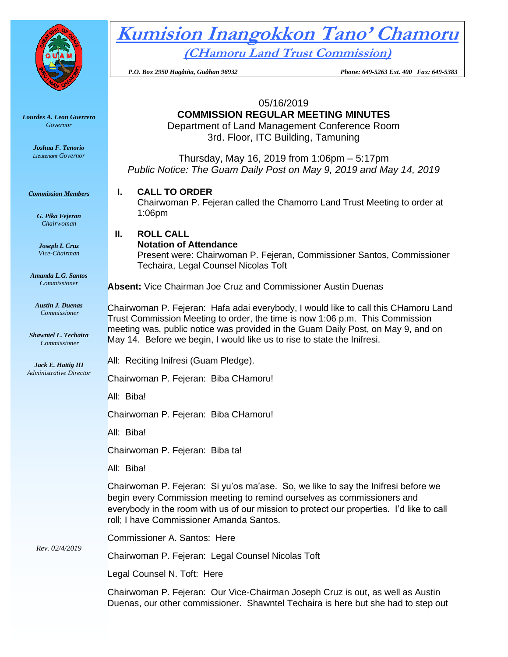

# **Kumision Inangokkon Tano' Chamoru (CHamoru Land Trust Commission)**

 *P.O. Box 2950 Hagåtña, Guåhan 96932 Phone: 649-5263 Ext. 400 Fax: 649-5383*

05/16/2019

### **COMMISSION REGULAR MEETING MINUTES**

Department of Land Management Conference Room 3rd. Floor, ITC Building, Tamuning

Thursday, May 16, 2019 from 1:06pm – 5:17pm *Public Notice: The Guam Daily Post on May 9, 2019 and May 14, 2019*

#### **I. CALL TO ORDER**

Chairwoman P. Fejeran called the Chamorro Land Trust Meeting to order at 1:06pm

## **II. ROLL CALL**

#### **Notation of Attendance**

Present were: Chairwoman P. Fejeran, Commissioner Santos, Commissioner Techaira, Legal Counsel Nicolas Toft

**Absent:** Vice Chairman Joe Cruz and Commissioner Austin Duenas

Chairwoman P. Fejeran: Hafa adai everybody, I would like to call this CHamoru Land Trust Commission Meeting to order, the time is now 1:06 p.m. This Commission meeting was, public notice was provided in the Guam Daily Post, on May 9, and on May 14. Before we begin, I would like us to rise to state the Inifresi.

All: Reciting Inifresi (Guam Pledge).

Chairwoman P. Fejeran: Biba CHamoru!

All: Biba!

Chairwoman P. Fejeran: Biba CHamoru!

All: Biba!

Chairwoman P. Fejeran: Biba ta!

All: Biba!

Chairwoman P. Fejeran: Si yu'os ma'ase. So, we like to say the Inifresi before we begin every Commission meeting to remind ourselves as commissioners and everybody in the room with us of our mission to protect our properties. I'd like to call roll; I have Commissioner Amanda Santos.

Commissioner A. Santos: Here

Chairwoman P. Fejeran: Legal Counsel Nicolas Toft

Legal Counsel N. Toft: Here

Chairwoman P. Fejeran: Our Vice-Chairman Joseph Cruz is out, as well as Austin Duenas, our other commissioner. Shawntel Techaira is here but she had to step out

*Lourdes A. Leon Guerrero Governor* 

> *Joshua F. Tenorio Lieutenant Governor*

*Commission Members*

*G. Pika Fejeran Chairwoman*

*Joseph I. Cruz Vice-Chairman*

*Amanda L.G. Santos Commissioner*

*Austin J. Duenas Commissioner*

*Shawntel L. Techaira Commissioner*

*Jack E. Hattig III Administrative Director*

*Rev. 02/4/2019*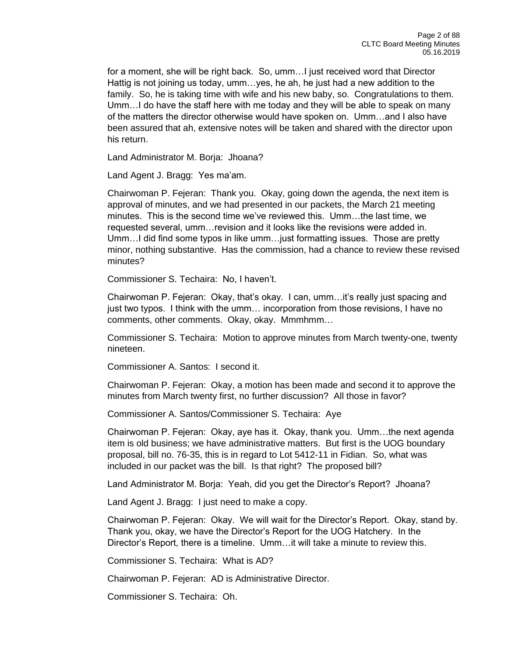for a moment, she will be right back. So, umm…I just received word that Director Hattig is not joining us today, umm…yes, he ah, he just had a new addition to the family. So, he is taking time with wife and his new baby, so. Congratulations to them. Umm…I do have the staff here with me today and they will be able to speak on many of the matters the director otherwise would have spoken on. Umm…and I also have been assured that ah, extensive notes will be taken and shared with the director upon his return.

Land Administrator M. Borja: Jhoana?

Land Agent J. Bragg: Yes ma'am.

Chairwoman P. Fejeran: Thank you. Okay, going down the agenda, the next item is approval of minutes, and we had presented in our packets, the March 21 meeting minutes. This is the second time we've reviewed this. Umm…the last time, we requested several, umm…revision and it looks like the revisions were added in. Umm…I did find some typos in like umm…just formatting issues. Those are pretty minor, nothing substantive. Has the commission, had a chance to review these revised minutes?

Commissioner S. Techaira: No, I haven't.

Chairwoman P. Fejeran: Okay, that's okay. I can, umm…it's really just spacing and just two typos. I think with the umm… incorporation from those revisions, I have no comments, other comments. Okay, okay. Mmmhmm…

Commissioner S. Techaira: Motion to approve minutes from March twenty-one, twenty nineteen.

Commissioner A. Santos: I second it.

Chairwoman P. Fejeran: Okay, a motion has been made and second it to approve the minutes from March twenty first, no further discussion? All those in favor?

Commissioner A. Santos/Commissioner S. Techaira: Aye

Chairwoman P. Fejeran: Okay, aye has it. Okay, thank you. Umm…the next agenda item is old business; we have administrative matters. But first is the UOG boundary proposal, bill no. 76-35, this is in regard to Lot 5412-11 in Fidian. So, what was included in our packet was the bill. Is that right? The proposed bill?

Land Administrator M. Borja: Yeah, did you get the Director's Report? Jhoana?

Land Agent J. Bragg: I just need to make a copy.

Chairwoman P. Fejeran: Okay. We will wait for the Director's Report. Okay, stand by. Thank you, okay, we have the Director's Report for the UOG Hatchery. In the Director's Report, there is a timeline. Umm…it will take a minute to review this.

Commissioner S. Techaira: What is AD?

Chairwoman P. Fejeran: AD is Administrative Director.

Commissioner S. Techaira: Oh.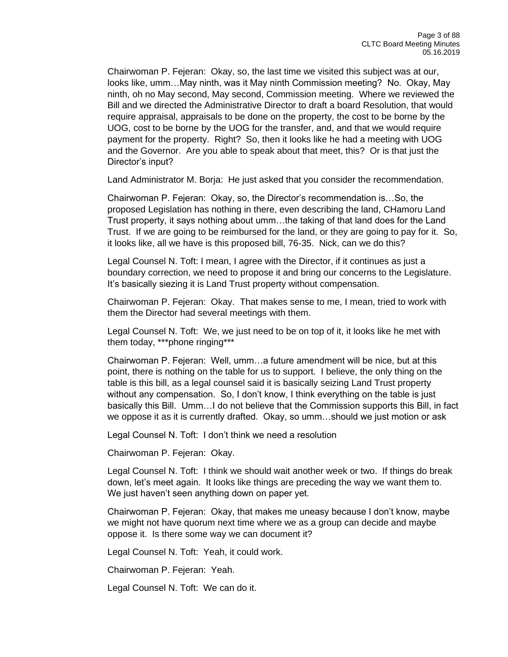Chairwoman P. Fejeran: Okay, so, the last time we visited this subject was at our, looks like, umm…May ninth, was it May ninth Commission meeting? No. Okay, May ninth, oh no May second, May second, Commission meeting. Where we reviewed the Bill and we directed the Administrative Director to draft a board Resolution, that would require appraisal, appraisals to be done on the property, the cost to be borne by the UOG, cost to be borne by the UOG for the transfer, and, and that we would require payment for the property. Right? So, then it looks like he had a meeting with UOG and the Governor. Are you able to speak about that meet, this? Or is that just the Director's input?

Land Administrator M. Borja: He just asked that you consider the recommendation.

Chairwoman P. Fejeran: Okay, so, the Director's recommendation is…So, the proposed Legislation has nothing in there, even describing the land, CHamoru Land Trust property, it says nothing about umm…the taking of that land does for the Land Trust. If we are going to be reimbursed for the land, or they are going to pay for it. So, it looks like, all we have is this proposed bill, 76-35. Nick, can we do this?

Legal Counsel N. Toft: I mean, I agree with the Director, if it continues as just a boundary correction, we need to propose it and bring our concerns to the Legislature. It's basically siezing it is Land Trust property without compensation.

Chairwoman P. Fejeran: Okay. That makes sense to me, I mean, tried to work with them the Director had several meetings with them.

Legal Counsel N. Toft: We, we just need to be on top of it, it looks like he met with them today, \*\*\*phone ringing\*\*\*

Chairwoman P. Fejeran: Well, umm…a future amendment will be nice, but at this point, there is nothing on the table for us to support. I believe, the only thing on the table is this bill, as a legal counsel said it is basically seizing Land Trust property without any compensation. So, I don't know, I think everything on the table is just basically this Bill. Umm…I do not believe that the Commission supports this Bill, in fact we oppose it as it is currently drafted. Okay, so umm…should we just motion or ask

Legal Counsel N. Toft: I don't think we need a resolution

Chairwoman P. Fejeran: Okay.

Legal Counsel N. Toft: I think we should wait another week or two. If things do break down, let's meet again. It looks like things are preceding the way we want them to. We just haven't seen anything down on paper yet.

Chairwoman P. Fejeran: Okay, that makes me uneasy because I don't know, maybe we might not have quorum next time where we as a group can decide and maybe oppose it. Is there some way we can document it?

Legal Counsel N. Toft: Yeah, it could work.

Chairwoman P. Fejeran: Yeah.

Legal Counsel N. Toft: We can do it.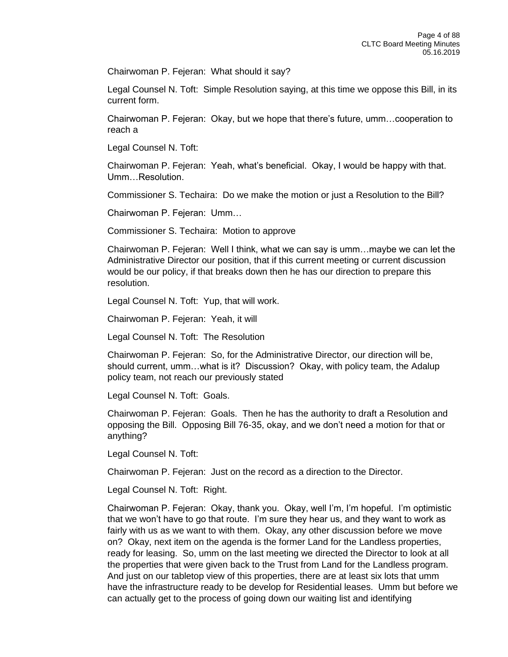Chairwoman P. Fejeran: What should it say?

Legal Counsel N. Toft: Simple Resolution saying, at this time we oppose this Bill, in its current form.

Chairwoman P. Fejeran: Okay, but we hope that there's future, umm…cooperation to reach a

Legal Counsel N. Toft:

Chairwoman P. Fejeran: Yeah, what's beneficial. Okay, I would be happy with that. Umm…Resolution.

Commissioner S. Techaira: Do we make the motion or just a Resolution to the Bill?

Chairwoman P. Fejeran: Umm…

Commissioner S. Techaira: Motion to approve

Chairwoman P. Fejeran: Well I think, what we can say is umm…maybe we can let the Administrative Director our position, that if this current meeting or current discussion would be our policy, if that breaks down then he has our direction to prepare this resolution.

Legal Counsel N. Toft: Yup, that will work.

Chairwoman P. Fejeran: Yeah, it will

Legal Counsel N. Toft: The Resolution

Chairwoman P. Fejeran: So, for the Administrative Director, our direction will be, should current, umm…what is it? Discussion? Okay, with policy team, the Adalup policy team, not reach our previously stated

Legal Counsel N. Toft: Goals.

Chairwoman P. Fejeran: Goals. Then he has the authority to draft a Resolution and opposing the Bill. Opposing Bill 76-35, okay, and we don't need a motion for that or anything?

Legal Counsel N. Toft:

Chairwoman P. Fejeran: Just on the record as a direction to the Director.

Legal Counsel N. Toft: Right.

Chairwoman P. Fejeran: Okay, thank you. Okay, well I'm, I'm hopeful. I'm optimistic that we won't have to go that route. I'm sure they hear us, and they want to work as fairly with us as we want to with them. Okay, any other discussion before we move on? Okay, next item on the agenda is the former Land for the Landless properties, ready for leasing. So, umm on the last meeting we directed the Director to look at all the properties that were given back to the Trust from Land for the Landless program. And just on our tabletop view of this properties, there are at least six lots that umm have the infrastructure ready to be develop for Residential leases. Umm but before we can actually get to the process of going down our waiting list and identifying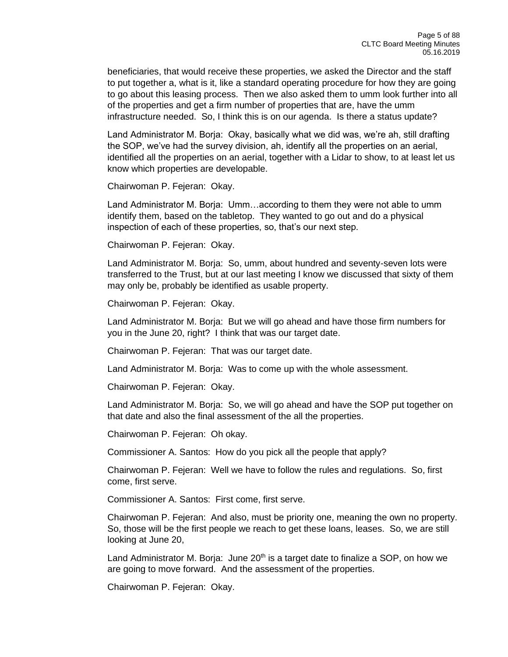beneficiaries, that would receive these properties, we asked the Director and the staff to put together a, what is it, like a standard operating procedure for how they are going to go about this leasing process. Then we also asked them to umm look further into all of the properties and get a firm number of properties that are, have the umm infrastructure needed. So, I think this is on our agenda. Is there a status update?

Land Administrator M. Borja: Okay, basically what we did was, we're ah, still drafting the SOP, we've had the survey division, ah, identify all the properties on an aerial, identified all the properties on an aerial, together with a Lidar to show, to at least let us know which properties are developable.

Chairwoman P. Fejeran: Okay.

Land Administrator M. Borja: Umm…according to them they were not able to umm identify them, based on the tabletop. They wanted to go out and do a physical inspection of each of these properties, so, that's our next step.

Chairwoman P. Fejeran: Okay.

Land Administrator M. Borja: So, umm, about hundred and seventy-seven lots were transferred to the Trust, but at our last meeting I know we discussed that sixty of them may only be, probably be identified as usable property.

Chairwoman P. Fejeran: Okay.

Land Administrator M. Borja: But we will go ahead and have those firm numbers for you in the June 20, right? I think that was our target date.

Chairwoman P. Fejeran: That was our target date.

Land Administrator M. Borja: Was to come up with the whole assessment.

Chairwoman P. Fejeran: Okay.

Land Administrator M. Borja: So, we will go ahead and have the SOP put together on that date and also the final assessment of the all the properties.

Chairwoman P. Fejeran: Oh okay.

Commissioner A. Santos: How do you pick all the people that apply?

Chairwoman P. Fejeran: Well we have to follow the rules and regulations. So, first come, first serve.

Commissioner A. Santos: First come, first serve.

Chairwoman P. Fejeran: And also, must be priority one, meaning the own no property. So, those will be the first people we reach to get these loans, leases. So, we are still looking at June 20,

Land Administrator M. Borja: June  $20<sup>th</sup>$  is a target date to finalize a SOP, on how we are going to move forward. And the assessment of the properties.

Chairwoman P. Fejeran: Okay.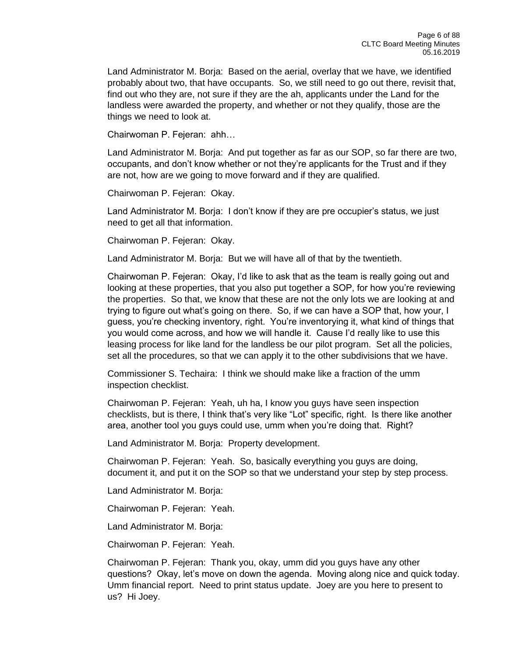Land Administrator M. Borja: Based on the aerial, overlay that we have, we identified probably about two, that have occupants. So, we still need to go out there, revisit that, find out who they are, not sure if they are the ah, applicants under the Land for the landless were awarded the property, and whether or not they qualify, those are the things we need to look at.

Chairwoman P. Fejeran: ahh…

Land Administrator M. Borja: And put together as far as our SOP, so far there are two, occupants, and don't know whether or not they're applicants for the Trust and if they are not, how are we going to move forward and if they are qualified.

Chairwoman P. Fejeran: Okay.

Land Administrator M. Borja: I don't know if they are pre occupier's status, we just need to get all that information.

Chairwoman P. Fejeran: Okay.

Land Administrator M. Borja: But we will have all of that by the twentieth.

Chairwoman P. Fejeran: Okay, I'd like to ask that as the team is really going out and looking at these properties, that you also put together a SOP, for how you're reviewing the properties. So that, we know that these are not the only lots we are looking at and trying to figure out what's going on there. So, if we can have a SOP that, how your, I guess, you're checking inventory, right. You're inventorying it, what kind of things that you would come across, and how we will handle it. Cause I'd really like to use this leasing process for like land for the landless be our pilot program. Set all the policies, set all the procedures, so that we can apply it to the other subdivisions that we have.

Commissioner S. Techaira: I think we should make like a fraction of the umm inspection checklist.

Chairwoman P. Fejeran: Yeah, uh ha, I know you guys have seen inspection checklists, but is there, I think that's very like "Lot" specific, right. Is there like another area, another tool you guys could use, umm when you're doing that. Right?

Land Administrator M. Borja: Property development.

Chairwoman P. Fejeran: Yeah. So, basically everything you guys are doing, document it, and put it on the SOP so that we understand your step by step process.

Land Administrator M. Borja:

Chairwoman P. Fejeran: Yeah.

Land Administrator M. Borja:

Chairwoman P. Fejeran: Yeah.

Chairwoman P. Fejeran: Thank you, okay, umm did you guys have any other questions? Okay, let's move on down the agenda. Moving along nice and quick today. Umm financial report. Need to print status update. Joey are you here to present to us? Hi Joey.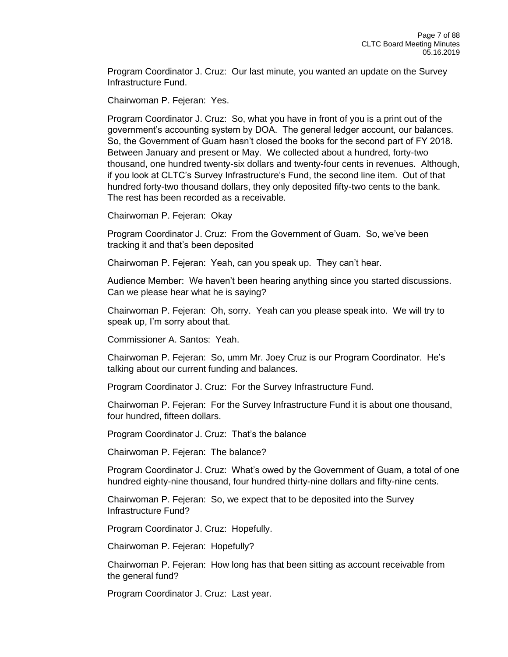Program Coordinator J. Cruz: Our last minute, you wanted an update on the Survey Infrastructure Fund.

Chairwoman P. Fejeran: Yes.

Program Coordinator J. Cruz: So, what you have in front of you is a print out of the government's accounting system by DOA. The general ledger account, our balances. So, the Government of Guam hasn't closed the books for the second part of FY 2018. Between January and present or May. We collected about a hundred, forty-two thousand, one hundred twenty-six dollars and twenty-four cents in revenues. Although, if you look at CLTC's Survey Infrastructure's Fund, the second line item. Out of that hundred forty-two thousand dollars, they only deposited fifty-two cents to the bank. The rest has been recorded as a receivable.

Chairwoman P. Fejeran: Okay

Program Coordinator J. Cruz: From the Government of Guam. So, we've been tracking it and that's been deposited

Chairwoman P. Fejeran: Yeah, can you speak up. They can't hear.

Audience Member: We haven't been hearing anything since you started discussions. Can we please hear what he is saying?

Chairwoman P. Fejeran: Oh, sorry. Yeah can you please speak into. We will try to speak up, I'm sorry about that.

Commissioner A. Santos: Yeah.

Chairwoman P. Fejeran: So, umm Mr. Joey Cruz is our Program Coordinator. He's talking about our current funding and balances.

Program Coordinator J. Cruz: For the Survey Infrastructure Fund.

Chairwoman P. Fejeran: For the Survey Infrastructure Fund it is about one thousand, four hundred, fifteen dollars.

Program Coordinator J. Cruz: That's the balance

Chairwoman P. Fejeran: The balance?

Program Coordinator J. Cruz: What's owed by the Government of Guam, a total of one hundred eighty-nine thousand, four hundred thirty-nine dollars and fifty-nine cents.

Chairwoman P. Fejeran: So, we expect that to be deposited into the Survey Infrastructure Fund?

Program Coordinator J. Cruz: Hopefully.

Chairwoman P. Fejeran: Hopefully?

Chairwoman P. Fejeran: How long has that been sitting as account receivable from the general fund?

Program Coordinator J. Cruz: Last year.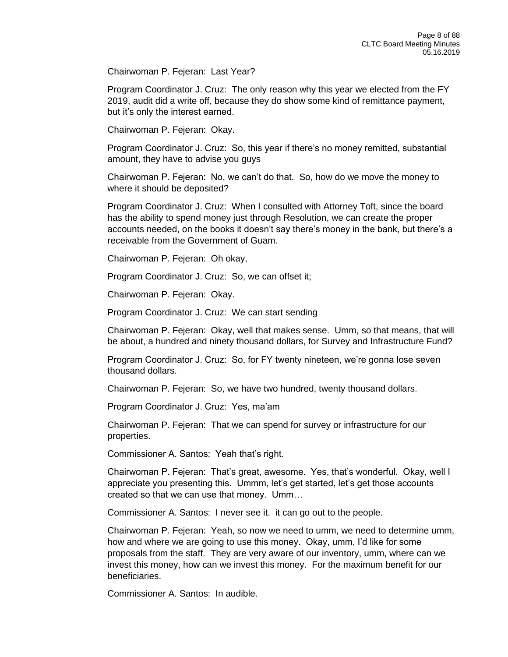Chairwoman P. Fejeran: Last Year?

Program Coordinator J. Cruz: The only reason why this year we elected from the FY 2019, audit did a write off, because they do show some kind of remittance payment, but it's only the interest earned.

Chairwoman P. Fejeran: Okay.

Program Coordinator J. Cruz: So, this year if there's no money remitted, substantial amount, they have to advise you guys

Chairwoman P. Fejeran: No, we can't do that. So, how do we move the money to where it should be deposited?

Program Coordinator J. Cruz: When I consulted with Attorney Toft, since the board has the ability to spend money just through Resolution, we can create the proper accounts needed, on the books it doesn't say there's money in the bank, but there's a receivable from the Government of Guam.

Chairwoman P. Fejeran: Oh okay,

Program Coordinator J. Cruz: So, we can offset it;

Chairwoman P. Fejeran: Okay.

Program Coordinator J. Cruz: We can start sending

Chairwoman P. Fejeran: Okay, well that makes sense. Umm, so that means, that will be about, a hundred and ninety thousand dollars, for Survey and Infrastructure Fund?

Program Coordinator J. Cruz: So, for FY twenty nineteen, we're gonna lose seven thousand dollars.

Chairwoman P. Fejeran: So, we have two hundred, twenty thousand dollars.

Program Coordinator J. Cruz: Yes, ma'am

Chairwoman P. Fejeran: That we can spend for survey or infrastructure for our properties.

Commissioner A. Santos: Yeah that's right.

Chairwoman P. Fejeran: That's great, awesome. Yes, that's wonderful. Okay, well I appreciate you presenting this. Ummm, let's get started, let's get those accounts created so that we can use that money. Umm…

Commissioner A. Santos: I never see it. it can go out to the people.

Chairwoman P. Fejeran: Yeah, so now we need to umm, we need to determine umm, how and where we are going to use this money. Okay, umm, I'd like for some proposals from the staff. They are very aware of our inventory, umm, where can we invest this money, how can we invest this money. For the maximum benefit for our beneficiaries.

Commissioner A. Santos: In audible.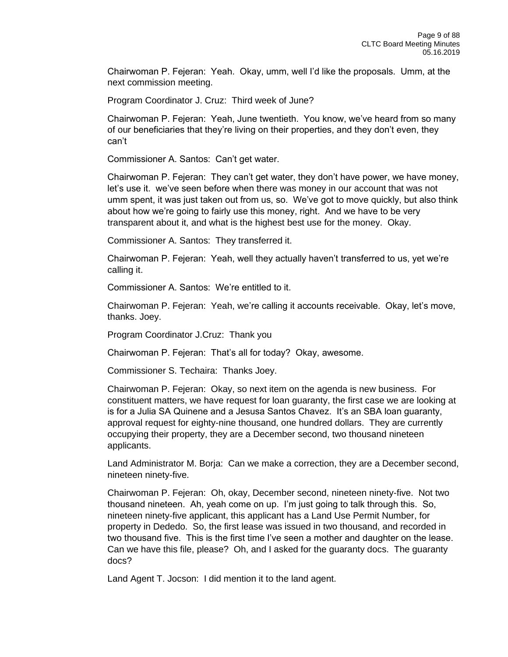Chairwoman P. Fejeran: Yeah. Okay, umm, well I'd like the proposals. Umm, at the next commission meeting.

Program Coordinator J. Cruz: Third week of June?

Chairwoman P. Fejeran: Yeah, June twentieth. You know, we've heard from so many of our beneficiaries that they're living on their properties, and they don't even, they can't

Commissioner A. Santos: Can't get water.

Chairwoman P. Fejeran: They can't get water, they don't have power, we have money, let's use it. we've seen before when there was money in our account that was not umm spent, it was just taken out from us, so. We've got to move quickly, but also think about how we're going to fairly use this money, right. And we have to be very transparent about it, and what is the highest best use for the money. Okay.

Commissioner A. Santos: They transferred it.

Chairwoman P. Fejeran: Yeah, well they actually haven't transferred to us, yet we're calling it.

Commissioner A. Santos: We're entitled to it.

Chairwoman P. Fejeran: Yeah, we're calling it accounts receivable. Okay, let's move, thanks. Joey.

Program Coordinator J.Cruz: Thank you

Chairwoman P. Fejeran: That's all for today? Okay, awesome.

Commissioner S. Techaira: Thanks Joey.

Chairwoman P. Fejeran: Okay, so next item on the agenda is new business. For constituent matters, we have request for loan guaranty, the first case we are looking at is for a Julia SA Quinene and a Jesusa Santos Chavez. It's an SBA loan guaranty, approval request for eighty-nine thousand, one hundred dollars. They are currently occupying their property, they are a December second, two thousand nineteen applicants.

Land Administrator M. Borja: Can we make a correction, they are a December second, nineteen ninety-five.

Chairwoman P. Fejeran: Oh, okay, December second, nineteen ninety-five. Not two thousand nineteen. Ah, yeah come on up. I'm just going to talk through this. So, nineteen ninety-five applicant, this applicant has a Land Use Permit Number, for property in Dededo. So, the first lease was issued in two thousand, and recorded in two thousand five. This is the first time I've seen a mother and daughter on the lease. Can we have this file, please? Oh, and I asked for the guaranty docs. The guaranty docs?

Land Agent T. Jocson: I did mention it to the land agent.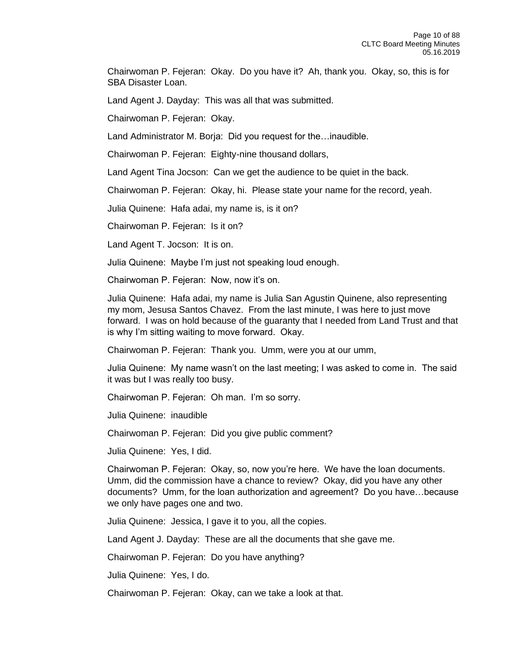Chairwoman P. Fejeran: Okay. Do you have it? Ah, thank you. Okay, so, this is for SBA Disaster Loan.

Land Agent J. Dayday: This was all that was submitted.

Chairwoman P. Fejeran: Okay.

Land Administrator M. Borja: Did you request for the…inaudible.

Chairwoman P. Fejeran: Eighty-nine thousand dollars,

Land Agent Tina Jocson: Can we get the audience to be quiet in the back.

Chairwoman P. Fejeran: Okay, hi. Please state your name for the record, yeah.

Julia Quinene: Hafa adai, my name is, is it on?

Chairwoman P. Fejeran: Is it on?

Land Agent T. Jocson: It is on.

Julia Quinene: Maybe I'm just not speaking loud enough.

Chairwoman P. Fejeran: Now, now it's on.

Julia Quinene: Hafa adai, my name is Julia San Agustin Quinene, also representing my mom, Jesusa Santos Chavez. From the last minute, I was here to just move forward. I was on hold because of the guaranty that I needed from Land Trust and that is why I'm sitting waiting to move forward. Okay.

Chairwoman P. Fejeran: Thank you. Umm, were you at our umm,

Julia Quinene: My name wasn't on the last meeting; I was asked to come in. The said it was but I was really too busy.

Chairwoman P. Fejeran: Oh man. I'm so sorry.

Julia Quinene: inaudible

Chairwoman P. Fejeran: Did you give public comment?

Julia Quinene: Yes, I did.

Chairwoman P. Fejeran: Okay, so, now you're here. We have the loan documents. Umm, did the commission have a chance to review? Okay, did you have any other documents? Umm, for the loan authorization and agreement? Do you have…because we only have pages one and two.

Julia Quinene: Jessica, I gave it to you, all the copies.

Land Agent J. Dayday: These are all the documents that she gave me.

Chairwoman P. Fejeran: Do you have anything?

Julia Quinene: Yes, I do.

Chairwoman P. Fejeran: Okay, can we take a look at that.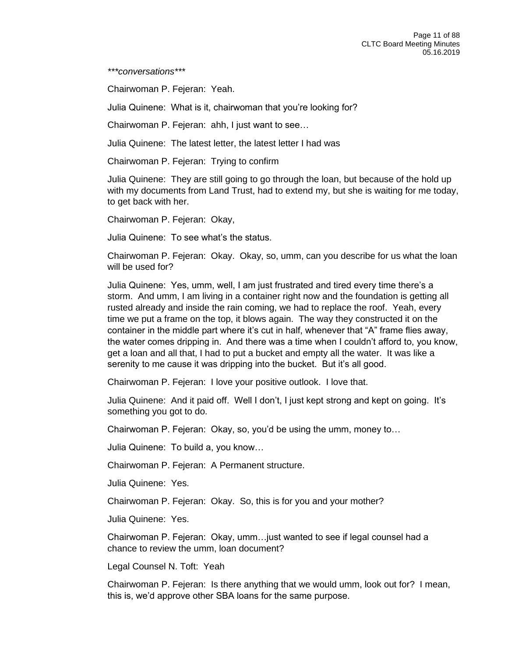*\*\*\*conversations\*\*\**

Chairwoman P. Fejeran: Yeah.

Julia Quinene: What is it, chairwoman that you're looking for?

Chairwoman P. Fejeran: ahh, I just want to see…

Julia Quinene: The latest letter, the latest letter I had was

Chairwoman P. Fejeran: Trying to confirm

Julia Quinene: They are still going to go through the loan, but because of the hold up with my documents from Land Trust, had to extend my, but she is waiting for me today, to get back with her.

Chairwoman P. Fejeran: Okay,

Julia Quinene: To see what's the status.

Chairwoman P. Fejeran: Okay. Okay, so, umm, can you describe for us what the loan will be used for?

Julia Quinene: Yes, umm, well, I am just frustrated and tired every time there's a storm. And umm, I am living in a container right now and the foundation is getting all rusted already and inside the rain coming, we had to replace the roof. Yeah, every time we put a frame on the top, it blows again. The way they constructed it on the container in the middle part where it's cut in half, whenever that "A" frame flies away, the water comes dripping in. And there was a time when I couldn't afford to, you know, get a loan and all that, I had to put a bucket and empty all the water. It was like a serenity to me cause it was dripping into the bucket. But it's all good.

Chairwoman P. Fejeran: I love your positive outlook. I love that.

Julia Quinene: And it paid off. Well I don't, I just kept strong and kept on going. It's something you got to do.

Chairwoman P. Fejeran: Okay, so, you'd be using the umm, money to…

Julia Quinene: To build a, you know…

Chairwoman P. Fejeran: A Permanent structure.

Julia Quinene: Yes.

Chairwoman P. Fejeran: Okay. So, this is for you and your mother?

Julia Quinene: Yes.

Chairwoman P. Fejeran: Okay, umm…just wanted to see if legal counsel had a chance to review the umm, loan document?

Legal Counsel N. Toft: Yeah

Chairwoman P. Fejeran: Is there anything that we would umm, look out for? I mean, this is, we'd approve other SBA loans for the same purpose.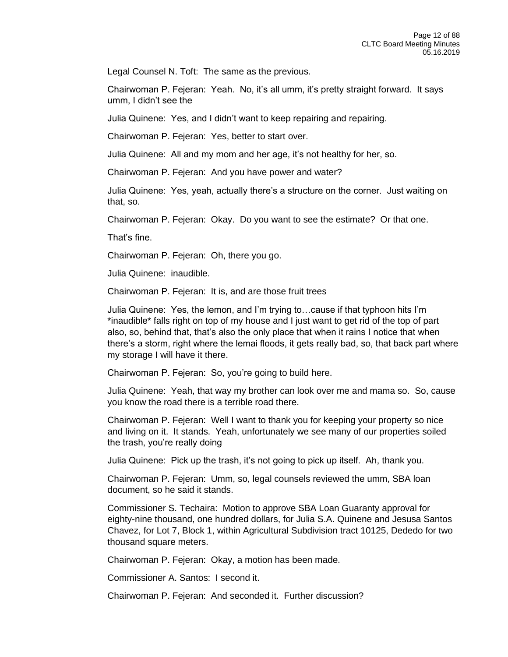Legal Counsel N. Toft: The same as the previous.

Chairwoman P. Fejeran: Yeah. No, it's all umm, it's pretty straight forward. It says umm, I didn't see the

Julia Quinene: Yes, and I didn't want to keep repairing and repairing.

Chairwoman P. Fejeran: Yes, better to start over.

Julia Quinene: All and my mom and her age, it's not healthy for her, so.

Chairwoman P. Fejeran: And you have power and water?

Julia Quinene: Yes, yeah, actually there's a structure on the corner. Just waiting on that, so.

Chairwoman P. Fejeran: Okay. Do you want to see the estimate? Or that one.

That's fine.

Chairwoman P. Fejeran: Oh, there you go.

Julia Quinene: inaudible.

Chairwoman P. Fejeran: It is, and are those fruit trees

Julia Quinene: Yes, the lemon, and I'm trying to…cause if that typhoon hits I'm \*inaudible\* falls right on top of my house and I just want to get rid of the top of part also, so, behind that, that's also the only place that when it rains I notice that when there's a storm, right where the lemai floods, it gets really bad, so, that back part where my storage I will have it there.

Chairwoman P. Fejeran: So, you're going to build here.

Julia Quinene: Yeah, that way my brother can look over me and mama so. So, cause you know the road there is a terrible road there.

Chairwoman P. Fejeran: Well I want to thank you for keeping your property so nice and living on it. It stands. Yeah, unfortunately we see many of our properties soiled the trash, you're really doing

Julia Quinene: Pick up the trash, it's not going to pick up itself. Ah, thank you.

Chairwoman P. Fejeran: Umm, so, legal counsels reviewed the umm, SBA loan document, so he said it stands.

Commissioner S. Techaira: Motion to approve SBA Loan Guaranty approval for eighty-nine thousand, one hundred dollars, for Julia S.A. Quinene and Jesusa Santos Chavez, for Lot 7, Block 1, within Agricultural Subdivision tract 10125, Dededo for two thousand square meters.

Chairwoman P. Fejeran: Okay, a motion has been made.

Commissioner A. Santos: I second it.

Chairwoman P. Fejeran: And seconded it. Further discussion?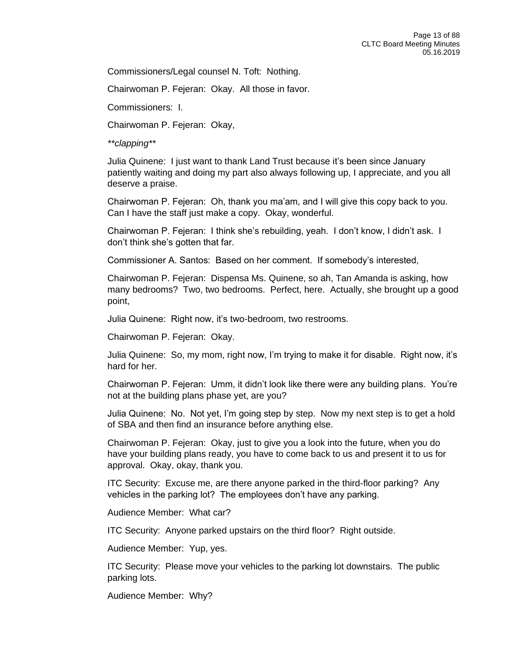Commissioners/Legal counsel N. Toft: Nothing.

Chairwoman P. Fejeran: Okay. All those in favor.

Commissioners: I.

Chairwoman P. Fejeran: Okay,

*\*\*clapping\*\**

Julia Quinene: I just want to thank Land Trust because it's been since January patiently waiting and doing my part also always following up, I appreciate, and you all deserve a praise.

Chairwoman P. Fejeran: Oh, thank you ma'am, and I will give this copy back to you. Can I have the staff just make a copy. Okay, wonderful.

Chairwoman P. Fejeran: I think she's rebuilding, yeah. I don't know, I didn't ask. I don't think she's gotten that far.

Commissioner A. Santos: Based on her comment. If somebody's interested,

Chairwoman P. Fejeran: Dispensa Ms. Quinene, so ah, Tan Amanda is asking, how many bedrooms? Two, two bedrooms. Perfect, here. Actually, she brought up a good point,

Julia Quinene: Right now, it's two-bedroom, two restrooms.

Chairwoman P. Fejeran: Okay.

Julia Quinene: So, my mom, right now, I'm trying to make it for disable. Right now, it's hard for her.

Chairwoman P. Fejeran: Umm, it didn't look like there were any building plans. You're not at the building plans phase yet, are you?

Julia Quinene: No. Not yet, I'm going step by step. Now my next step is to get a hold of SBA and then find an insurance before anything else.

Chairwoman P. Fejeran: Okay, just to give you a look into the future, when you do have your building plans ready, you have to come back to us and present it to us for approval. Okay, okay, thank you.

ITC Security: Excuse me, are there anyone parked in the third-floor parking? Any vehicles in the parking lot? The employees don't have any parking.

Audience Member: What car?

ITC Security: Anyone parked upstairs on the third floor? Right outside.

Audience Member: Yup, yes.

ITC Security: Please move your vehicles to the parking lot downstairs. The public parking lots.

Audience Member: Why?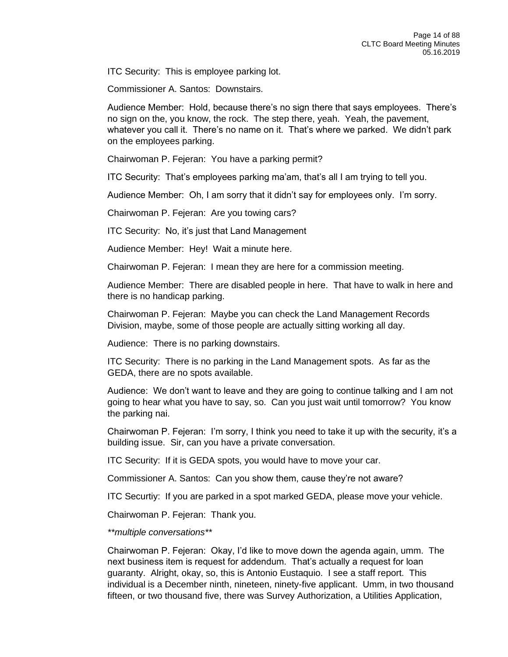ITC Security: This is employee parking lot.

Commissioner A. Santos: Downstairs.

Audience Member: Hold, because there's no sign there that says employees. There's no sign on the, you know, the rock. The step there, yeah. Yeah, the pavement, whatever you call it. There's no name on it. That's where we parked. We didn't park on the employees parking.

Chairwoman P. Fejeran: You have a parking permit?

ITC Security: That's employees parking ma'am, that's all I am trying to tell you.

Audience Member: Oh, I am sorry that it didn't say for employees only. I'm sorry.

Chairwoman P. Fejeran: Are you towing cars?

ITC Security: No, it's just that Land Management

Audience Member: Hey! Wait a minute here.

Chairwoman P. Fejeran: I mean they are here for a commission meeting.

Audience Member: There are disabled people in here. That have to walk in here and there is no handicap parking.

Chairwoman P. Fejeran: Maybe you can check the Land Management Records Division, maybe, some of those people are actually sitting working all day.

Audience: There is no parking downstairs.

ITC Security: There is no parking in the Land Management spots. As far as the GEDA, there are no spots available.

Audience: We don't want to leave and they are going to continue talking and I am not going to hear what you have to say, so. Can you just wait until tomorrow? You know the parking nai.

Chairwoman P. Fejeran: I'm sorry, I think you need to take it up with the security, it's a building issue. Sir, can you have a private conversation.

ITC Security: If it is GEDA spots, you would have to move your car.

Commissioner A. Santos: Can you show them, cause they're not aware?

ITC Securtiy: If you are parked in a spot marked GEDA, please move your vehicle.

Chairwoman P. Fejeran: Thank you.

*\*\*multiple conversations\*\**

Chairwoman P. Fejeran: Okay, I'd like to move down the agenda again, umm. The next business item is request for addendum. That's actually a request for loan guaranty. Alright, okay, so, this is Antonio Eustaquio. I see a staff report. This individual is a December ninth, nineteen, ninety-five applicant. Umm, in two thousand fifteen, or two thousand five, there was Survey Authorization, a Utilities Application,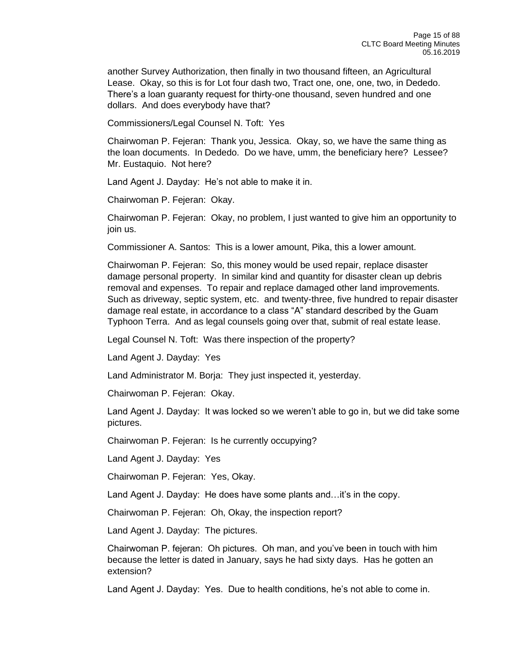another Survey Authorization, then finally in two thousand fifteen, an Agricultural Lease. Okay, so this is for Lot four dash two, Tract one, one, one, two, in Dededo. There's a loan guaranty request for thirty-one thousand, seven hundred and one dollars. And does everybody have that?

Commissioners/Legal Counsel N. Toft: Yes

Chairwoman P. Fejeran: Thank you, Jessica. Okay, so, we have the same thing as the loan documents. In Dededo. Do we have, umm, the beneficiary here? Lessee? Mr. Eustaquio. Not here?

Land Agent J. Dayday: He's not able to make it in.

Chairwoman P. Fejeran: Okay.

Chairwoman P. Fejeran: Okay, no problem, I just wanted to give him an opportunity to join us.

Commissioner A. Santos: This is a lower amount, Pika, this a lower amount.

Chairwoman P. Fejeran: So, this money would be used repair, replace disaster damage personal property. In similar kind and quantity for disaster clean up debris removal and expenses. To repair and replace damaged other land improvements. Such as driveway, septic system, etc. and twenty-three, five hundred to repair disaster damage real estate, in accordance to a class "A" standard described by the Guam Typhoon Terra. And as legal counsels going over that, submit of real estate lease.

Legal Counsel N. Toft: Was there inspection of the property?

Land Agent J. Dayday: Yes

Land Administrator M. Borja: They just inspected it, yesterday.

Chairwoman P. Fejeran: Okay.

Land Agent J. Dayday: It was locked so we weren't able to go in, but we did take some pictures.

Chairwoman P. Fejeran: Is he currently occupying?

Land Agent J. Dayday: Yes

Chairwoman P. Fejeran: Yes, Okay.

Land Agent J. Dayday: He does have some plants and…it's in the copy.

Chairwoman P. Fejeran: Oh, Okay, the inspection report?

Land Agent J. Dayday: The pictures.

Chairwoman P. fejeran: Oh pictures. Oh man, and you've been in touch with him because the letter is dated in January, says he had sixty days. Has he gotten an extension?

Land Agent J. Dayday: Yes. Due to health conditions, he's not able to come in.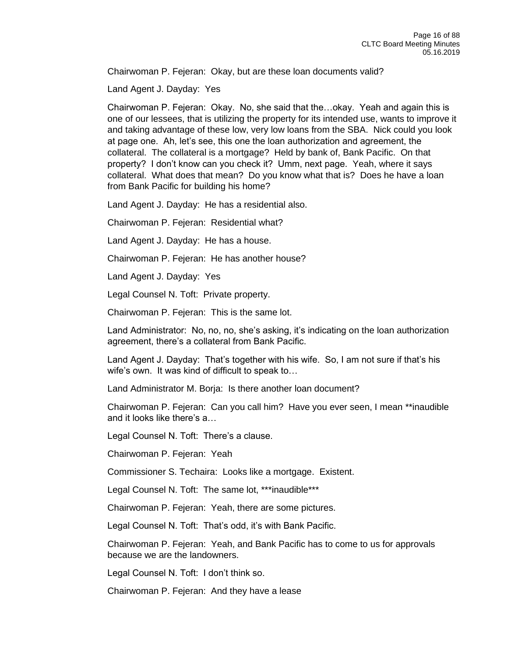Chairwoman P. Fejeran: Okay, but are these loan documents valid?

Land Agent J. Dayday: Yes

Chairwoman P. Fejeran: Okay. No, she said that the…okay. Yeah and again this is one of our lessees, that is utilizing the property for its intended use, wants to improve it and taking advantage of these low, very low loans from the SBA. Nick could you look at page one. Ah, let's see, this one the loan authorization and agreement, the collateral. The collateral is a mortgage? Held by bank of, Bank Pacific. On that property? I don't know can you check it? Umm, next page. Yeah, where it says collateral. What does that mean? Do you know what that is? Does he have a loan from Bank Pacific for building his home?

Land Agent J. Dayday: He has a residential also.

Chairwoman P. Fejeran: Residential what?

Land Agent J. Dayday: He has a house.

Chairwoman P. Fejeran: He has another house?

Land Agent J. Dayday: Yes

Legal Counsel N. Toft: Private property.

Chairwoman P. Fejeran: This is the same lot.

Land Administrator: No, no, no, she's asking, it's indicating on the loan authorization agreement, there's a collateral from Bank Pacific.

Land Agent J. Dayday: That's together with his wife. So, I am not sure if that's his wife's own. It was kind of difficult to speak to…

Land Administrator M. Borja: Is there another loan document?

Chairwoman P. Fejeran: Can you call him? Have you ever seen, I mean \*\*inaudible and it looks like there's a…

Legal Counsel N. Toft: There's a clause.

Chairwoman P. Fejeran: Yeah

Commissioner S. Techaira: Looks like a mortgage. Existent.

Legal Counsel N. Toft: The same lot, \*\*\*inaudible\*\*\*

Chairwoman P. Fejeran: Yeah, there are some pictures.

Legal Counsel N. Toft: That's odd, it's with Bank Pacific.

Chairwoman P. Fejeran: Yeah, and Bank Pacific has to come to us for approvals because we are the landowners.

Legal Counsel N. Toft: I don't think so.

Chairwoman P. Fejeran: And they have a lease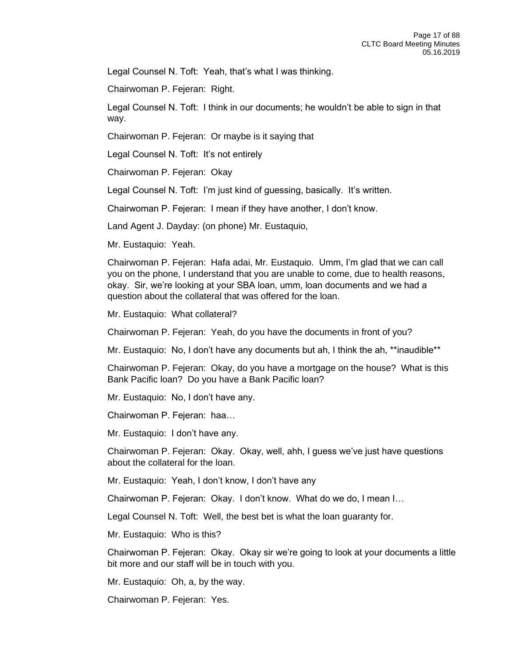Legal Counsel N. Toft: Yeah, that's what I was thinking.

Chairwoman P. Fejeran: Right.

Legal Counsel N. Toft: I think in our documents; he wouldn't be able to sign in that way.

Chairwoman P. Fejeran: Or maybe is it saying that

Legal Counsel N. Toft: It's not entirely

Chairwoman P. Fejeran: Okay

Legal Counsel N. Toft: I'm just kind of guessing, basically. It's written.

Chairwoman P. Fejeran: I mean if they have another, I don't know.

Land Agent J. Dayday: (on phone) Mr. Eustaquio,

Mr. Eustaquio: Yeah.

Chairwoman P. Fejeran: Hafa adai, Mr. Eustaquio. Umm, I'm glad that we can call you on the phone, I understand that you are unable to come, due to health reasons, okay. Sir, we're looking at your SBA loan, umm, loan documents and we had a question about the collateral that was offered for the loan.

Mr. Eustaquio: What collateral?

Chairwoman P. Fejeran: Yeah, do you have the documents in front of you?

Mr. Eustaquio: No, I don't have any documents but ah, I think the ah, \*\*inaudible\*\*

Chairwoman P. Fejeran: Okay, do you have a mortgage on the house? What is this Bank Pacific loan? Do you have a Bank Pacific loan?

Mr. Eustaquio: No, I don't have any.

Chairwoman P. Fejeran: haa…

Mr. Eustaquio: I don't have any.

Chairwoman P. Fejeran: Okay. Okay, well, ahh, I guess we've just have questions about the collateral for the loan.

Mr. Eustaquio: Yeah, I don't know, I don't have any

Chairwoman P. Fejeran: Okay. I don't know. What do we do, I mean I…

Legal Counsel N. Toft: Well, the best bet is what the loan guaranty for.

Mr. Eustaquio: Who is this?

Chairwoman P. Fejeran: Okay. Okay sir we're going to look at your documents a little bit more and our staff will be in touch with you.

Mr. Eustaquio: Oh, a, by the way.

Chairwoman P. Fejeran: Yes.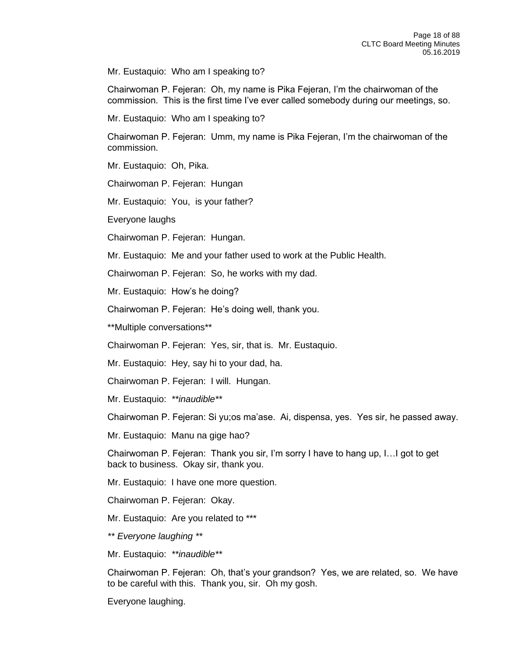Mr. Eustaquio: Who am I speaking to?

Chairwoman P. Fejeran: Oh, my name is Pika Fejeran, I'm the chairwoman of the commission. This is the first time I've ever called somebody during our meetings, so.

Mr. Eustaquio: Who am I speaking to?

Chairwoman P. Fejeran: Umm, my name is Pika Fejeran, I'm the chairwoman of the commission.

Mr. Eustaquio: Oh, Pika.

Chairwoman P. Fejeran: Hungan

Mr. Eustaquio: You, is your father?

Everyone laughs

Chairwoman P. Fejeran: Hungan.

Mr. Eustaquio: Me and your father used to work at the Public Health.

Chairwoman P. Fejeran: So, he works with my dad.

Mr. Eustaquio: How's he doing?

Chairwoman P. Fejeran: He's doing well, thank you.

\*\*Multiple conversations\*\*

Chairwoman P. Fejeran: Yes, sir, that is. Mr. Eustaquio.

Mr. Eustaquio: Hey, say hi to your dad, ha.

Chairwoman P. Fejeran: I will. Hungan.

Mr. Eustaquio: *\*\*inaudible\*\**

Chairwoman P. Fejeran: Si yu;os ma'ase. Ai, dispensa, yes. Yes sir, he passed away.

Mr. Eustaquio: Manu na gige hao?

Chairwoman P. Fejeran: Thank you sir, I'm sorry I have to hang up, I…I got to get back to business. Okay sir, thank you.

Mr. Eustaquio: I have one more question.

Chairwoman P. Fejeran: Okay.

Mr. Eustaquio: Are you related to \*\*\*

*\*\* Everyone laughing \*\**

Mr. Eustaquio: *\*\*inaudible\*\** 

Chairwoman P. Fejeran: Oh, that's your grandson? Yes, we are related, so. We have to be careful with this. Thank you, sir. Oh my gosh.

Everyone laughing.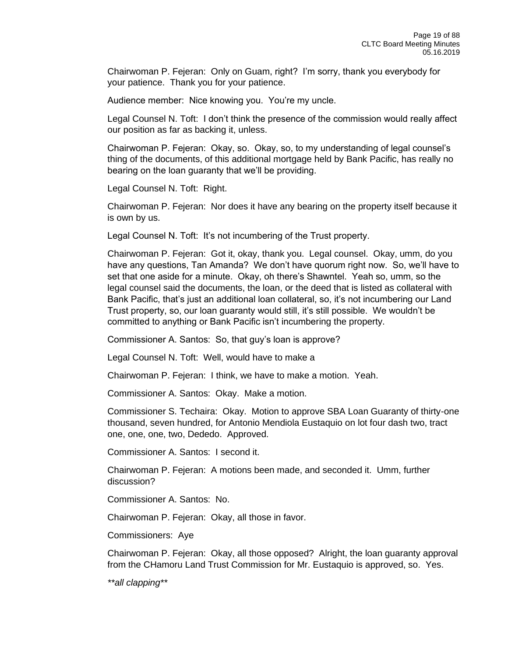Chairwoman P. Fejeran: Only on Guam, right? I'm sorry, thank you everybody for your patience. Thank you for your patience.

Audience member: Nice knowing you. You're my uncle.

Legal Counsel N. Toft: I don't think the presence of the commission would really affect our position as far as backing it, unless.

Chairwoman P. Fejeran: Okay, so. Okay, so, to my understanding of legal counsel's thing of the documents, of this additional mortgage held by Bank Pacific, has really no bearing on the loan guaranty that we'll be providing.

Legal Counsel N. Toft: Right.

Chairwoman P. Fejeran: Nor does it have any bearing on the property itself because it is own by us.

Legal Counsel N. Toft: It's not incumbering of the Trust property.

Chairwoman P. Fejeran: Got it, okay, thank you. Legal counsel. Okay, umm, do you have any questions, Tan Amanda? We don't have quorum right now. So, we'll have to set that one aside for a minute. Okay, oh there's Shawntel. Yeah so, umm, so the legal counsel said the documents, the loan, or the deed that is listed as collateral with Bank Pacific, that's just an additional loan collateral, so, it's not incumbering our Land Trust property, so, our loan guaranty would still, it's still possible. We wouldn't be committed to anything or Bank Pacific isn't incumbering the property.

Commissioner A. Santos: So, that guy's loan is approve?

Legal Counsel N. Toft: Well, would have to make a

Chairwoman P. Fejeran: I think, we have to make a motion. Yeah.

Commissioner A. Santos: Okay. Make a motion.

Commissioner S. Techaira: Okay. Motion to approve SBA Loan Guaranty of thirty-one thousand, seven hundred, for Antonio Mendiola Eustaquio on lot four dash two, tract one, one, one, two, Dededo. Approved.

Commissioner A. Santos: I second it.

Chairwoman P. Fejeran: A motions been made, and seconded it. Umm, further discussion?

Commissioner A. Santos: No.

Chairwoman P. Fejeran: Okay, all those in favor.

Commissioners: Aye

Chairwoman P. Fejeran: Okay, all those opposed? Alright, the loan guaranty approval from the CHamoru Land Trust Commission for Mr. Eustaquio is approved, so. Yes.

*\*\*all clapping\*\**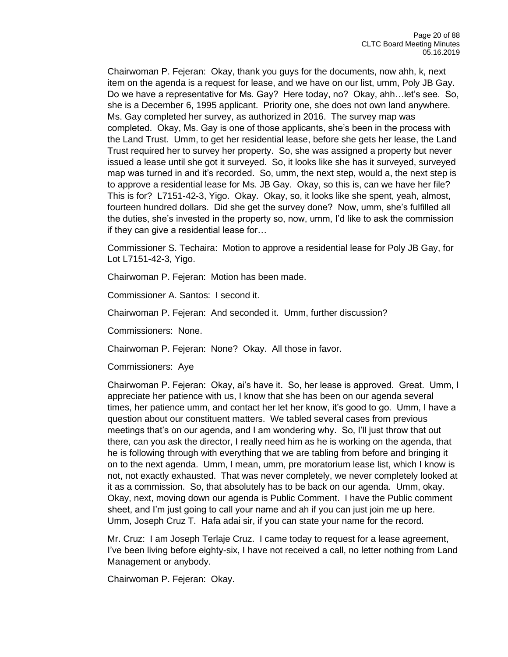Chairwoman P. Fejeran: Okay, thank you guys for the documents, now ahh, k, next item on the agenda is a request for lease, and we have on our list, umm, Poly JB Gay. Do we have a representative for Ms. Gay? Here today, no? Okay, ahh…let's see. So, she is a December 6, 1995 applicant. Priority one, she does not own land anywhere. Ms. Gay completed her survey, as authorized in 2016. The survey map was completed. Okay, Ms. Gay is one of those applicants, she's been in the process with the Land Trust. Umm, to get her residential lease, before she gets her lease, the Land Trust required her to survey her property. So, she was assigned a property but never issued a lease until she got it surveyed. So, it looks like she has it surveyed, surveyed map was turned in and it's recorded. So, umm, the next step, would a, the next step is to approve a residential lease for Ms. JB Gay. Okay, so this is, can we have her file? This is for? L7151-42-3, Yigo. Okay. Okay, so, it looks like she spent, yeah, almost, fourteen hundred dollars. Did she get the survey done? Now, umm, she's fulfilled all the duties, she's invested in the property so, now, umm, I'd like to ask the commission if they can give a residential lease for…

Commissioner S. Techaira: Motion to approve a residential lease for Poly JB Gay, for Lot L7151-42-3, Yigo.

Chairwoman P. Fejeran: Motion has been made.

Commissioner A. Santos: I second it.

Chairwoman P. Fejeran: And seconded it. Umm, further discussion?

Commissioners: None.

Chairwoman P. Fejeran: None? Okay. All those in favor.

Commissioners: Aye

Chairwoman P. Fejeran: Okay, ai's have it. So, her lease is approved. Great. Umm, I appreciate her patience with us, I know that she has been on our agenda several times, her patience umm, and contact her let her know, it's good to go. Umm, I have a question about our constituent matters. We tabled several cases from previous meetings that's on our agenda, and I am wondering why. So, I'll just throw that out there, can you ask the director, I really need him as he is working on the agenda, that he is following through with everything that we are tabling from before and bringing it on to the next agenda. Umm, I mean, umm, pre moratorium lease list, which I know is not, not exactly exhausted. That was never completely, we never completely looked at it as a commission. So, that absolutely has to be back on our agenda. Umm, okay. Okay, next, moving down our agenda is Public Comment. I have the Public comment sheet, and I'm just going to call your name and ah if you can just join me up here. Umm, Joseph Cruz T. Hafa adai sir, if you can state your name for the record.

Mr. Cruz: I am Joseph Terlaje Cruz. I came today to request for a lease agreement, I've been living before eighty-six, I have not received a call, no letter nothing from Land Management or anybody.

Chairwoman P. Fejeran: Okay.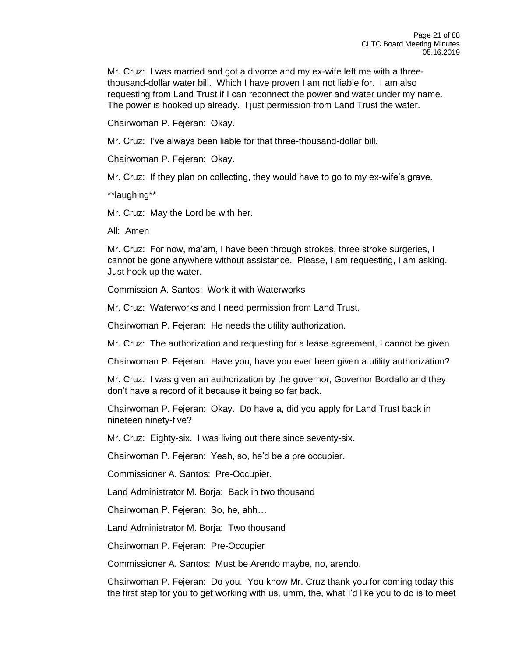Mr. Cruz: I was married and got a divorce and my ex-wife left me with a threethousand-dollar water bill. Which I have proven I am not liable for. I am also requesting from Land Trust if I can reconnect the power and water under my name. The power is hooked up already. I just permission from Land Trust the water.

Chairwoman P. Fejeran: Okay.

Mr. Cruz: I've always been liable for that three-thousand-dollar bill.

Chairwoman P. Fejeran: Okay.

Mr. Cruz: If they plan on collecting, they would have to go to my ex-wife's grave.

\*\*laughing\*\*

Mr. Cruz: May the Lord be with her.

All: Amen

Mr. Cruz: For now, ma'am, I have been through strokes, three stroke surgeries, I cannot be gone anywhere without assistance. Please, I am requesting, I am asking. Just hook up the water.

Commission A. Santos: Work it with Waterworks

Mr. Cruz: Waterworks and I need permission from Land Trust.

Chairwoman P. Fejeran: He needs the utility authorization.

Mr. Cruz: The authorization and requesting for a lease agreement, I cannot be given

Chairwoman P. Fejeran: Have you, have you ever been given a utility authorization?

Mr. Cruz: I was given an authorization by the governor, Governor Bordallo and they don't have a record of it because it being so far back.

Chairwoman P. Fejeran: Okay. Do have a, did you apply for Land Trust back in nineteen ninety-five?

Mr. Cruz: Eighty-six. I was living out there since seventy-six.

Chairwoman P. Fejeran: Yeah, so, he'd be a pre occupier.

Commissioner A. Santos: Pre-Occupier.

Land Administrator M. Borja: Back in two thousand

Chairwoman P. Fejeran: So, he, ahh…

Land Administrator M. Borja: Two thousand

Chairwoman P. Fejeran: Pre-Occupier

Commissioner A. Santos: Must be Arendo maybe, no, arendo.

Chairwoman P. Fejeran: Do you. You know Mr. Cruz thank you for coming today this the first step for you to get working with us, umm, the, what I'd like you to do is to meet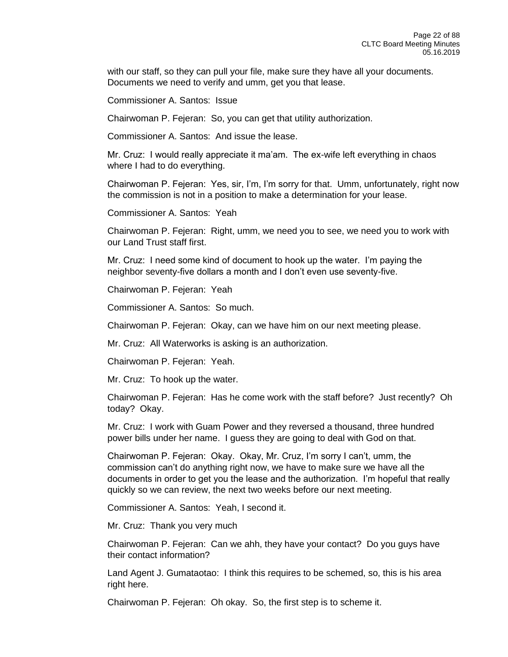with our staff, so they can pull your file, make sure they have all your documents. Documents we need to verify and umm, get you that lease.

Commissioner A. Santos: Issue

Chairwoman P. Fejeran: So, you can get that utility authorization.

Commissioner A. Santos: And issue the lease.

Mr. Cruz: I would really appreciate it ma'am. The ex-wife left everything in chaos where I had to do everything.

Chairwoman P. Fejeran: Yes, sir, I'm, I'm sorry for that. Umm, unfortunately, right now the commission is not in a position to make a determination for your lease.

Commissioner A. Santos: Yeah

Chairwoman P. Fejeran: Right, umm, we need you to see, we need you to work with our Land Trust staff first.

Mr. Cruz: I need some kind of document to hook up the water. I'm paying the neighbor seventy-five dollars a month and I don't even use seventy-five.

Chairwoman P. Fejeran: Yeah

Commissioner A. Santos: So much.

Chairwoman P. Fejeran: Okay, can we have him on our next meeting please.

Mr. Cruz: All Waterworks is asking is an authorization.

Chairwoman P. Fejeran: Yeah.

Mr. Cruz: To hook up the water.

Chairwoman P. Fejeran: Has he come work with the staff before? Just recently? Oh today? Okay.

Mr. Cruz: I work with Guam Power and they reversed a thousand, three hundred power bills under her name. I guess they are going to deal with God on that.

Chairwoman P. Fejeran: Okay. Okay, Mr. Cruz, I'm sorry I can't, umm, the commission can't do anything right now, we have to make sure we have all the documents in order to get you the lease and the authorization. I'm hopeful that really quickly so we can review, the next two weeks before our next meeting.

Commissioner A. Santos: Yeah, I second it.

Mr. Cruz: Thank you very much

Chairwoman P. Fejeran: Can we ahh, they have your contact? Do you guys have their contact information?

Land Agent J. Gumataotao: I think this requires to be schemed, so, this is his area right here.

Chairwoman P. Fejeran: Oh okay. So, the first step is to scheme it.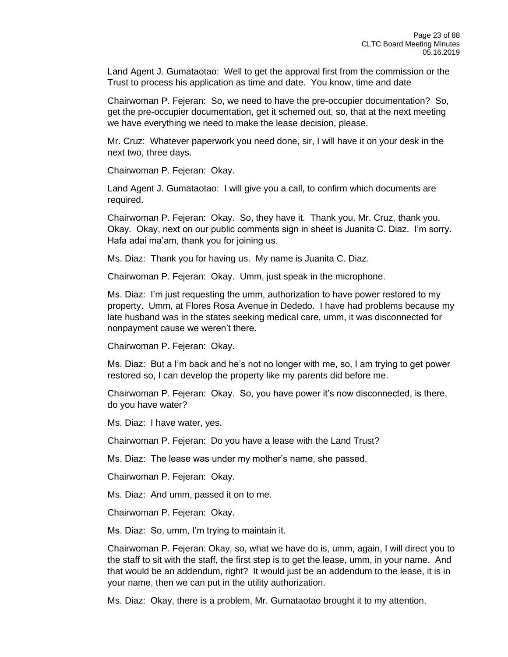Land Agent J. Gumataotao: Well to get the approval first from the commission or the Trust to process his application as time and date. You know, time and date

Chairwoman P. Fejeran: So, we need to have the pre-occupier documentation? So, get the pre-occupier documentation, get it schemed out, so, that at the next meeting we have everything we need to make the lease decision, please.

Mr. Cruz: Whatever paperwork you need done, sir, I will have it on your desk in the next two, three days.

Chairwoman P. Fejeran: Okay.

Land Agent J. Gumataotao: I will give you a call, to confirm which documents are required.

Chairwoman P. Fejeran: Okay. So, they have it. Thank you, Mr. Cruz, thank you. Okay. Okay, next on our public comments sign in sheet is Juanita C. Diaz. I'm sorry. Hafa adai ma'am, thank you for joining us.

Ms. Diaz: Thank you for having us. My name is Juanita C. Diaz.

Chairwoman P. Fejeran: Okay. Umm, just speak in the microphone.

Ms. Diaz: I'm just requesting the umm, authorization to have power restored to my property. Umm, at Flores Rosa Avenue in Dededo. I have had problems because my late husband was in the states seeking medical care, umm, it was disconnected for nonpayment cause we weren't there.

Chairwoman P. Fejeran: Okay.

Ms. Diaz: But a I'm back and he's not no longer with me, so, I am trying to get power restored so, I can develop the property like my parents did before me.

Chairwoman P. Fejeran: Okay. So, you have power it's now disconnected, is there, do you have water?

Ms. Diaz: I have water, yes.

Chairwoman P. Fejeran: Do you have a lease with the Land Trust?

Ms. Diaz: The lease was under my mother's name, she passed.

Chairwoman P. Fejeran: Okay.

Ms. Diaz: And umm, passed it on to me.

Chairwoman P. Fejeran: Okay.

Ms. Diaz: So, umm, I'm trying to maintain it.

Chairwoman P. Fejeran: Okay, so, what we have do is, umm, again, I will direct you to the staff to sit with the staff, the first step is to get the lease, umm, in your name. And that would be an addendum, right? It would just be an addendum to the lease, it is in your name, then we can put in the utility authorization.

Ms. Diaz: Okay, there is a problem, Mr. Gumataotao brought it to my attention.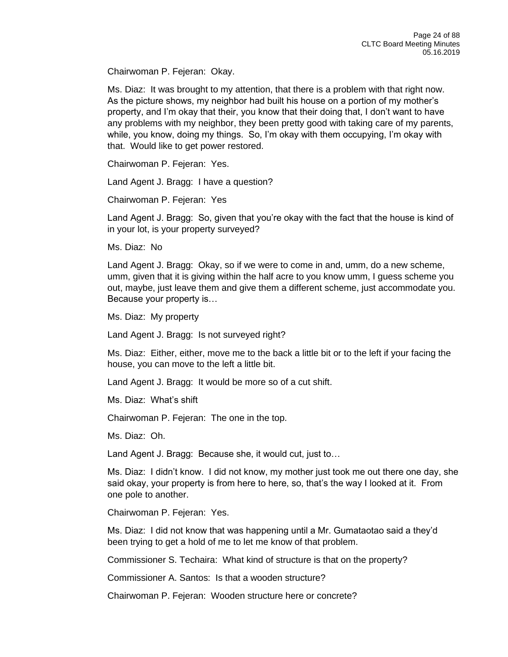Chairwoman P. Fejeran: Okay.

Ms. Diaz: It was brought to my attention, that there is a problem with that right now. As the picture shows, my neighbor had built his house on a portion of my mother's property, and I'm okay that their, you know that their doing that, I don't want to have any problems with my neighbor, they been pretty good with taking care of my parents, while, you know, doing my things. So, I'm okay with them occupying, I'm okay with that. Would like to get power restored.

Chairwoman P. Fejeran: Yes.

Land Agent J. Bragg: I have a question?

Chairwoman P. Fejeran: Yes

Land Agent J. Bragg: So, given that you're okay with the fact that the house is kind of in your lot, is your property surveyed?

Ms. Diaz: No

Land Agent J. Bragg: Okay, so if we were to come in and, umm, do a new scheme, umm, given that it is giving within the half acre to you know umm, I guess scheme you out, maybe, just leave them and give them a different scheme, just accommodate you. Because your property is…

Ms. Diaz: My property

Land Agent J. Bragg: Is not surveyed right?

Ms. Diaz: Either, either, move me to the back a little bit or to the left if your facing the house, you can move to the left a little bit.

Land Agent J. Bragg: It would be more so of a cut shift.

Ms. Diaz: What's shift

Chairwoman P. Fejeran: The one in the top.

Ms. Diaz: Oh.

Land Agent J. Bragg: Because she, it would cut, just to…

Ms. Diaz: I didn't know. I did not know, my mother just took me out there one day, she said okay, your property is from here to here, so, that's the way I looked at it. From one pole to another.

Chairwoman P. Fejeran: Yes.

Ms. Diaz: I did not know that was happening until a Mr. Gumataotao said a they'd been trying to get a hold of me to let me know of that problem.

Commissioner S. Techaira: What kind of structure is that on the property?

Commissioner A. Santos: Is that a wooden structure?

Chairwoman P. Fejeran: Wooden structure here or concrete?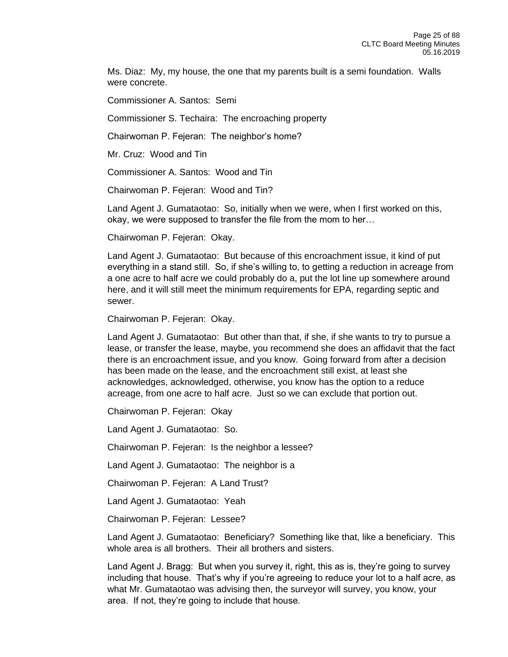Ms. Diaz: My, my house, the one that my parents built is a semi foundation. Walls were concrete.

Commissioner A. Santos: Semi

Commissioner S. Techaira: The encroaching property

Chairwoman P. Fejeran: The neighbor's home?

Mr. Cruz: Wood and Tin

Commissioner A. Santos: Wood and Tin

Chairwoman P. Fejeran: Wood and Tin?

Land Agent J. Gumataotao: So, initially when we were, when I first worked on this, okay, we were supposed to transfer the file from the mom to her…

Chairwoman P. Fejeran: Okay.

Land Agent J. Gumataotao: But because of this encroachment issue, it kind of put everything in a stand still. So, if she's willing to, to getting a reduction in acreage from a one acre to half acre we could probably do a, put the lot line up somewhere around here, and it will still meet the minimum requirements for EPA, regarding septic and sewer.

Chairwoman P. Fejeran: Okay.

Land Agent J. Gumataotao: But other than that, if she, if she wants to try to pursue a lease, or transfer the lease, maybe, you recommend she does an affidavit that the fact there is an encroachment issue, and you know. Going forward from after a decision has been made on the lease, and the encroachment still exist, at least she acknowledges, acknowledged, otherwise, you know has the option to a reduce acreage, from one acre to half acre. Just so we can exclude that portion out.

Chairwoman P. Fejeran: Okay

Land Agent J. Gumataotao: So.

Chairwoman P. Fejeran: Is the neighbor a lessee?

Land Agent J. Gumataotao: The neighbor is a

Chairwoman P. Fejeran: A Land Trust?

Land Agent J. Gumataotao: Yeah

Chairwoman P. Fejeran: Lessee?

Land Agent J. Gumataotao: Beneficiary? Something like that, like a beneficiary. This whole area is all brothers. Their all brothers and sisters.

Land Agent J. Bragg: But when you survey it, right, this as is, they're going to survey including that house. That's why if you're agreeing to reduce your lot to a half acre, as what Mr. Gumataotao was advising then, the surveyor will survey, you know, your area. If not, they're going to include that house.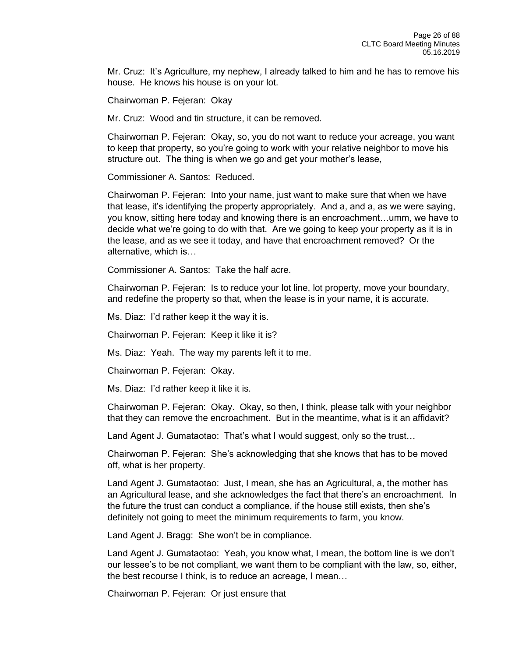Mr. Cruz: It's Agriculture, my nephew, I already talked to him and he has to remove his house. He knows his house is on your lot.

Chairwoman P. Fejeran: Okay

Mr. Cruz: Wood and tin structure, it can be removed.

Chairwoman P. Fejeran: Okay, so, you do not want to reduce your acreage, you want to keep that property, so you're going to work with your relative neighbor to move his structure out. The thing is when we go and get your mother's lease,

Commissioner A. Santos: Reduced.

Chairwoman P. Fejeran: Into your name, just want to make sure that when we have that lease, it's identifying the property appropriately. And a, and a, as we were saying, you know, sitting here today and knowing there is an encroachment…umm, we have to decide what we're going to do with that. Are we going to keep your property as it is in the lease, and as we see it today, and have that encroachment removed? Or the alternative, which is…

Commissioner A. Santos: Take the half acre.

Chairwoman P. Fejeran: Is to reduce your lot line, lot property, move your boundary, and redefine the property so that, when the lease is in your name, it is accurate.

Ms. Diaz: I'd rather keep it the way it is.

Chairwoman P. Fejeran: Keep it like it is?

Ms. Diaz: Yeah. The way my parents left it to me.

Chairwoman P. Fejeran: Okay.

Ms. Diaz: I'd rather keep it like it is.

Chairwoman P. Fejeran: Okay. Okay, so then, I think, please talk with your neighbor that they can remove the encroachment. But in the meantime, what is it an affidavit?

Land Agent J. Gumataotao: That's what I would suggest, only so the trust…

Chairwoman P. Fejeran: She's acknowledging that she knows that has to be moved off, what is her property.

Land Agent J. Gumataotao: Just, I mean, she has an Agricultural, a, the mother has an Agricultural lease, and she acknowledges the fact that there's an encroachment. In the future the trust can conduct a compliance, if the house still exists, then she's definitely not going to meet the minimum requirements to farm, you know.

Land Agent J. Bragg: She won't be in compliance.

Land Agent J. Gumataotao: Yeah, you know what, I mean, the bottom line is we don't our lessee's to be not compliant, we want them to be compliant with the law, so, either, the best recourse I think, is to reduce an acreage, I mean…

Chairwoman P. Fejeran: Or just ensure that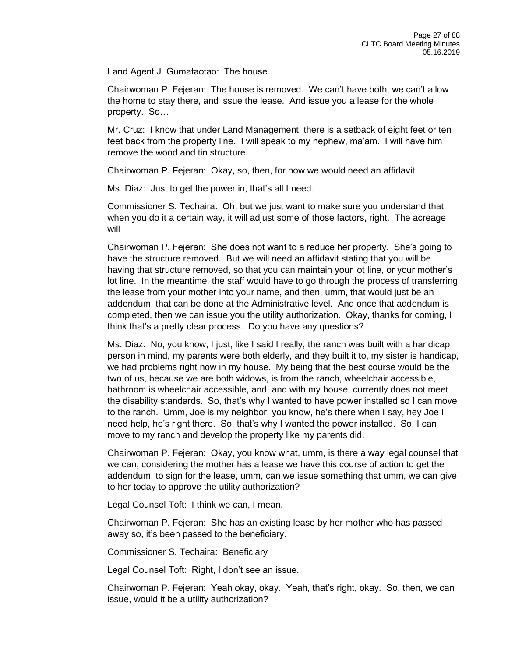Land Agent J. Gumataotao: The house…

Chairwoman P. Fejeran: The house is removed. We can't have both, we can't allow the home to stay there, and issue the lease. And issue you a lease for the whole property. So…

Mr. Cruz: I know that under Land Management, there is a setback of eight feet or ten feet back from the property line. I will speak to my nephew, ma'am. I will have him remove the wood and tin structure.

Chairwoman P. Fejeran: Okay, so, then, for now we would need an affidavit.

Ms. Diaz: Just to get the power in, that's all I need.

Commissioner S. Techaira: Oh, but we just want to make sure you understand that when you do it a certain way, it will adjust some of those factors, right. The acreage will

Chairwoman P. Fejeran: She does not want to a reduce her property. She's going to have the structure removed. But we will need an affidavit stating that you will be having that structure removed, so that you can maintain your lot line, or your mother's lot line. In the meantime, the staff would have to go through the process of transferring the lease from your mother into your name, and then, umm, that would just be an addendum, that can be done at the Administrative level. And once that addendum is completed, then we can issue you the utility authorization. Okay, thanks for coming, I think that's a pretty clear process. Do you have any questions?

Ms. Diaz: No, you know, I just, like I said I really, the ranch was built with a handicap person in mind, my parents were both elderly, and they built it to, my sister is handicap, we had problems right now in my house. My being that the best course would be the two of us, because we are both widows, is from the ranch, wheelchair accessible, bathroom is wheelchair accessible, and, and with my house, currently does not meet the disability standards. So, that's why I wanted to have power installed so I can move to the ranch. Umm, Joe is my neighbor, you know, he's there when I say, hey Joe I need help, he's right there. So, that's why I wanted the power installed. So, I can move to my ranch and develop the property like my parents did.

Chairwoman P. Fejeran: Okay, you know what, umm, is there a way legal counsel that we can, considering the mother has a lease we have this course of action to get the addendum, to sign for the lease, umm, can we issue something that umm, we can give to her today to approve the utility authorization?

Legal Counsel Toft: I think we can, I mean,

Chairwoman P. Fejeran: She has an existing lease by her mother who has passed away so, it's been passed to the beneficiary.

Commissioner S. Techaira: Beneficiary

Legal Counsel Toft: Right, I don't see an issue.

Chairwoman P. Fejeran: Yeah okay, okay. Yeah, that's right, okay. So, then, we can issue, would it be a utility authorization?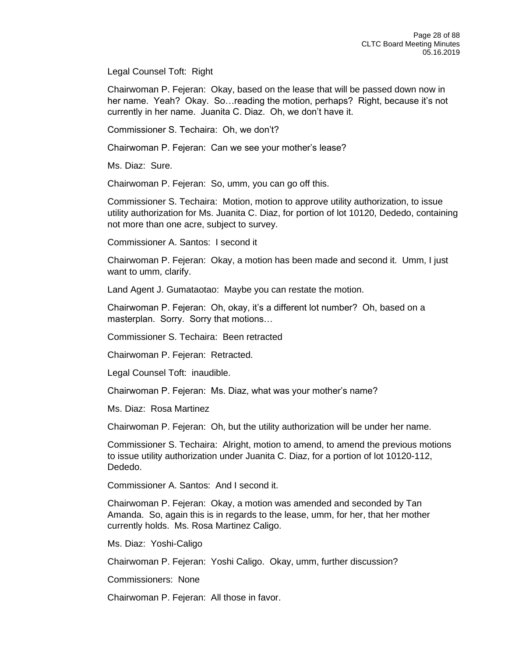Legal Counsel Toft: Right

Chairwoman P. Fejeran: Okay, based on the lease that will be passed down now in her name. Yeah? Okay. So…reading the motion, perhaps? Right, because it's not currently in her name. Juanita C. Diaz. Oh, we don't have it.

Commissioner S. Techaira: Oh, we don't?

Chairwoman P. Fejeran: Can we see your mother's lease?

Ms. Diaz: Sure.

Chairwoman P. Fejeran: So, umm, you can go off this.

Commissioner S. Techaira: Motion, motion to approve utility authorization, to issue utility authorization for Ms. Juanita C. Diaz, for portion of lot 10120, Dededo, containing not more than one acre, subject to survey.

Commissioner A. Santos: I second it

Chairwoman P. Fejeran: Okay, a motion has been made and second it. Umm, I just want to umm, clarify.

Land Agent J. Gumataotao: Maybe you can restate the motion.

Chairwoman P. Fejeran: Oh, okay, it's a different lot number? Oh, based on a masterplan. Sorry. Sorry that motions…

Commissioner S. Techaira: Been retracted

Chairwoman P. Fejeran: Retracted.

Legal Counsel Toft: inaudible.

Chairwoman P. Fejeran: Ms. Diaz, what was your mother's name?

Ms. Diaz: Rosa Martinez

Chairwoman P. Fejeran: Oh, but the utility authorization will be under her name.

Commissioner S. Techaira: Alright, motion to amend, to amend the previous motions to issue utility authorization under Juanita C. Diaz, for a portion of lot 10120-112, Dededo.

Commissioner A. Santos: And I second it.

Chairwoman P. Fejeran: Okay, a motion was amended and seconded by Tan Amanda. So, again this is in regards to the lease, umm, for her, that her mother currently holds. Ms. Rosa Martinez Caligo.

Ms. Diaz: Yoshi-Caligo

Chairwoman P. Fejeran: Yoshi Caligo. Okay, umm, further discussion?

Commissioners: None

Chairwoman P. Fejeran: All those in favor.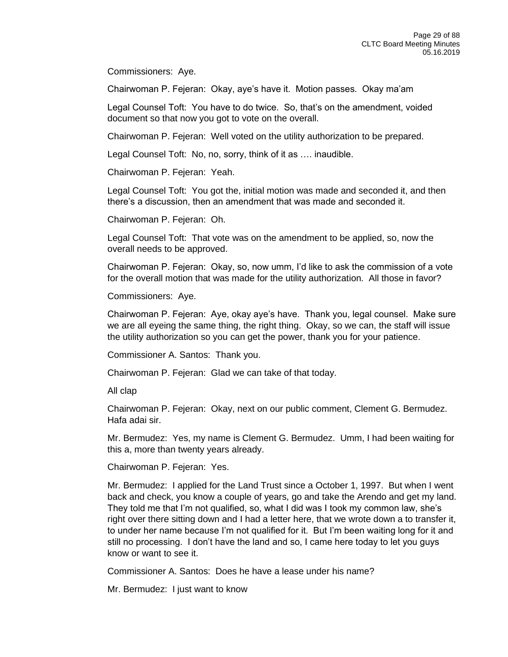Commissioners: Aye.

Chairwoman P. Fejeran: Okay, aye's have it. Motion passes. Okay ma'am

Legal Counsel Toft: You have to do twice. So, that's on the amendment, voided document so that now you got to vote on the overall.

Chairwoman P. Fejeran: Well voted on the utility authorization to be prepared.

Legal Counsel Toft: No, no, sorry, think of it as …. inaudible.

Chairwoman P. Fejeran: Yeah.

Legal Counsel Toft: You got the, initial motion was made and seconded it, and then there's a discussion, then an amendment that was made and seconded it.

Chairwoman P. Fejeran: Oh.

Legal Counsel Toft: That vote was on the amendment to be applied, so, now the overall needs to be approved.

Chairwoman P. Fejeran: Okay, so, now umm, I'd like to ask the commission of a vote for the overall motion that was made for the utility authorization. All those in favor?

Commissioners: Aye.

Chairwoman P. Fejeran: Aye, okay aye's have. Thank you, legal counsel. Make sure we are all eyeing the same thing, the right thing. Okay, so we can, the staff will issue the utility authorization so you can get the power, thank you for your patience.

Commissioner A. Santos: Thank you.

Chairwoman P. Fejeran: Glad we can take of that today.

All clap

Chairwoman P. Fejeran: Okay, next on our public comment, Clement G. Bermudez. Hafa adai sir.

Mr. Bermudez: Yes, my name is Clement G. Bermudez. Umm, I had been waiting for this a, more than twenty years already.

Chairwoman P. Fejeran: Yes.

Mr. Bermudez: I applied for the Land Trust since a October 1, 1997. But when I went back and check, you know a couple of years, go and take the Arendo and get my land. They told me that I'm not qualified, so, what I did was I took my common law, she's right over there sitting down and I had a letter here, that we wrote down a to transfer it, to under her name because I'm not qualified for it. But I'm been waiting long for it and still no processing. I don't have the land and so, I came here today to let you guys know or want to see it.

Commissioner A. Santos: Does he have a lease under his name?

Mr. Bermudez: I just want to know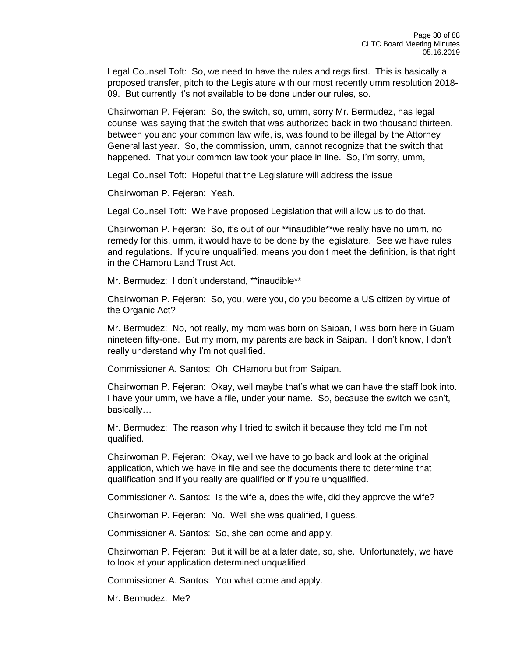Legal Counsel Toft: So, we need to have the rules and regs first. This is basically a proposed transfer, pitch to the Legislature with our most recently umm resolution 2018- 09. But currently it's not available to be done under our rules, so.

Chairwoman P. Fejeran: So, the switch, so, umm, sorry Mr. Bermudez, has legal counsel was saying that the switch that was authorized back in two thousand thirteen, between you and your common law wife, is, was found to be illegal by the Attorney General last year. So, the commission, umm, cannot recognize that the switch that happened. That your common law took your place in line. So, I'm sorry, umm,

Legal Counsel Toft: Hopeful that the Legislature will address the issue

Chairwoman P. Fejeran: Yeah.

Legal Counsel Toft: We have proposed Legislation that will allow us to do that.

Chairwoman P. Fejeran: So, it's out of our \*\*inaudible\*\*we really have no umm, no remedy for this, umm, it would have to be done by the legislature. See we have rules and regulations. If you're unqualified, means you don't meet the definition, is that right in the CHamoru Land Trust Act.

Mr. Bermudez: I don't understand, \*\*inaudible\*\*

Chairwoman P. Fejeran: So, you, were you, do you become a US citizen by virtue of the Organic Act?

Mr. Bermudez: No, not really, my mom was born on Saipan, I was born here in Guam nineteen fifty-one. But my mom, my parents are back in Saipan. I don't know, I don't really understand why I'm not qualified.

Commissioner A. Santos: Oh, CHamoru but from Saipan.

Chairwoman P. Fejeran: Okay, well maybe that's what we can have the staff look into. I have your umm, we have a file, under your name. So, because the switch we can't, basically…

Mr. Bermudez: The reason why I tried to switch it because they told me I'm not qualified.

Chairwoman P. Fejeran: Okay, well we have to go back and look at the original application, which we have in file and see the documents there to determine that qualification and if you really are qualified or if you're unqualified.

Commissioner A. Santos: Is the wife a, does the wife, did they approve the wife?

Chairwoman P. Fejeran: No. Well she was qualified, I guess.

Commissioner A. Santos: So, she can come and apply.

Chairwoman P. Fejeran: But it will be at a later date, so, she. Unfortunately, we have to look at your application determined unqualified.

Commissioner A. Santos: You what come and apply.

Mr. Bermudez: Me?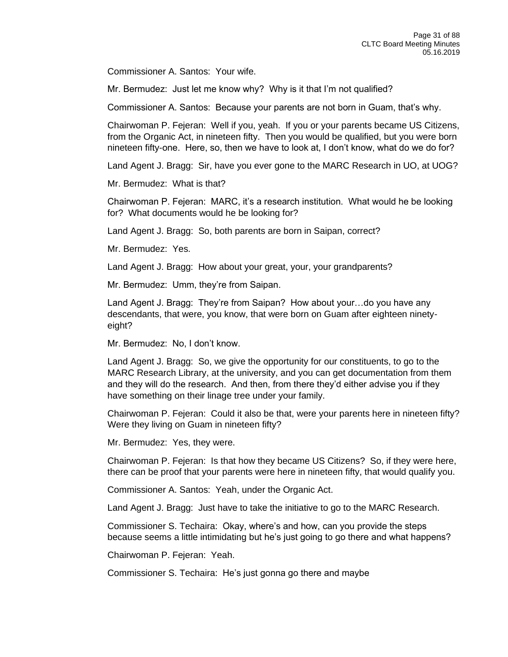Commissioner A. Santos: Your wife.

Mr. Bermudez: Just let me know why? Why is it that I'm not qualified?

Commissioner A. Santos: Because your parents are not born in Guam, that's why.

Chairwoman P. Fejeran: Well if you, yeah. If you or your parents became US Citizens, from the Organic Act, in nineteen fifty. Then you would be qualified, but you were born nineteen fifty-one. Here, so, then we have to look at, I don't know, what do we do for?

Land Agent J. Bragg: Sir, have you ever gone to the MARC Research in UO, at UOG?

Mr. Bermudez: What is that?

Chairwoman P. Fejeran: MARC, it's a research institution. What would he be looking for? What documents would he be looking for?

Land Agent J. Bragg: So, both parents are born in Saipan, correct?

Mr. Bermudez: Yes.

Land Agent J. Bragg: How about your great, your, your grandparents?

Mr. Bermudez: Umm, they're from Saipan.

Land Agent J. Bragg: They're from Saipan? How about your…do you have any descendants, that were, you know, that were born on Guam after eighteen ninetyeight?

Mr. Bermudez: No, I don't know.

Land Agent J. Bragg: So, we give the opportunity for our constituents, to go to the MARC Research Library, at the university, and you can get documentation from them and they will do the research. And then, from there they'd either advise you if they have something on their linage tree under your family.

Chairwoman P. Fejeran: Could it also be that, were your parents here in nineteen fifty? Were they living on Guam in nineteen fifty?

Mr. Bermudez: Yes, they were.

Chairwoman P. Fejeran: Is that how they became US Citizens? So, if they were here, there can be proof that your parents were here in nineteen fifty, that would qualify you.

Commissioner A. Santos: Yeah, under the Organic Act.

Land Agent J. Bragg: Just have to take the initiative to go to the MARC Research.

Commissioner S. Techaira: Okay, where's and how, can you provide the steps because seems a little intimidating but he's just going to go there and what happens?

Chairwoman P. Fejeran: Yeah.

Commissioner S. Techaira: He's just gonna go there and maybe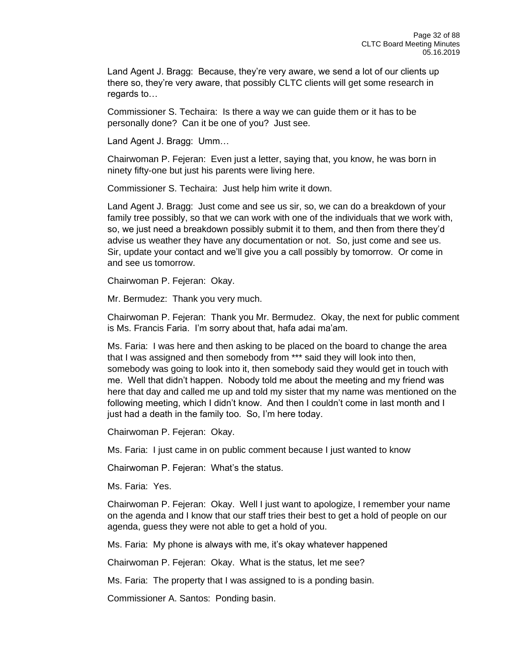Land Agent J. Bragg: Because, they're very aware, we send a lot of our clients up there so, they're very aware, that possibly CLTC clients will get some research in regards to…

Commissioner S. Techaira: Is there a way we can guide them or it has to be personally done? Can it be one of you? Just see.

Land Agent J. Bragg: Umm…

Chairwoman P. Fejeran: Even just a letter, saying that, you know, he was born in ninety fifty-one but just his parents were living here.

Commissioner S. Techaira: Just help him write it down.

Land Agent J. Bragg: Just come and see us sir, so, we can do a breakdown of your family tree possibly, so that we can work with one of the individuals that we work with, so, we just need a breakdown possibly submit it to them, and then from there they'd advise us weather they have any documentation or not. So, just come and see us. Sir, update your contact and we'll give you a call possibly by tomorrow. Or come in and see us tomorrow.

Chairwoman P. Fejeran: Okay.

Mr. Bermudez: Thank you very much.

Chairwoman P. Fejeran: Thank you Mr. Bermudez. Okay, the next for public comment is Ms. Francis Faria. I'm sorry about that, hafa adai ma'am.

Ms. Faria: I was here and then asking to be placed on the board to change the area that I was assigned and then somebody from \*\*\* said they will look into then, somebody was going to look into it, then somebody said they would get in touch with me. Well that didn't happen. Nobody told me about the meeting and my friend was here that day and called me up and told my sister that my name was mentioned on the following meeting, which I didn't know. And then I couldn't come in last month and I just had a death in the family too. So, I'm here today.

Chairwoman P. Fejeran: Okay.

Ms. Faria: I just came in on public comment because I just wanted to know

Chairwoman P. Fejeran: What's the status.

Ms. Faria: Yes.

Chairwoman P. Fejeran: Okay. Well I just want to apologize, I remember your name on the agenda and I know that our staff tries their best to get a hold of people on our agenda, guess they were not able to get a hold of you.

Ms. Faria: My phone is always with me, it's okay whatever happened

Chairwoman P. Fejeran: Okay. What is the status, let me see?

Ms. Faria: The property that I was assigned to is a ponding basin.

Commissioner A. Santos: Ponding basin.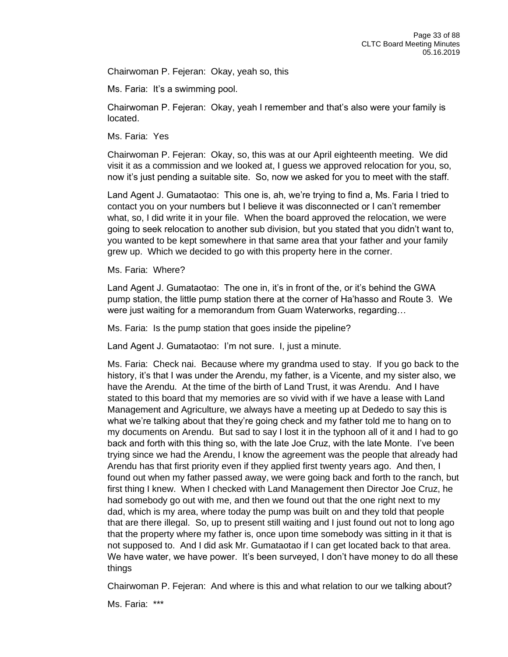Chairwoman P. Fejeran: Okay, yeah so, this

Ms. Faria: It's a swimming pool.

Chairwoman P. Fejeran: Okay, yeah I remember and that's also were your family is located.

Ms. Faria: Yes

Chairwoman P. Fejeran: Okay, so, this was at our April eighteenth meeting. We did visit it as a commission and we looked at, I guess we approved relocation for you, so, now it's just pending a suitable site. So, now we asked for you to meet with the staff.

Land Agent J. Gumataotao: This one is, ah, we're trying to find a, Ms. Faria I tried to contact you on your numbers but I believe it was disconnected or I can't remember what, so, I did write it in your file. When the board approved the relocation, we were going to seek relocation to another sub division, but you stated that you didn't want to, you wanted to be kept somewhere in that same area that your father and your family grew up. Which we decided to go with this property here in the corner.

Ms. Faria: Where?

Land Agent J. Gumataotao: The one in, it's in front of the, or it's behind the GWA pump station, the little pump station there at the corner of Ha'hasso and Route 3. We were just waiting for a memorandum from Guam Waterworks, regarding…

Ms. Faria: Is the pump station that goes inside the pipeline?

Land Agent J. Gumataotao: I'm not sure. I, just a minute.

Ms. Faria: Check nai. Because where my grandma used to stay. If you go back to the history, it's that I was under the Arendu, my father, is a Vicente, and my sister also, we have the Arendu. At the time of the birth of Land Trust, it was Arendu. And I have stated to this board that my memories are so vivid with if we have a lease with Land Management and Agriculture, we always have a meeting up at Dededo to say this is what we're talking about that they're going check and my father told me to hang on to my documents on Arendu. But sad to say I lost it in the typhoon all of it and I had to go back and forth with this thing so, with the late Joe Cruz, with the late Monte. I've been trying since we had the Arendu, I know the agreement was the people that already had Arendu has that first priority even if they applied first twenty years ago. And then, I found out when my father passed away, we were going back and forth to the ranch, but first thing I knew. When I checked with Land Management then Director Joe Cruz, he had somebody go out with me, and then we found out that the one right next to my dad, which is my area, where today the pump was built on and they told that people that are there illegal. So, up to present still waiting and I just found out not to long ago that the property where my father is, once upon time somebody was sitting in it that is not supposed to. And I did ask Mr. Gumataotao if I can get located back to that area. We have water, we have power. It's been surveyed, I don't have money to do all these things

Chairwoman P. Fejeran: And where is this and what relation to our we talking about?

Ms. Faria: \*\*\*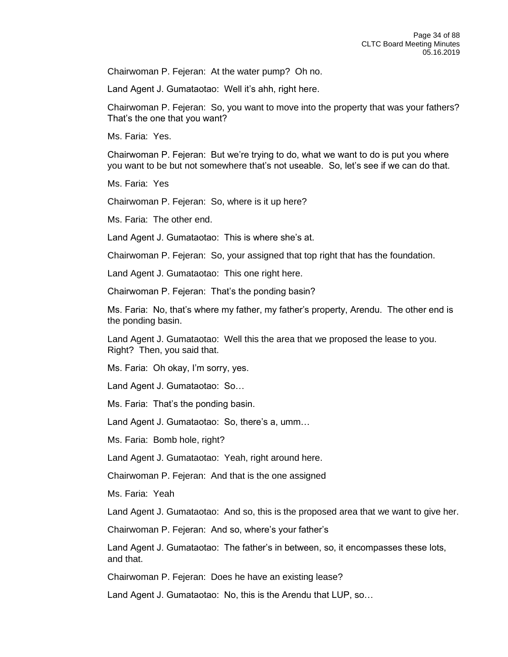Chairwoman P. Fejeran: At the water pump? Oh no.

Land Agent J. Gumataotao: Well it's ahh, right here.

Chairwoman P. Fejeran: So, you want to move into the property that was your fathers? That's the one that you want?

Ms. Faria: Yes.

Chairwoman P. Fejeran: But we're trying to do, what we want to do is put you where you want to be but not somewhere that's not useable. So, let's see if we can do that.

Ms. Faria: Yes

Chairwoman P. Fejeran: So, where is it up here?

Ms. Faria: The other end.

Land Agent J. Gumataotao: This is where she's at.

Chairwoman P. Fejeran: So, your assigned that top right that has the foundation.

Land Agent J. Gumataotao: This one right here.

Chairwoman P. Fejeran: That's the ponding basin?

Ms. Faria: No, that's where my father, my father's property, Arendu. The other end is the ponding basin.

Land Agent J. Gumataotao: Well this the area that we proposed the lease to you. Right? Then, you said that.

Ms. Faria: Oh okay, I'm sorry, yes.

Land Agent J. Gumataotao: So…

Ms. Faria: That's the ponding basin.

Land Agent J. Gumataotao: So, there's a, umm…

Ms. Faria: Bomb hole, right?

Land Agent J. Gumataotao: Yeah, right around here.

Chairwoman P. Fejeran: And that is the one assigned

Ms. Faria: Yeah

Land Agent J. Gumataotao: And so, this is the proposed area that we want to give her.

Chairwoman P. Fejeran: And so, where's your father's

Land Agent J. Gumataotao: The father's in between, so, it encompasses these lots, and that.

Chairwoman P. Fejeran: Does he have an existing lease?

Land Agent J. Gumataotao: No, this is the Arendu that LUP, so…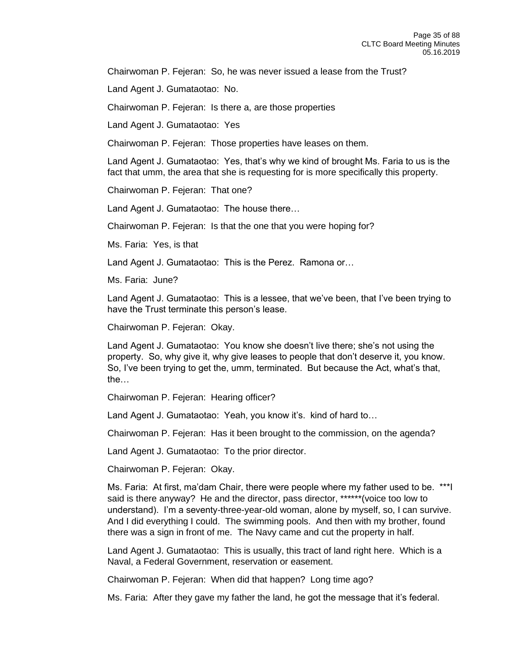Chairwoman P. Fejeran: So, he was never issued a lease from the Trust?

Land Agent J. Gumataotao: No.

Chairwoman P. Fejeran: Is there a, are those properties

Land Agent J. Gumataotao: Yes

Chairwoman P. Fejeran: Those properties have leases on them.

Land Agent J. Gumataotao: Yes, that's why we kind of brought Ms. Faria to us is the fact that umm, the area that she is requesting for is more specifically this property.

Chairwoman P. Fejeran: That one?

Land Agent J. Gumataotao: The house there…

Chairwoman P. Fejeran: Is that the one that you were hoping for?

Ms. Faria: Yes, is that

Land Agent J. Gumataotao: This is the Perez. Ramona or…

Ms. Faria: June?

Land Agent J. Gumataotao: This is a lessee, that we've been, that I've been trying to have the Trust terminate this person's lease.

Chairwoman P. Fejeran: Okay.

Land Agent J. Gumataotao: You know she doesn't live there; she's not using the property. So, why give it, why give leases to people that don't deserve it, you know. So, I've been trying to get the, umm, terminated. But because the Act, what's that, the…

Chairwoman P. Fejeran: Hearing officer?

Land Agent J. Gumataotao: Yeah, you know it's. kind of hard to…

Chairwoman P. Fejeran: Has it been brought to the commission, on the agenda?

Land Agent J. Gumataotao: To the prior director.

Chairwoman P. Fejeran: Okay.

Ms. Faria: At first, ma'dam Chair, there were people where my father used to be. \*\*\*I said is there anyway? He and the director, pass director, \*\*\*\*\*\*(voice too low to understand). I'm a seventy-three-year-old woman, alone by myself, so, I can survive. And I did everything I could. The swimming pools. And then with my brother, found there was a sign in front of me. The Navy came and cut the property in half.

Land Agent J. Gumataotao: This is usually, this tract of land right here. Which is a Naval, a Federal Government, reservation or easement.

Chairwoman P. Fejeran: When did that happen? Long time ago?

Ms. Faria: After they gave my father the land, he got the message that it's federal.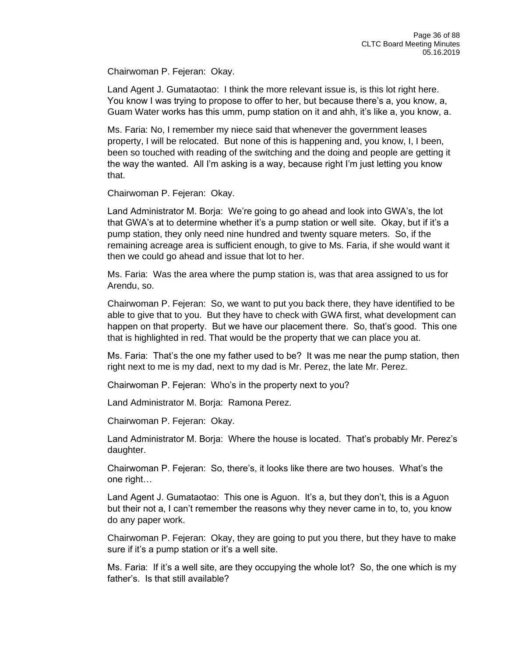Chairwoman P. Fejeran: Okay.

Land Agent J. Gumataotao: I think the more relevant issue is, is this lot right here. You know I was trying to propose to offer to her, but because there's a, you know, a, Guam Water works has this umm, pump station on it and ahh, it's like a, you know, a.

Ms. Faria: No, I remember my niece said that whenever the government leases property, I will be relocated. But none of this is happening and, you know, I, I been, been so touched with reading of the switching and the doing and people are getting it the way the wanted. All I'm asking is a way, because right I'm just letting you know that.

Chairwoman P. Fejeran: Okay.

Land Administrator M. Borja: We're going to go ahead and look into GWA's, the lot that GWA's at to determine whether it's a pump station or well site. Okay, but if it's a pump station, they only need nine hundred and twenty square meters. So, if the remaining acreage area is sufficient enough, to give to Ms. Faria, if she would want it then we could go ahead and issue that lot to her.

Ms. Faria: Was the area where the pump station is, was that area assigned to us for Arendu, so.

Chairwoman P. Fejeran: So, we want to put you back there, they have identified to be able to give that to you. But they have to check with GWA first, what development can happen on that property. But we have our placement there. So, that's good. This one that is highlighted in red. That would be the property that we can place you at.

Ms. Faria: That's the one my father used to be? It was me near the pump station, then right next to me is my dad, next to my dad is Mr. Perez, the late Mr. Perez.

Chairwoman P. Fejeran: Who's in the property next to you?

Land Administrator M. Borja: Ramona Perez.

Chairwoman P. Fejeran: Okay.

Land Administrator M. Borja: Where the house is located. That's probably Mr. Perez's daughter.

Chairwoman P. Fejeran: So, there's, it looks like there are two houses. What's the one right…

Land Agent J. Gumataotao: This one is Aguon. It's a, but they don't, this is a Aguon but their not a, I can't remember the reasons why they never came in to, to, you know do any paper work.

Chairwoman P. Fejeran: Okay, they are going to put you there, but they have to make sure if it's a pump station or it's a well site.

Ms. Faria: If it's a well site, are they occupying the whole lot? So, the one which is my father's. Is that still available?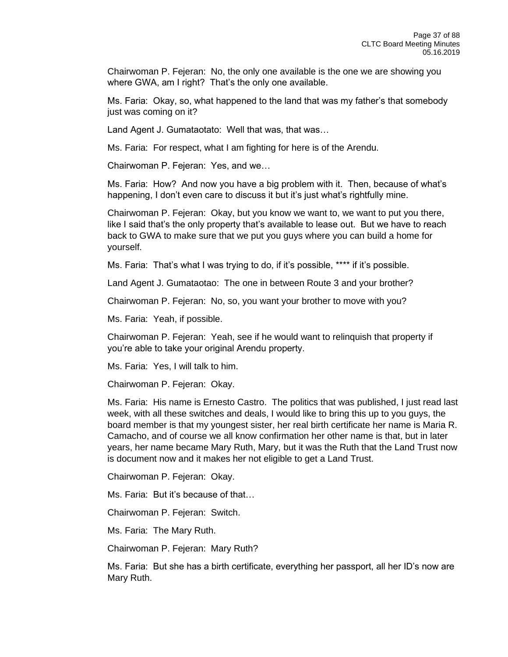Chairwoman P. Fejeran: No, the only one available is the one we are showing you where GWA, am I right? That's the only one available.

Ms. Faria: Okay, so, what happened to the land that was my father's that somebody just was coming on it?

Land Agent J. Gumataotato: Well that was, that was…

Ms. Faria: For respect, what I am fighting for here is of the Arendu.

Chairwoman P. Fejeran: Yes, and we…

Ms. Faria: How? And now you have a big problem with it. Then, because of what's happening, I don't even care to discuss it but it's just what's rightfully mine.

Chairwoman P. Fejeran: Okay, but you know we want to, we want to put you there, like I said that's the only property that's available to lease out. But we have to reach back to GWA to make sure that we put you guys where you can build a home for yourself.

Ms. Faria: That's what I was trying to do, if it's possible, \*\*\*\* if it's possible.

Land Agent J. Gumataotao: The one in between Route 3 and your brother?

Chairwoman P. Fejeran: No, so, you want your brother to move with you?

Ms. Faria: Yeah, if possible.

Chairwoman P. Fejeran: Yeah, see if he would want to relinquish that property if you're able to take your original Arendu property.

Ms. Faria: Yes, I will talk to him.

Chairwoman P. Fejeran: Okay.

Ms. Faria: His name is Ernesto Castro. The politics that was published, I just read last week, with all these switches and deals, I would like to bring this up to you guys, the board member is that my youngest sister, her real birth certificate her name is Maria R. Camacho, and of course we all know confirmation her other name is that, but in later years, her name became Mary Ruth, Mary, but it was the Ruth that the Land Trust now is document now and it makes her not eligible to get a Land Trust.

Chairwoman P. Fejeran: Okay.

Ms. Faria: But it's because of that…

Chairwoman P. Fejeran: Switch.

Ms. Faria: The Mary Ruth.

Chairwoman P. Fejeran: Mary Ruth?

Ms. Faria: But she has a birth certificate, everything her passport, all her ID's now are Mary Ruth.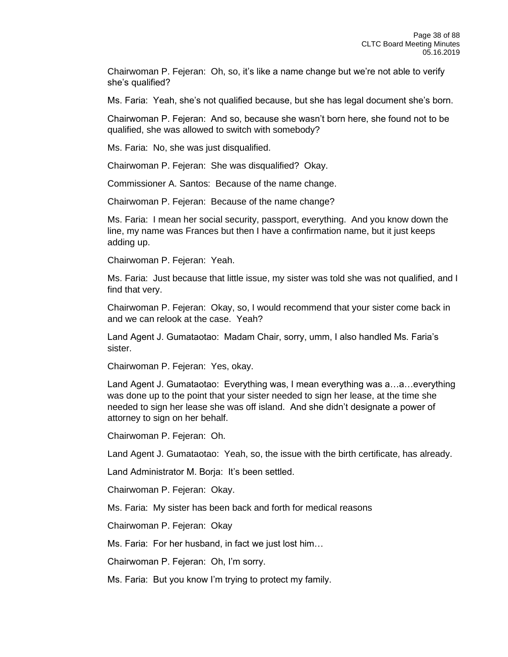Chairwoman P. Fejeran: Oh, so, it's like a name change but we're not able to verify she's qualified?

Ms. Faria: Yeah, she's not qualified because, but she has legal document she's born.

Chairwoman P. Fejeran: And so, because she wasn't born here, she found not to be qualified, she was allowed to switch with somebody?

Ms. Faria: No, she was just disqualified.

Chairwoman P. Fejeran: She was disqualified? Okay.

Commissioner A. Santos: Because of the name change.

Chairwoman P. Fejeran: Because of the name change?

Ms. Faria: I mean her social security, passport, everything. And you know down the line, my name was Frances but then I have a confirmation name, but it just keeps adding up.

Chairwoman P. Fejeran: Yeah.

Ms. Faria: Just because that little issue, my sister was told she was not qualified, and I find that very.

Chairwoman P. Fejeran: Okay, so, I would recommend that your sister come back in and we can relook at the case. Yeah?

Land Agent J. Gumataotao: Madam Chair, sorry, umm, I also handled Ms. Faria's sister.

Chairwoman P. Fejeran: Yes, okay.

Land Agent J. Gumataotao: Everything was, I mean everything was a…a…everything was done up to the point that your sister needed to sign her lease, at the time she needed to sign her lease she was off island. And she didn't designate a power of attorney to sign on her behalf.

Chairwoman P. Fejeran: Oh.

Land Agent J. Gumataotao: Yeah, so, the issue with the birth certificate, has already.

Land Administrator M. Borja: It's been settled.

Chairwoman P. Fejeran: Okay.

Ms. Faria: My sister has been back and forth for medical reasons

Chairwoman P. Fejeran: Okay

Ms. Faria: For her husband, in fact we just lost him…

Chairwoman P. Fejeran: Oh, I'm sorry.

Ms. Faria: But you know I'm trying to protect my family.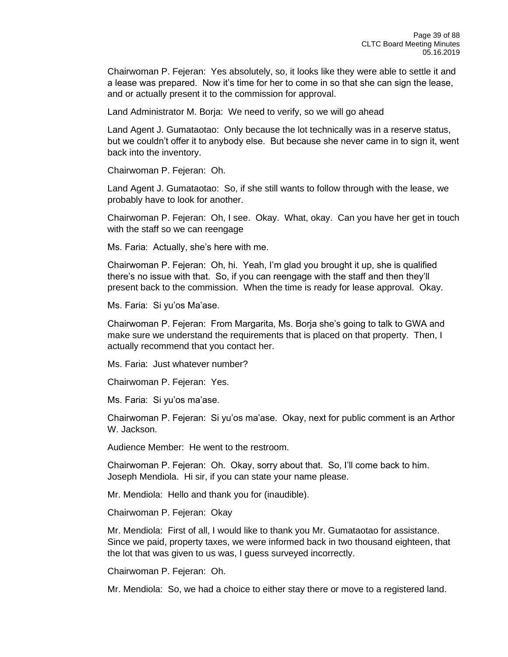Chairwoman P. Fejeran: Yes absolutely, so, it looks like they were able to settle it and a lease was prepared. Now it's time for her to come in so that she can sign the lease, and or actually present it to the commission for approval.

Land Administrator M. Borja: We need to verify, so we will go ahead

Land Agent J. Gumataotao: Only because the lot technically was in a reserve status, but we couldn't offer it to anybody else. But because she never came in to sign it, went back into the inventory.

Chairwoman P. Fejeran: Oh.

Land Agent J. Gumataotao: So, if she still wants to follow through with the lease, we probably have to look for another.

Chairwoman P. Fejeran: Oh, I see. Okay. What, okay. Can you have her get in touch with the staff so we can reengage

Ms. Faria: Actually, she's here with me.

Chairwoman P. Fejeran: Oh, hi. Yeah, I'm glad you brought it up, she is qualified there's no issue with that. So, if you can reengage with the staff and then they'll present back to the commission. When the time is ready for lease approval. Okay.

Ms. Faria: Si yu'os Ma'ase.

Chairwoman P. Fejeran: From Margarita, Ms. Borja she's going to talk to GWA and make sure we understand the requirements that is placed on that property. Then, I actually recommend that you contact her.

Ms. Faria: Just whatever number?

Chairwoman P. Fejeran: Yes.

Ms. Faria: Si yu'os ma'ase.

Chairwoman P. Fejeran: Si yu'os ma'ase. Okay, next for public comment is an Arthor W. Jackson.

Audience Member: He went to the restroom.

Chairwoman P. Fejeran: Oh. Okay, sorry about that. So, I'll come back to him. Joseph Mendiola. Hi sir, if you can state your name please.

Mr. Mendiola: Hello and thank you for (inaudible).

Chairwoman P. Fejeran: Okay

Mr. Mendiola: First of all, I would like to thank you Mr. Gumataotao for assistance. Since we paid, property taxes, we were informed back in two thousand eighteen, that the lot that was given to us was, I guess surveyed incorrectly.

Chairwoman P. Fejeran: Oh.

Mr. Mendiola: So, we had a choice to either stay there or move to a registered land.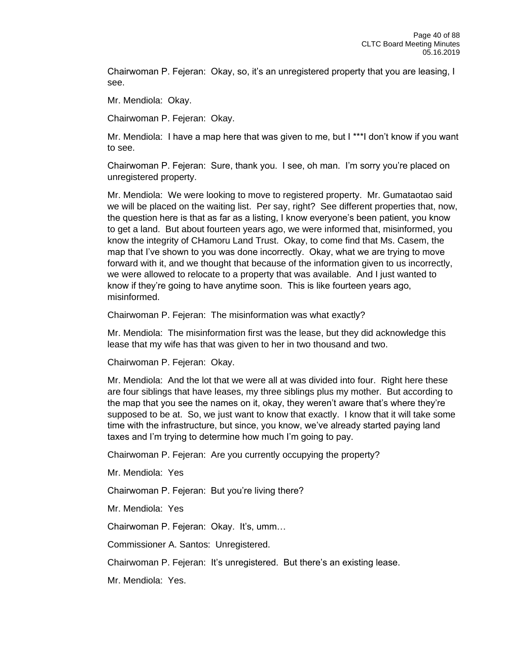Chairwoman P. Fejeran: Okay, so, it's an unregistered property that you are leasing, I see.

Mr. Mendiola: Okay.

Chairwoman P. Fejeran: Okay.

Mr. Mendiola: I have a map here that was given to me, but I \*\*\*I don't know if you want to see.

Chairwoman P. Fejeran: Sure, thank you. I see, oh man. I'm sorry you're placed on unregistered property.

Mr. Mendiola: We were looking to move to registered property. Mr. Gumataotao said we will be placed on the waiting list. Per say, right? See different properties that, now, the question here is that as far as a listing, I know everyone's been patient, you know to get a land. But about fourteen years ago, we were informed that, misinformed, you know the integrity of CHamoru Land Trust. Okay, to come find that Ms. Casem, the map that I've shown to you was done incorrectly. Okay, what we are trying to move forward with it, and we thought that because of the information given to us incorrectly, we were allowed to relocate to a property that was available. And I just wanted to know if they're going to have anytime soon. This is like fourteen years ago, misinformed.

Chairwoman P. Fejeran: The misinformation was what exactly?

Mr. Mendiola: The misinformation first was the lease, but they did acknowledge this lease that my wife has that was given to her in two thousand and two.

Chairwoman P. Fejeran: Okay.

Mr. Mendiola: And the lot that we were all at was divided into four. Right here these are four siblings that have leases, my three siblings plus my mother. But according to the map that you see the names on it, okay, they weren't aware that's where they're supposed to be at. So, we just want to know that exactly. I know that it will take some time with the infrastructure, but since, you know, we've already started paying land taxes and I'm trying to determine how much I'm going to pay.

Chairwoman P. Fejeran: Are you currently occupying the property?

Mr. Mendiola: Yes

Chairwoman P. Fejeran: But you're living there?

Mr. Mendiola: Yes

Chairwoman P. Fejeran: Okay. It's, umm…

Commissioner A. Santos: Unregistered.

Chairwoman P. Fejeran: It's unregistered. But there's an existing lease.

Mr. Mendiola: Yes.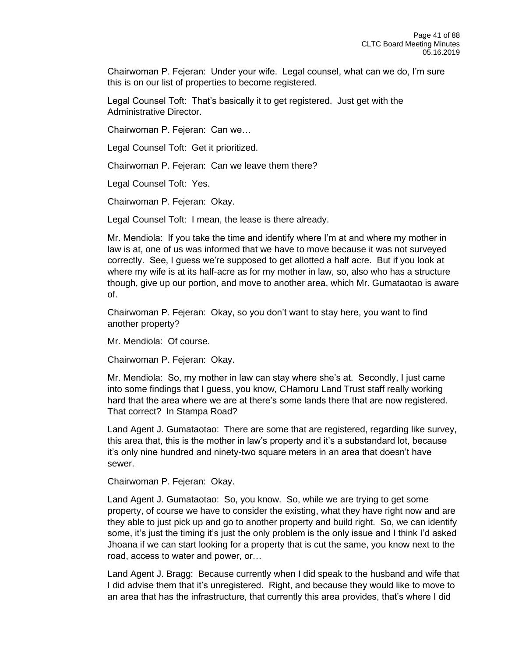Chairwoman P. Fejeran: Under your wife. Legal counsel, what can we do, I'm sure this is on our list of properties to become registered.

Legal Counsel Toft: That's basically it to get registered. Just get with the Administrative Director.

Chairwoman P. Fejeran: Can we…

Legal Counsel Toft: Get it prioritized.

Chairwoman P. Fejeran: Can we leave them there?

Legal Counsel Toft: Yes.

Chairwoman P. Fejeran: Okay.

Legal Counsel Toft: I mean, the lease is there already.

Mr. Mendiola: If you take the time and identify where I'm at and where my mother in law is at, one of us was informed that we have to move because it was not surveyed correctly. See, I guess we're supposed to get allotted a half acre. But if you look at where my wife is at its half-acre as for my mother in law, so, also who has a structure though, give up our portion, and move to another area, which Mr. Gumataotao is aware of.

Chairwoman P. Fejeran: Okay, so you don't want to stay here, you want to find another property?

Mr. Mendiola: Of course.

Chairwoman P. Fejeran: Okay.

Mr. Mendiola: So, my mother in law can stay where she's at. Secondly, I just came into some findings that I guess, you know, CHamoru Land Trust staff really working hard that the area where we are at there's some lands there that are now registered. That correct? In Stampa Road?

Land Agent J. Gumataotao: There are some that are registered, regarding like survey, this area that, this is the mother in law's property and it's a substandard lot, because it's only nine hundred and ninety-two square meters in an area that doesn't have sewer.

Chairwoman P. Fejeran: Okay.

Land Agent J. Gumataotao: So, you know. So, while we are trying to get some property, of course we have to consider the existing, what they have right now and are they able to just pick up and go to another property and build right. So, we can identify some, it's just the timing it's just the only problem is the only issue and I think I'd asked Jhoana if we can start looking for a property that is cut the same, you know next to the road, access to water and power, or…

Land Agent J. Bragg: Because currently when I did speak to the husband and wife that I did advise them that it's unregistered. Right, and because they would like to move to an area that has the infrastructure, that currently this area provides, that's where I did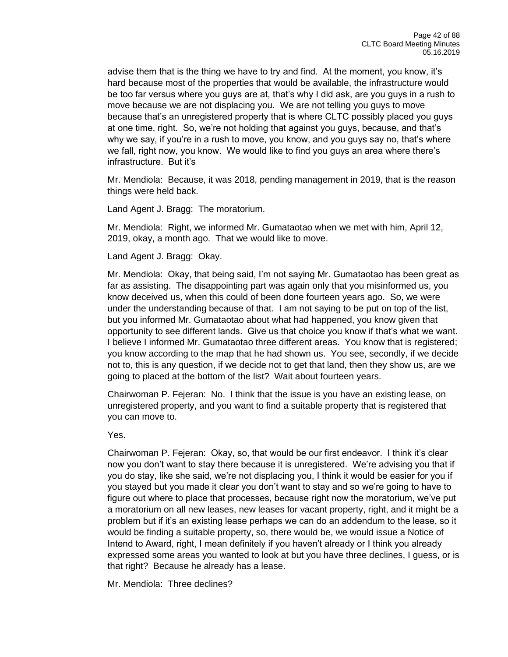advise them that is the thing we have to try and find. At the moment, you know, it's hard because most of the properties that would be available, the infrastructure would be too far versus where you guys are at, that's why I did ask, are you guys in a rush to move because we are not displacing you. We are not telling you guys to move because that's an unregistered property that is where CLTC possibly placed you guys at one time, right. So, we're not holding that against you guys, because, and that's why we say, if you're in a rush to move, you know, and you guys say no, that's where we fall, right now, you know. We would like to find you guys an area where there's infrastructure. But it's

Mr. Mendiola: Because, it was 2018, pending management in 2019, that is the reason things were held back.

Land Agent J. Bragg: The moratorium.

Mr. Mendiola: Right, we informed Mr. Gumataotao when we met with him, April 12, 2019, okay, a month ago. That we would like to move.

Land Agent J. Bragg: Okay.

Mr. Mendiola: Okay, that being said, I'm not saying Mr. Gumataotao has been great as far as assisting. The disappointing part was again only that you misinformed us, you know deceived us, when this could of been done fourteen years ago. So, we were under the understanding because of that. I am not saying to be put on top of the list, but you informed Mr. Gumataotao about what had happened, you know given that opportunity to see different lands. Give us that choice you know if that's what we want. I believe I informed Mr. Gumataotao three different areas. You know that is registered; you know according to the map that he had shown us. You see, secondly, if we decide not to, this is any question, if we decide not to get that land, then they show us, are we going to placed at the bottom of the list? Wait about fourteen years.

Chairwoman P. Fejeran: No. I think that the issue is you have an existing lease, on unregistered property, and you want to find a suitable property that is registered that you can move to.

Yes.

Chairwoman P. Fejeran: Okay, so, that would be our first endeavor. I think it's clear now you don't want to stay there because it is unregistered. We're advising you that if you do stay, like she said, we're not displacing you, I think it would be easier for you if you stayed but you made it clear you don't want to stay and so we're going to have to figure out where to place that processes, because right now the moratorium, we've put a moratorium on all new leases, new leases for vacant property, right, and it might be a problem but if it's an existing lease perhaps we can do an addendum to the lease, so it would be finding a suitable property, so, there would be, we would issue a Notice of Intend to Award, right, I mean definitely if you haven't already or I think you already expressed some areas you wanted to look at but you have three declines, I guess, or is that right? Because he already has a lease.

Mr. Mendiola: Three declines?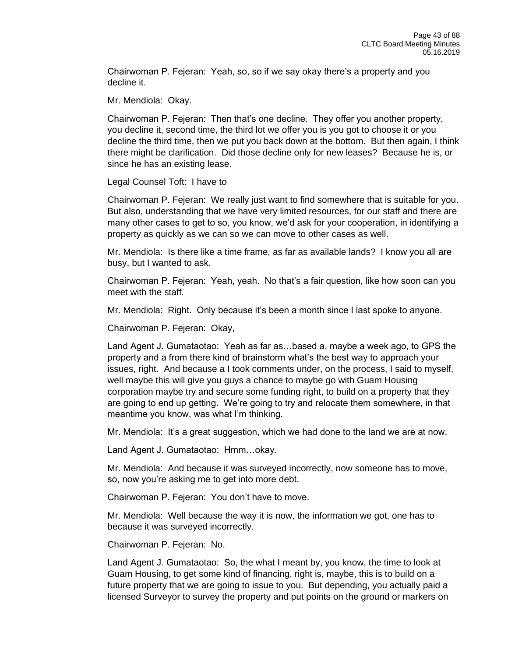Chairwoman P. Fejeran: Yeah, so, so if we say okay there's a property and you decline it.

Mr. Mendiola: Okay.

Chairwoman P. Fejeran: Then that's one decline. They offer you another property, you decline it, second time, the third lot we offer you is you got to choose it or you decline the third time, then we put you back down at the bottom. But then again, I think there might be clarification. Did those decline only for new leases? Because he is, or since he has an existing lease.

Legal Counsel Toft: I have to

Chairwoman P. Fejeran: We really just want to find somewhere that is suitable for you. But also, understanding that we have very limited resources, for our staff and there are many other cases to get to so, you know, we'd ask for your cooperation, in identifying a property as quickly as we can so we can move to other cases as well.

Mr. Mendiola: Is there like a time frame, as far as available lands? I know you all are busy, but I wanted to ask.

Chairwoman P. Fejeran: Yeah, yeah. No that's a fair question, like how soon can you meet with the staff.

Mr. Mendiola: Right. Only because it's been a month since I last spoke to anyone.

Chairwoman P. Fejeran: Okay,

Land Agent J. Gumataotao: Yeah as far as…based a, maybe a week ago, to GPS the property and a from there kind of brainstorm what's the best way to approach your issues, right. And because a I took comments under, on the process, I said to myself, well maybe this will give you guys a chance to maybe go with Guam Housing corporation maybe try and secure some funding right, to build on a property that they are going to end up getting. We're going to try and relocate them somewhere, in that meantime you know, was what I'm thinking.

Mr. Mendiola: It's a great suggestion, which we had done to the land we are at now.

Land Agent J. Gumataotao: Hmm…okay.

Mr. Mendiola: And because it was surveyed incorrectly, now someone has to move, so, now you're asking me to get into more debt.

Chairwoman P. Fejeran: You don't have to move.

Mr. Mendiola: Well because the way it is now, the information we got, one has to because it was surveyed incorrectly.

Chairwoman P. Fejeran: No.

Land Agent J. Gumataotao: So, the what I meant by, you know, the time to look at Guam Housing, to get some kind of financing, right is, maybe, this is to build on a future property that we are going to issue to you. But depending, you actually paid a licensed Surveyor to survey the property and put points on the ground or markers on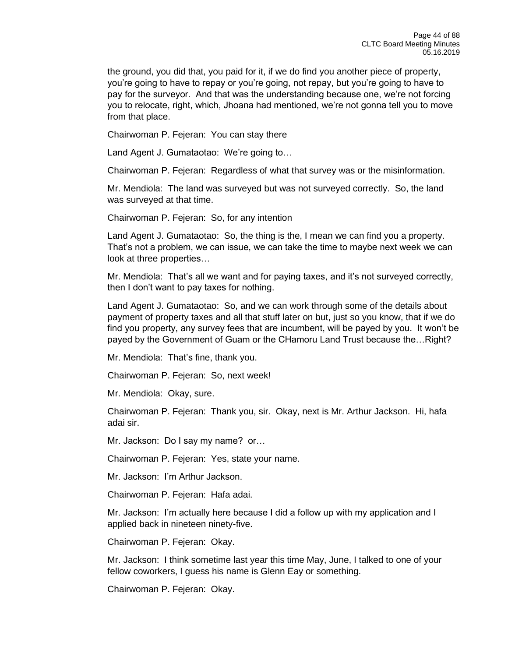the ground, you did that, you paid for it, if we do find you another piece of property, you're going to have to repay or you're going, not repay, but you're going to have to pay for the surveyor. And that was the understanding because one, we're not forcing you to relocate, right, which, Jhoana had mentioned, we're not gonna tell you to move from that place.

Chairwoman P. Fejeran: You can stay there

Land Agent J. Gumataotao: We're going to…

Chairwoman P. Fejeran: Regardless of what that survey was or the misinformation.

Mr. Mendiola: The land was surveyed but was not surveyed correctly. So, the land was surveyed at that time.

Chairwoman P. Fejeran: So, for any intention

Land Agent J. Gumataotao: So, the thing is the, I mean we can find you a property. That's not a problem, we can issue, we can take the time to maybe next week we can look at three properties…

Mr. Mendiola: That's all we want and for paying taxes, and it's not surveyed correctly, then I don't want to pay taxes for nothing.

Land Agent J. Gumataotao: So, and we can work through some of the details about payment of property taxes and all that stuff later on but, just so you know, that if we do find you property, any survey fees that are incumbent, will be payed by you. It won't be payed by the Government of Guam or the CHamoru Land Trust because the…Right?

Mr. Mendiola: That's fine, thank you.

Chairwoman P. Fejeran: So, next week!

Mr. Mendiola: Okay, sure.

Chairwoman P. Fejeran: Thank you, sir. Okay, next is Mr. Arthur Jackson. Hi, hafa adai sir.

Mr. Jackson: Do I say my name? or…

Chairwoman P. Fejeran: Yes, state your name.

Mr. Jackson: I'm Arthur Jackson.

Chairwoman P. Fejeran: Hafa adai.

Mr. Jackson: I'm actually here because I did a follow up with my application and I applied back in nineteen ninety-five.

Chairwoman P. Fejeran: Okay.

Mr. Jackson: I think sometime last year this time May, June, I talked to one of your fellow coworkers, I guess his name is Glenn Eay or something.

Chairwoman P. Fejeran: Okay.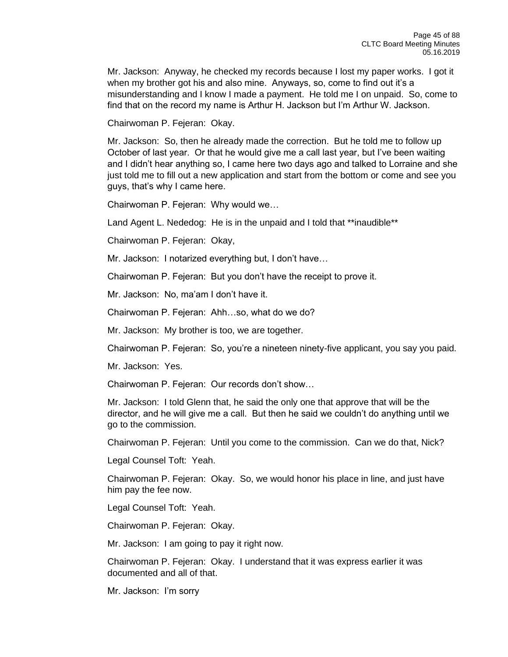Mr. Jackson: Anyway, he checked my records because I lost my paper works. I got it when my brother got his and also mine. Anyways, so, come to find out it's a misunderstanding and I know I made a payment. He told me I on unpaid. So, come to find that on the record my name is Arthur H. Jackson but I'm Arthur W. Jackson.

Chairwoman P. Fejeran: Okay.

Mr. Jackson: So, then he already made the correction. But he told me to follow up October of last year. Or that he would give me a call last year, but I've been waiting and I didn't hear anything so, I came here two days ago and talked to Lorraine and she just told me to fill out a new application and start from the bottom or come and see you guys, that's why I came here.

Chairwoman P. Fejeran: Why would we…

Land Agent L. Nededog: He is in the unpaid and I told that \*\*inaudible\*\*

Chairwoman P. Fejeran: Okay,

Mr. Jackson: I notarized everything but, I don't have…

Chairwoman P. Fejeran: But you don't have the receipt to prove it.

Mr. Jackson: No, ma'am I don't have it.

Chairwoman P. Fejeran: Ahh…so, what do we do?

Mr. Jackson: My brother is too, we are together.

Chairwoman P. Fejeran: So, you're a nineteen ninety-five applicant, you say you paid.

Mr. Jackson: Yes.

Chairwoman P. Fejeran: Our records don't show…

Mr. Jackson: I told Glenn that, he said the only one that approve that will be the director, and he will give me a call. But then he said we couldn't do anything until we go to the commission.

Chairwoman P. Fejeran: Until you come to the commission. Can we do that, Nick?

Legal Counsel Toft: Yeah.

Chairwoman P. Fejeran: Okay. So, we would honor his place in line, and just have him pay the fee now.

Legal Counsel Toft: Yeah.

Chairwoman P. Fejeran: Okay.

Mr. Jackson: I am going to pay it right now.

Chairwoman P. Fejeran: Okay. I understand that it was express earlier it was documented and all of that.

Mr. Jackson: I'm sorry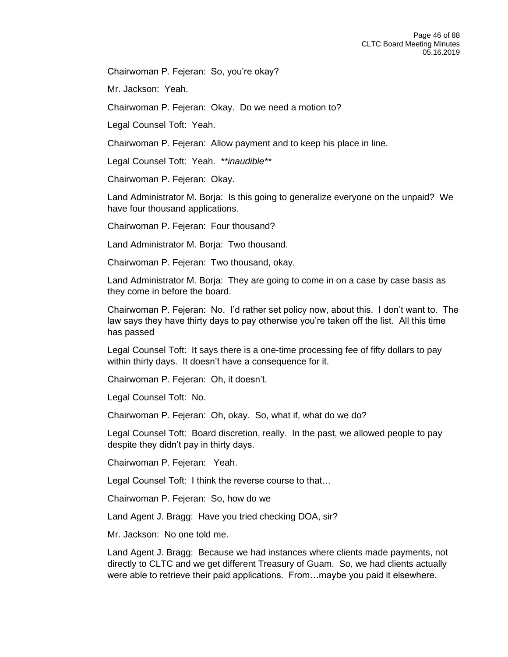Chairwoman P. Fejeran: So, you're okay?

Mr. Jackson: Yeah.

Chairwoman P. Fejeran: Okay. Do we need a motion to?

Legal Counsel Toft: Yeah.

Chairwoman P. Fejeran: Allow payment and to keep his place in line.

Legal Counsel Toft: Yeah. *\*\*inaudible\*\**

Chairwoman P. Fejeran: Okay.

Land Administrator M. Borja: Is this going to generalize everyone on the unpaid? We have four thousand applications.

Chairwoman P. Fejeran: Four thousand?

Land Administrator M. Borja: Two thousand.

Chairwoman P. Fejeran: Two thousand, okay.

Land Administrator M. Borja: They are going to come in on a case by case basis as they come in before the board.

Chairwoman P. Fejeran: No. I'd rather set policy now, about this. I don't want to. The law says they have thirty days to pay otherwise you're taken off the list. All this time has passed

Legal Counsel Toft: It says there is a one-time processing fee of fifty dollars to pay within thirty days. It doesn't have a consequence for it.

Chairwoman P. Fejeran: Oh, it doesn't.

Legal Counsel Toft: No.

Chairwoman P. Fejeran: Oh, okay. So, what if, what do we do?

Legal Counsel Toft: Board discretion, really. In the past, we allowed people to pay despite they didn't pay in thirty days.

Chairwoman P. Fejeran: Yeah.

Legal Counsel Toft: I think the reverse course to that…

Chairwoman P. Fejeran: So, how do we

Land Agent J. Bragg: Have you tried checking DOA, sir?

Mr. Jackson: No one told me.

Land Agent J. Bragg: Because we had instances where clients made payments, not directly to CLTC and we get different Treasury of Guam. So, we had clients actually were able to retrieve their paid applications. From…maybe you paid it elsewhere.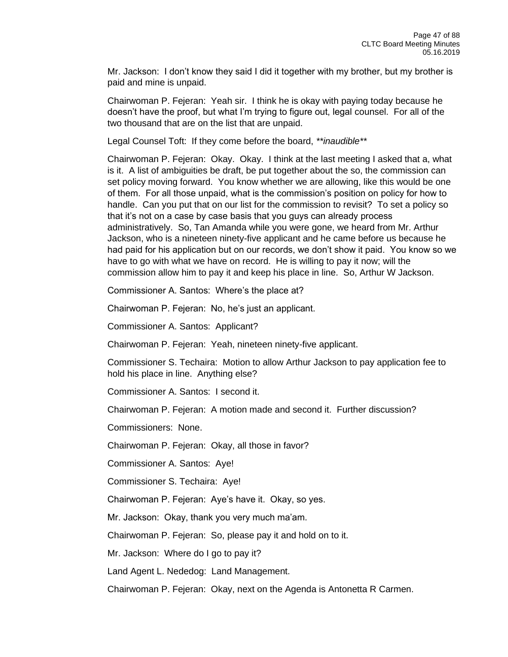Mr. Jackson: I don't know they said I did it together with my brother, but my brother is paid and mine is unpaid.

Chairwoman P. Fejeran: Yeah sir. I think he is okay with paying today because he doesn't have the proof, but what I'm trying to figure out, legal counsel. For all of the two thousand that are on the list that are unpaid.

Legal Counsel Toft: If they come before the board, *\*\*inaudible\*\**

Chairwoman P. Fejeran: Okay. Okay. I think at the last meeting I asked that a, what is it. A list of ambiguities be draft, be put together about the so, the commission can set policy moving forward. You know whether we are allowing, like this would be one of them. For all those unpaid, what is the commission's position on policy for how to handle. Can you put that on our list for the commission to revisit? To set a policy so that it's not on a case by case basis that you guys can already process administratively. So, Tan Amanda while you were gone, we heard from Mr. Arthur Jackson, who is a nineteen ninety-five applicant and he came before us because he had paid for his application but on our records, we don't show it paid. You know so we have to go with what we have on record. He is willing to pay it now; will the commission allow him to pay it and keep his place in line. So, Arthur W Jackson.

Commissioner A. Santos: Where's the place at?

Chairwoman P. Fejeran: No, he's just an applicant.

Commissioner A. Santos: Applicant?

Chairwoman P. Fejeran: Yeah, nineteen ninety-five applicant.

Commissioner S. Techaira: Motion to allow Arthur Jackson to pay application fee to hold his place in line. Anything else?

Commissioner A. Santos: I second it.

Chairwoman P. Fejeran: A motion made and second it. Further discussion?

Commissioners: None.

Chairwoman P. Fejeran: Okay, all those in favor?

Commissioner A. Santos: Aye!

Commissioner S. Techaira: Aye!

Chairwoman P. Fejeran: Aye's have it. Okay, so yes.

Mr. Jackson: Okay, thank you very much ma'am.

Chairwoman P. Fejeran: So, please pay it and hold on to it.

Mr. Jackson: Where do I go to pay it?

Land Agent L. Nededog: Land Management.

Chairwoman P. Fejeran: Okay, next on the Agenda is Antonetta R Carmen.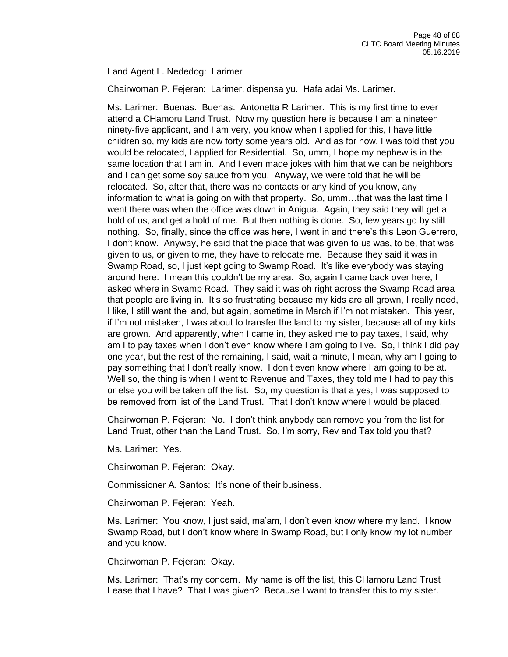## Land Agent L. Nededog: Larimer

Chairwoman P. Fejeran: Larimer, dispensa yu. Hafa adai Ms. Larimer.

Ms. Larimer: Buenas. Buenas. Antonetta R Larimer. This is my first time to ever attend a CHamoru Land Trust. Now my question here is because I am a nineteen ninety-five applicant, and I am very, you know when I applied for this, I have little children so, my kids are now forty some years old. And as for now, I was told that you would be relocated, I applied for Residential. So, umm, I hope my nephew is in the same location that I am in. And I even made jokes with him that we can be neighbors and I can get some soy sauce from you. Anyway, we were told that he will be relocated. So, after that, there was no contacts or any kind of you know, any information to what is going on with that property. So, umm…that was the last time I went there was when the office was down in Anigua. Again, they said they will get a hold of us, and get a hold of me. But then nothing is done. So, few years go by still nothing. So, finally, since the office was here, I went in and there's this Leon Guerrero, I don't know. Anyway, he said that the place that was given to us was, to be, that was given to us, or given to me, they have to relocate me. Because they said it was in Swamp Road, so, I just kept going to Swamp Road. It's like everybody was staying around here. I mean this couldn't be my area. So, again I came back over here, I asked where in Swamp Road. They said it was oh right across the Swamp Road area that people are living in. It's so frustrating because my kids are all grown, I really need, I like, I still want the land, but again, sometime in March if I'm not mistaken. This year, if I'm not mistaken, I was about to transfer the land to my sister, because all of my kids are grown. And apparently, when I came in, they asked me to pay taxes, I said, why am I to pay taxes when I don't even know where I am going to live. So, I think I did pay one year, but the rest of the remaining, I said, wait a minute, I mean, why am I going to pay something that I don't really know. I don't even know where I am going to be at. Well so, the thing is when I went to Revenue and Taxes, they told me I had to pay this or else you will be taken off the list. So, my question is that a yes, I was supposed to be removed from list of the Land Trust. That I don't know where I would be placed.

Chairwoman P. Fejeran: No. I don't think anybody can remove you from the list for Land Trust, other than the Land Trust. So, I'm sorry, Rev and Tax told you that?

Ms. Larimer: Yes.

Chairwoman P. Fejeran: Okay.

Commissioner A. Santos: It's none of their business.

Chairwoman P. Fejeran: Yeah.

Ms. Larimer: You know, I just said, ma'am, I don't even know where my land. I know Swamp Road, but I don't know where in Swamp Road, but I only know my lot number and you know.

Chairwoman P. Fejeran: Okay.

Ms. Larimer: That's my concern. My name is off the list, this CHamoru Land Trust Lease that I have? That I was given? Because I want to transfer this to my sister.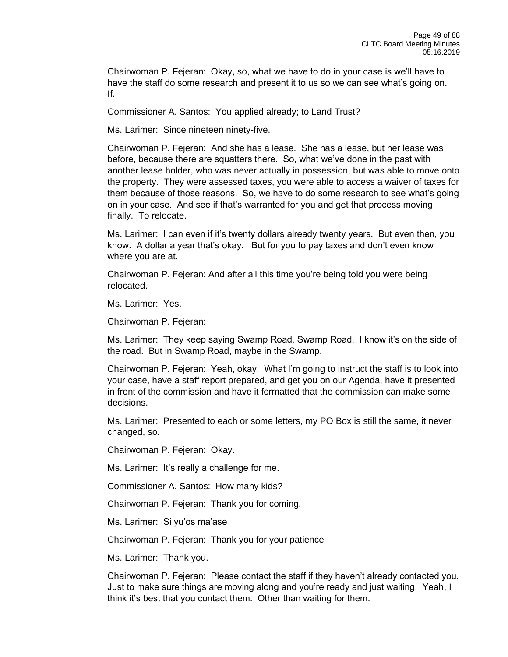Chairwoman P. Fejeran: Okay, so, what we have to do in your case is we'll have to have the staff do some research and present it to us so we can see what's going on. If.

Commissioner A. Santos: You applied already; to Land Trust?

Ms. Larimer: Since nineteen ninety-five.

Chairwoman P. Fejeran: And she has a lease. She has a lease, but her lease was before, because there are squatters there. So, what we've done in the past with another lease holder, who was never actually in possession, but was able to move onto the property. They were assessed taxes, you were able to access a waiver of taxes for them because of those reasons. So, we have to do some research to see what's going on in your case. And see if that's warranted for you and get that process moving finally. To relocate.

Ms. Larimer: I can even if it's twenty dollars already twenty years. But even then, you know. A dollar a year that's okay. But for you to pay taxes and don't even know where you are at.

Chairwoman P. Fejeran: And after all this time you're being told you were being relocated.

Ms. Larimer: Yes.

Chairwoman P. Fejeran:

Ms. Larimer: They keep saying Swamp Road, Swamp Road. I know it's on the side of the road. But in Swamp Road, maybe in the Swamp.

Chairwoman P. Fejeran: Yeah, okay. What I'm going to instruct the staff is to look into your case, have a staff report prepared, and get you on our Agenda, have it presented in front of the commission and have it formatted that the commission can make some decisions.

Ms. Larimer: Presented to each or some letters, my PO Box is still the same, it never changed, so.

Chairwoman P. Fejeran: Okay.

Ms. Larimer: It's really a challenge for me.

Commissioner A. Santos: How many kids?

Chairwoman P. Fejeran: Thank you for coming.

Ms. Larimer: Si yu'os ma'ase

Chairwoman P. Fejeran: Thank you for your patience

Ms. Larimer: Thank you.

Chairwoman P. Fejeran: Please contact the staff if they haven't already contacted you. Just to make sure things are moving along and you're ready and just waiting. Yeah, I think it's best that you contact them. Other than waiting for them.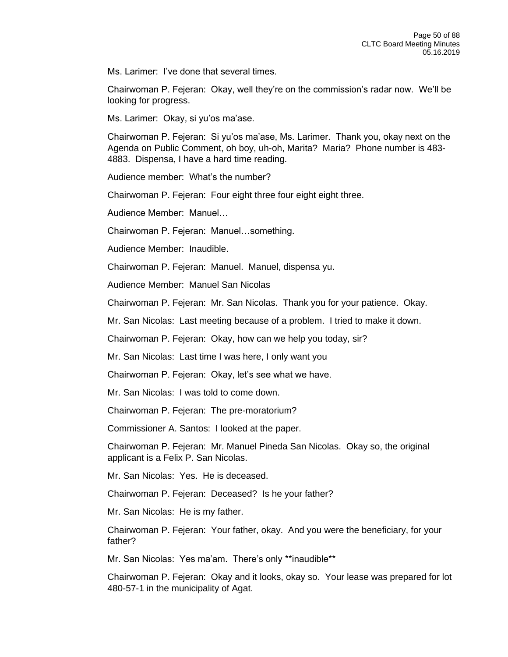Ms. Larimer: I've done that several times.

Chairwoman P. Fejeran: Okay, well they're on the commission's radar now. We'll be looking for progress.

Ms. Larimer: Okay, si yu'os ma'ase.

Chairwoman P. Fejeran: Si yu'os ma'ase, Ms. Larimer. Thank you, okay next on the Agenda on Public Comment, oh boy, uh-oh, Marita? Maria? Phone number is 483- 4883. Dispensa, I have a hard time reading.

Audience member: What's the number?

Chairwoman P. Fejeran: Four eight three four eight eight three.

Audience Member: Manuel…

Chairwoman P. Fejeran: Manuel…something.

Audience Member: Inaudible.

Chairwoman P. Fejeran: Manuel. Manuel, dispensa yu.

Audience Member: Manuel San Nicolas

Chairwoman P. Fejeran: Mr. San Nicolas. Thank you for your patience. Okay.

Mr. San Nicolas: Last meeting because of a problem. I tried to make it down.

Chairwoman P. Fejeran: Okay, how can we help you today, sir?

Mr. San Nicolas: Last time I was here, I only want you

Chairwoman P. Fejeran: Okay, let's see what we have.

Mr. San Nicolas: I was told to come down.

Chairwoman P. Fejeran: The pre-moratorium?

Commissioner A. Santos: I looked at the paper.

Chairwoman P. Fejeran: Mr. Manuel Pineda San Nicolas. Okay so, the original applicant is a Felix P. San Nicolas.

Mr. San Nicolas: Yes. He is deceased.

Chairwoman P. Fejeran: Deceased? Is he your father?

Mr. San Nicolas: He is my father.

Chairwoman P. Fejeran: Your father, okay. And you were the beneficiary, for your father?

Mr. San Nicolas: Yes ma'am. There's only \*\*inaudible\*\*

Chairwoman P. Fejeran: Okay and it looks, okay so. Your lease was prepared for lot 480-57-1 in the municipality of Agat.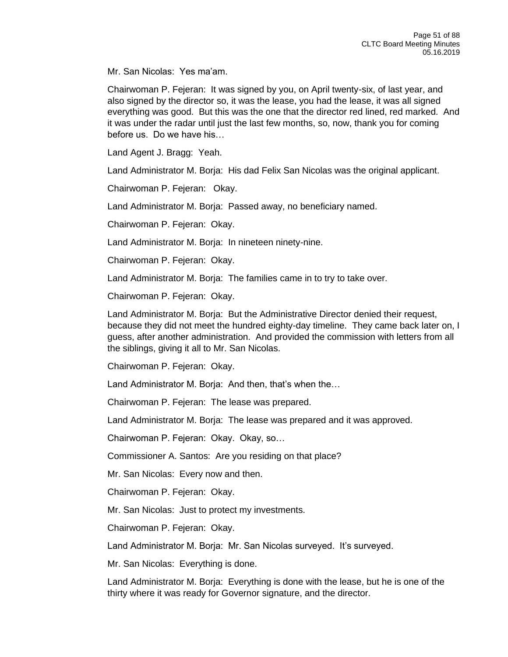Mr. San Nicolas: Yes ma'am.

Chairwoman P. Fejeran: It was signed by you, on April twenty-six, of last year, and also signed by the director so, it was the lease, you had the lease, it was all signed everything was good. But this was the one that the director red lined, red marked. And it was under the radar until just the last few months, so, now, thank you for coming before us. Do we have his…

Land Agent J. Bragg: Yeah.

Land Administrator M. Borja: His dad Felix San Nicolas was the original applicant.

Chairwoman P. Fejeran: Okay.

Land Administrator M. Borja: Passed away, no beneficiary named.

Chairwoman P. Fejeran: Okay.

Land Administrator M. Borja: In nineteen ninety-nine.

Chairwoman P. Fejeran: Okay.

Land Administrator M. Borja: The families came in to try to take over.

Chairwoman P. Fejeran: Okay.

Land Administrator M. Borja: But the Administrative Director denied their request, because they did not meet the hundred eighty-day timeline. They came back later on, I guess, after another administration. And provided the commission with letters from all the siblings, giving it all to Mr. San Nicolas.

Chairwoman P. Fejeran: Okay.

Land Administrator M. Borja: And then, that's when the…

Chairwoman P. Fejeran: The lease was prepared.

Land Administrator M. Borja: The lease was prepared and it was approved.

Chairwoman P. Fejeran: Okay. Okay, so…

Commissioner A. Santos: Are you residing on that place?

Mr. San Nicolas: Every now and then.

Chairwoman P. Fejeran: Okay.

Mr. San Nicolas: Just to protect my investments.

Chairwoman P. Fejeran: Okay.

Land Administrator M. Borja: Mr. San Nicolas surveyed. It's surveyed.

Mr. San Nicolas: Everything is done.

Land Administrator M. Borja: Everything is done with the lease, but he is one of the thirty where it was ready for Governor signature, and the director.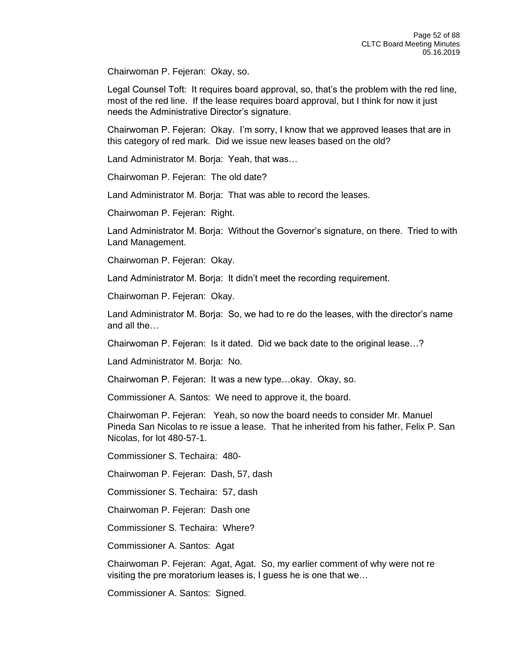Chairwoman P. Fejeran: Okay, so.

Legal Counsel Toft: It requires board approval, so, that's the problem with the red line, most of the red line. If the lease requires board approval, but I think for now it just needs the Administrative Director's signature.

Chairwoman P. Fejeran: Okay. I'm sorry, I know that we approved leases that are in this category of red mark. Did we issue new leases based on the old?

Land Administrator M. Borja: Yeah, that was…

Chairwoman P. Fejeran: The old date?

Land Administrator M. Borja: That was able to record the leases.

Chairwoman P. Fejeran: Right.

Land Administrator M. Borja: Without the Governor's signature, on there. Tried to with Land Management.

Chairwoman P. Fejeran: Okay.

Land Administrator M. Borja: It didn't meet the recording requirement.

Chairwoman P. Fejeran: Okay.

Land Administrator M. Borja: So, we had to re do the leases, with the director's name and all the…

Chairwoman P. Fejeran: Is it dated. Did we back date to the original lease…?

Land Administrator M. Borja: No.

Chairwoman P. Fejeran: It was a new type…okay. Okay, so.

Commissioner A. Santos: We need to approve it, the board.

Chairwoman P. Fejeran: Yeah, so now the board needs to consider Mr. Manuel Pineda San Nicolas to re issue a lease. That he inherited from his father, Felix P. San Nicolas, for lot 480-57-1.

Commissioner S. Techaira: 480-

Chairwoman P. Fejeran: Dash, 57, dash

Commissioner S. Techaira: 57, dash

Chairwoman P. Fejeran: Dash one

Commissioner S. Techaira: Where?

Commissioner A. Santos: Agat

Chairwoman P. Fejeran: Agat, Agat. So, my earlier comment of why were not re visiting the pre moratorium leases is, I guess he is one that we…

Commissioner A. Santos: Signed.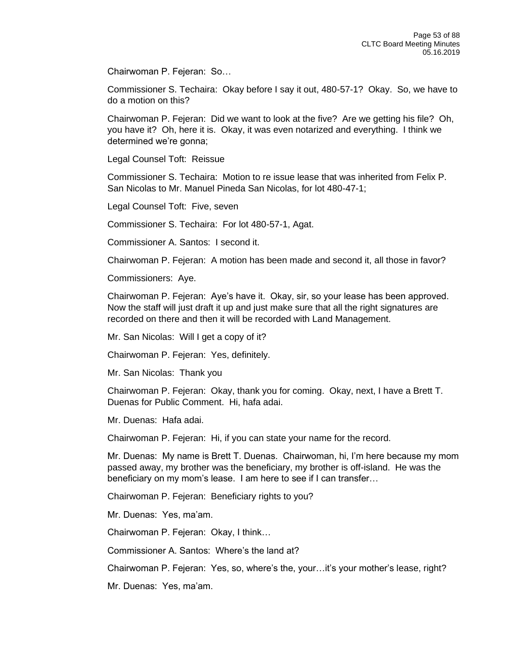Chairwoman P. Fejeran: So…

Commissioner S. Techaira: Okay before I say it out, 480-57-1? Okay. So, we have to do a motion on this?

Chairwoman P. Fejeran: Did we want to look at the five? Are we getting his file? Oh, you have it? Oh, here it is. Okay, it was even notarized and everything. I think we determined we're gonna;

Legal Counsel Toft: Reissue

Commissioner S. Techaira: Motion to re issue lease that was inherited from Felix P. San Nicolas to Mr. Manuel Pineda San Nicolas, for lot 480-47-1;

Legal Counsel Toft: Five, seven

Commissioner S. Techaira: For lot 480-57-1, Agat.

Commissioner A. Santos: I second it.

Chairwoman P. Fejeran: A motion has been made and second it, all those in favor?

Commissioners: Aye.

Chairwoman P. Fejeran: Aye's have it. Okay, sir, so your lease has been approved. Now the staff will just draft it up and just make sure that all the right signatures are recorded on there and then it will be recorded with Land Management.

Mr. San Nicolas: Will I get a copy of it?

Chairwoman P. Fejeran: Yes, definitely.

Mr. San Nicolas: Thank you

Chairwoman P. Fejeran: Okay, thank you for coming. Okay, next, I have a Brett T. Duenas for Public Comment. Hi, hafa adai.

Mr. Duenas: Hafa adai.

Chairwoman P. Fejeran: Hi, if you can state your name for the record.

Mr. Duenas: My name is Brett T. Duenas. Chairwoman, hi, I'm here because my mom passed away, my brother was the beneficiary, my brother is off-island. He was the beneficiary on my mom's lease. I am here to see if I can transfer…

Chairwoman P. Fejeran: Beneficiary rights to you?

Mr. Duenas: Yes, ma'am.

Chairwoman P. Fejeran: Okay, I think…

Commissioner A. Santos: Where's the land at?

Chairwoman P. Fejeran: Yes, so, where's the, your…it's your mother's lease, right?

Mr. Duenas: Yes, ma'am.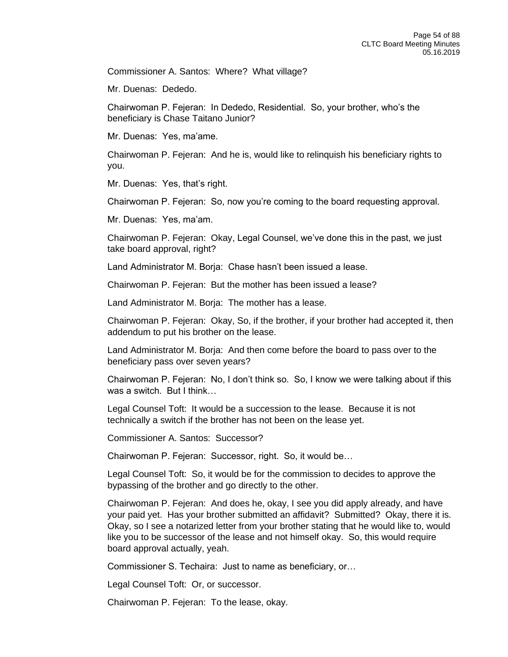Commissioner A. Santos: Where? What village?

Mr. Duenas: Dededo.

Chairwoman P. Fejeran: In Dededo, Residential. So, your brother, who's the beneficiary is Chase Taitano Junior?

Mr. Duenas: Yes, ma'ame.

Chairwoman P. Fejeran: And he is, would like to relinquish his beneficiary rights to you.

Mr. Duenas: Yes, that's right.

Chairwoman P. Fejeran: So, now you're coming to the board requesting approval.

Mr. Duenas: Yes, ma'am.

Chairwoman P. Fejeran: Okay, Legal Counsel, we've done this in the past, we just take board approval, right?

Land Administrator M. Borja: Chase hasn't been issued a lease.

Chairwoman P. Fejeran: But the mother has been issued a lease?

Land Administrator M. Borja: The mother has a lease.

Chairwoman P. Fejeran: Okay, So, if the brother, if your brother had accepted it, then addendum to put his brother on the lease.

Land Administrator M. Borja: And then come before the board to pass over to the beneficiary pass over seven years?

Chairwoman P. Fejeran: No, I don't think so. So, I know we were talking about if this was a switch. But I think…

Legal Counsel Toft: It would be a succession to the lease. Because it is not technically a switch if the brother has not been on the lease yet.

Commissioner A. Santos: Successor?

Chairwoman P. Fejeran: Successor, right. So, it would be…

Legal Counsel Toft: So, it would be for the commission to decides to approve the bypassing of the brother and go directly to the other.

Chairwoman P. Fejeran: And does he, okay, I see you did apply already, and have your paid yet. Has your brother submitted an affidavit? Submitted? Okay, there it is. Okay, so I see a notarized letter from your brother stating that he would like to, would like you to be successor of the lease and not himself okay. So, this would require board approval actually, yeah.

Commissioner S. Techaira: Just to name as beneficiary, or…

Legal Counsel Toft: Or, or successor.

Chairwoman P. Fejeran: To the lease, okay.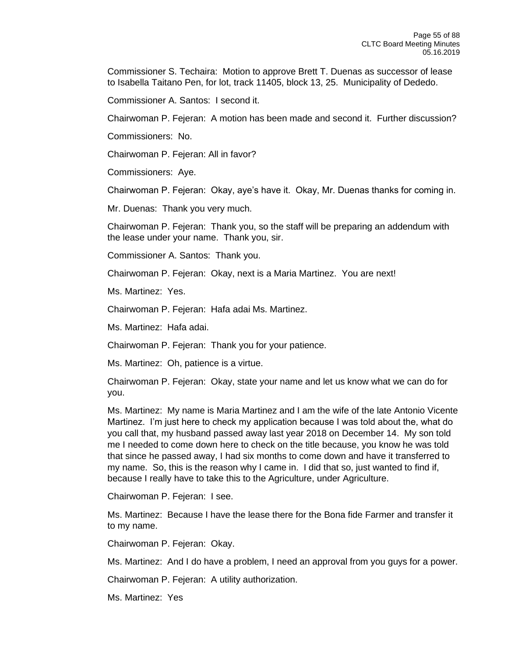Commissioner S. Techaira: Motion to approve Brett T. Duenas as successor of lease to Isabella Taitano Pen, for lot, track 11405, block 13, 25. Municipality of Dededo.

Commissioner A. Santos: I second it.

Chairwoman P. Fejeran: A motion has been made and second it. Further discussion?

Commissioners: No.

Chairwoman P. Fejeran: All in favor?

Commissioners: Aye.

Chairwoman P. Fejeran: Okay, aye's have it. Okay, Mr. Duenas thanks for coming in.

Mr. Duenas: Thank you very much.

Chairwoman P. Fejeran: Thank you, so the staff will be preparing an addendum with the lease under your name. Thank you, sir.

Commissioner A. Santos: Thank you.

Chairwoman P. Fejeran: Okay, next is a Maria Martinez. You are next!

Ms. Martinez: Yes.

Chairwoman P. Fejeran: Hafa adai Ms. Martinez.

Ms. Martinez: Hafa adai.

Chairwoman P. Fejeran: Thank you for your patience.

Ms. Martinez: Oh, patience is a virtue.

Chairwoman P. Fejeran: Okay, state your name and let us know what we can do for you.

Ms. Martinez: My name is Maria Martinez and I am the wife of the late Antonio Vicente Martinez. I'm just here to check my application because I was told about the, what do you call that, my husband passed away last year 2018 on December 14. My son told me I needed to come down here to check on the title because, you know he was told that since he passed away, I had six months to come down and have it transferred to my name. So, this is the reason why I came in. I did that so, just wanted to find if, because I really have to take this to the Agriculture, under Agriculture.

Chairwoman P. Fejeran: I see.

Ms. Martinez: Because I have the lease there for the Bona fide Farmer and transfer it to my name.

Chairwoman P. Fejeran: Okay.

Ms. Martinez: And I do have a problem, I need an approval from you guys for a power.

Chairwoman P. Fejeran: A utility authorization.

Ms. Martinez: Yes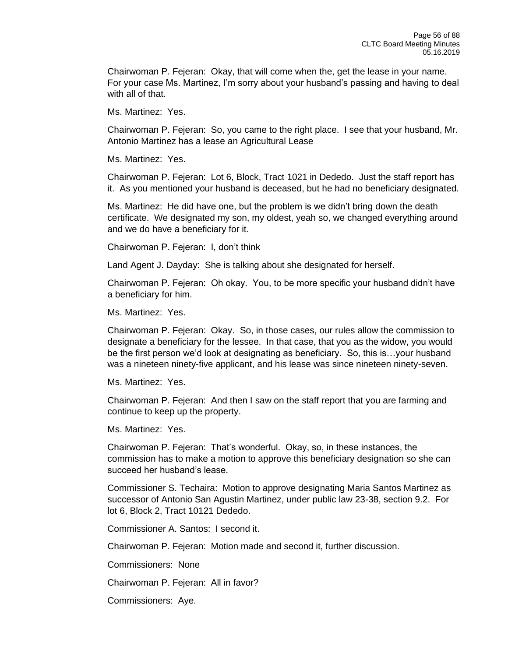Chairwoman P. Fejeran: Okay, that will come when the, get the lease in your name. For your case Ms. Martinez, I'm sorry about your husband's passing and having to deal with all of that.

Ms. Martinez: Yes.

Chairwoman P. Fejeran: So, you came to the right place. I see that your husband, Mr. Antonio Martinez has a lease an Agricultural Lease

Ms. Martinez: Yes.

Chairwoman P. Fejeran: Lot 6, Block, Tract 1021 in Dededo. Just the staff report has it. As you mentioned your husband is deceased, but he had no beneficiary designated.

Ms. Martinez: He did have one, but the problem is we didn't bring down the death certificate. We designated my son, my oldest, yeah so, we changed everything around and we do have a beneficiary for it.

Chairwoman P. Fejeran: I, don't think

Land Agent J. Dayday: She is talking about she designated for herself.

Chairwoman P. Fejeran: Oh okay. You, to be more specific your husband didn't have a beneficiary for him.

Ms. Martinez: Yes.

Chairwoman P. Fejeran: Okay. So, in those cases, our rules allow the commission to designate a beneficiary for the lessee. In that case, that you as the widow, you would be the first person we'd look at designating as beneficiary. So, this is…your husband was a nineteen ninety-five applicant, and his lease was since nineteen ninety-seven.

Ms. Martinez: Yes.

Chairwoman P. Fejeran: And then I saw on the staff report that you are farming and continue to keep up the property.

Ms. Martinez: Yes.

Chairwoman P. Fejeran: That's wonderful. Okay, so, in these instances, the commission has to make a motion to approve this beneficiary designation so she can succeed her husband's lease.

Commissioner S. Techaira: Motion to approve designating Maria Santos Martinez as successor of Antonio San Agustin Martinez, under public law 23-38, section 9.2. For lot 6, Block 2, Tract 10121 Dededo.

Commissioner A. Santos: I second it.

Chairwoman P. Fejeran: Motion made and second it, further discussion.

Commissioners: None

Chairwoman P. Fejeran: All in favor?

Commissioners: Aye.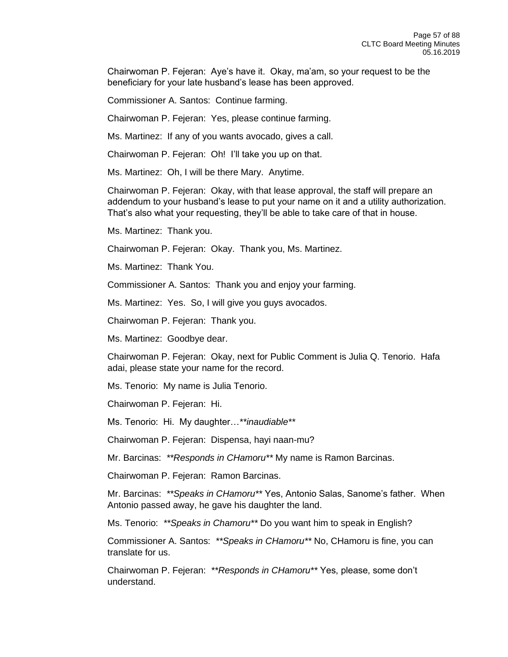Chairwoman P. Fejeran: Aye's have it. Okay, ma'am, so your request to be the beneficiary for your late husband's lease has been approved.

Commissioner A. Santos: Continue farming.

Chairwoman P. Fejeran: Yes, please continue farming.

Ms. Martinez: If any of you wants avocado, gives a call.

Chairwoman P. Fejeran: Oh! I'll take you up on that.

Ms. Martinez: Oh, I will be there Mary. Anytime.

Chairwoman P. Fejeran: Okay, with that lease approval, the staff will prepare an addendum to your husband's lease to put your name on it and a utility authorization. That's also what your requesting, they'll be able to take care of that in house.

Ms. Martinez: Thank you.

Chairwoman P. Fejeran: Okay. Thank you, Ms. Martinez.

Ms. Martinez: Thank You.

Commissioner A. Santos: Thank you and enjoy your farming.

Ms. Martinez: Yes. So, I will give you guys avocados.

Chairwoman P. Fejeran: Thank you.

Ms. Martinez: Goodbye dear.

Chairwoman P. Fejeran: Okay, next for Public Comment is Julia Q. Tenorio. Hafa adai, please state your name for the record.

Ms. Tenorio: My name is Julia Tenorio.

Chairwoman P. Fejeran: Hi.

Ms. Tenorio: Hi. My daughter…*\*\*inaudiable\*\** 

Chairwoman P. Fejeran: Dispensa, hayi naan-mu?

Mr. Barcinas: *\*\*Responds in CHamoru\*\** My name is Ramon Barcinas.

Chairwoman P. Fejeran: Ramon Barcinas.

Mr. Barcinas: *\*\*Speaks in CHamoru\*\** Yes, Antonio Salas, Sanome's father. When Antonio passed away, he gave his daughter the land.

Ms. Tenorio: *\*\*Speaks in Chamoru\*\** Do you want him to speak in English?

Commissioner A. Santos: *\*\*Speaks in CHamoru\*\** No, CHamoru is fine, you can translate for us.

Chairwoman P. Fejeran: *\*\*Responds in CHamoru\*\** Yes, please, some don't understand.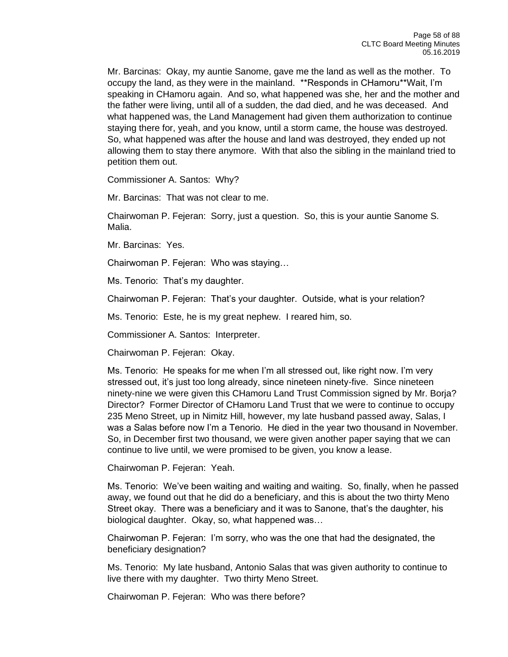Mr. Barcinas: Okay, my auntie Sanome, gave me the land as well as the mother. To occupy the land, as they were in the mainland. \*\*Responds in CHamoru\*\*Wait, I'm speaking in CHamoru again. And so, what happened was she, her and the mother and the father were living, until all of a sudden, the dad died, and he was deceased. And what happened was, the Land Management had given them authorization to continue staying there for, yeah, and you know, until a storm came, the house was destroyed. So, what happened was after the house and land was destroyed, they ended up not allowing them to stay there anymore. With that also the sibling in the mainland tried to petition them out.

Commissioner A. Santos: Why?

Mr. Barcinas: That was not clear to me.

Chairwoman P. Fejeran: Sorry, just a question. So, this is your auntie Sanome S. Malia.

Mr. Barcinas: Yes.

Chairwoman P. Fejeran: Who was staying…

Ms. Tenorio: That's my daughter.

Chairwoman P. Fejeran: That's your daughter. Outside, what is your relation?

Ms. Tenorio: Este, he is my great nephew. I reared him, so.

Commissioner A. Santos: Interpreter.

Chairwoman P. Fejeran: Okay.

Ms. Tenorio: He speaks for me when I'm all stressed out, like right now. I'm very stressed out, it's just too long already, since nineteen ninety-five. Since nineteen ninety-nine we were given this CHamoru Land Trust Commission signed by Mr. Borja? Director? Former Director of CHamoru Land Trust that we were to continue to occupy 235 Meno Street, up in Nimitz Hill, however, my late husband passed away, Salas, I was a Salas before now I'm a Tenorio. He died in the year two thousand in November. So, in December first two thousand, we were given another paper saying that we can continue to live until, we were promised to be given, you know a lease.

Chairwoman P. Fejeran: Yeah.

Ms. Tenorio: We've been waiting and waiting and waiting. So, finally, when he passed away, we found out that he did do a beneficiary, and this is about the two thirty Meno Street okay. There was a beneficiary and it was to Sanone, that's the daughter, his biological daughter. Okay, so, what happened was…

Chairwoman P. Fejeran: I'm sorry, who was the one that had the designated, the beneficiary designation?

Ms. Tenorio: My late husband, Antonio Salas that was given authority to continue to live there with my daughter. Two thirty Meno Street.

Chairwoman P. Fejeran: Who was there before?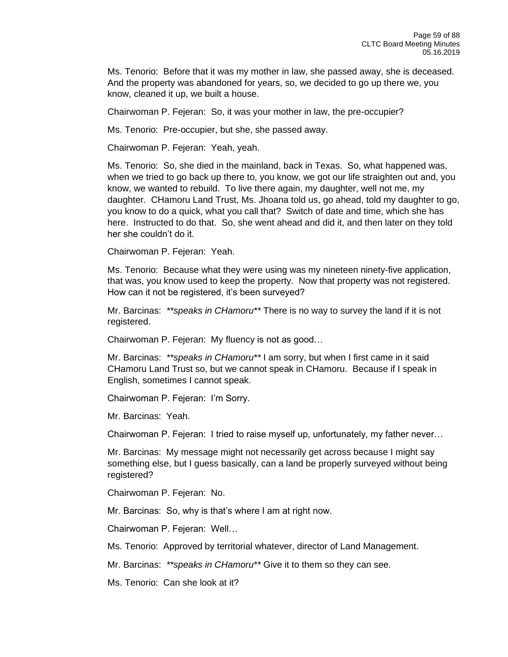Ms. Tenorio: Before that it was my mother in law, she passed away, she is deceased. And the property was abandoned for years, so, we decided to go up there we, you know, cleaned it up, we built a house.

Chairwoman P. Fejeran: So, it was your mother in law, the pre-occupier?

Ms. Tenorio: Pre-occupier, but she, she passed away.

Chairwoman P. Fejeran: Yeah, yeah.

Ms. Tenorio: So, she died in the mainland, back in Texas. So, what happened was, when we tried to go back up there to, you know, we got our life straighten out and, you know, we wanted to rebuild. To live there again, my daughter, well not me, my daughter. CHamoru Land Trust, Ms. Jhoana told us, go ahead, told my daughter to go, you know to do a quick, what you call that? Switch of date and time, which she has here. Instructed to do that. So, she went ahead and did it, and then later on they told her she couldn't do it.

Chairwoman P. Fejeran: Yeah.

Ms. Tenorio: Because what they were using was my nineteen ninety-five application, that was, you know used to keep the property. Now that property was not registered. How can it not be registered, it's been surveyed?

Mr. Barcinas: *\*\*speaks in CHamoru\*\** There is no way to survey the land if it is not registered.

Chairwoman P. Fejeran: My fluency is not as good…

Mr. Barcinas: *\*\*speaks in CHamoru\*\** I am sorry, but when I first came in it said CHamoru Land Trust so, but we cannot speak in CHamoru. Because if I speak in English, sometimes I cannot speak.

Chairwoman P. Fejeran: I'm Sorry.

Mr. Barcinas: Yeah.

Chairwoman P. Fejeran: I tried to raise myself up, unfortunately, my father never…

Mr. Barcinas: My message might not necessarily get across because I might say something else, but I guess basically, can a land be properly surveyed without being registered?

Chairwoman P. Fejeran: No.

Mr. Barcinas: So, why is that's where I am at right now.

Chairwoman P. Fejeran: Well…

Ms. Tenorio: Approved by territorial whatever, director of Land Management.

Mr. Barcinas: *\*\*speaks in CHamoru\*\** Give it to them so they can see.

Ms. Tenorio: Can she look at it?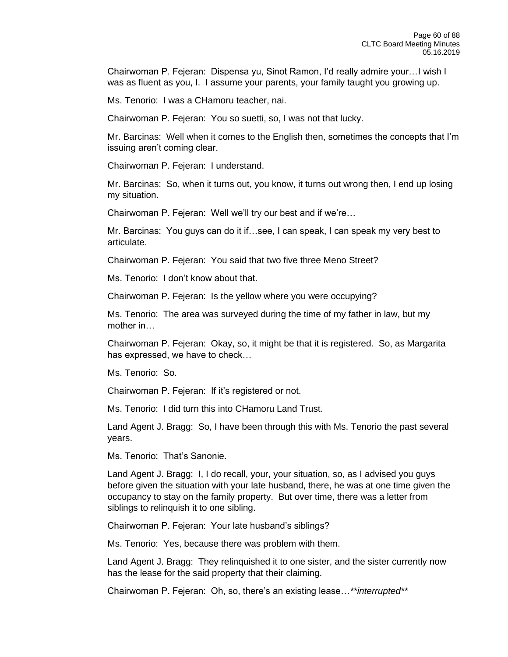Chairwoman P. Fejeran: Dispensa yu, Sinot Ramon, I'd really admire your…I wish I was as fluent as you, I. I assume your parents, your family taught you growing up.

Ms. Tenorio: I was a CHamoru teacher, nai.

Chairwoman P. Fejeran: You so suetti, so, I was not that lucky.

Mr. Barcinas: Well when it comes to the English then, sometimes the concepts that I'm issuing aren't coming clear.

Chairwoman P. Fejeran: I understand.

Mr. Barcinas: So, when it turns out, you know, it turns out wrong then, I end up losing my situation.

Chairwoman P. Fejeran: Well we'll try our best and if we're…

Mr. Barcinas: You guys can do it if…see, I can speak, I can speak my very best to articulate.

Chairwoman P. Fejeran: You said that two five three Meno Street?

Ms. Tenorio: I don't know about that.

Chairwoman P. Fejeran: Is the yellow where you were occupying?

Ms. Tenorio: The area was surveyed during the time of my father in law, but my mother in…

Chairwoman P. Fejeran: Okay, so, it might be that it is registered. So, as Margarita has expressed, we have to check…

Ms. Tenorio: So.

Chairwoman P. Fejeran: If it's registered or not.

Ms. Tenorio: I did turn this into CHamoru Land Trust.

Land Agent J. Bragg: So, I have been through this with Ms. Tenorio the past several years.

Ms. Tenorio: That's Sanonie.

Land Agent J. Bragg: I, I do recall, your, your situation, so, as I advised you guys before given the situation with your late husband, there, he was at one time given the occupancy to stay on the family property. But over time, there was a letter from siblings to relinquish it to one sibling.

Chairwoman P. Fejeran: Your late husband's siblings?

Ms. Tenorio: Yes, because there was problem with them.

Land Agent J. Bragg: They relinquished it to one sister, and the sister currently now has the lease for the said property that their claiming.

Chairwoman P. Fejeran: Oh, so, there's an existing lease…*\*\*interrupted\*\**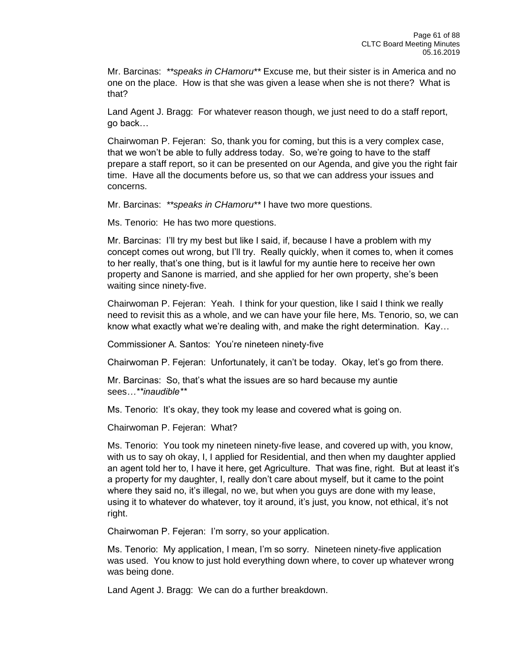Mr. Barcinas: *\*\*speaks in CHamoru\*\** Excuse me, but their sister is in America and no one on the place. How is that she was given a lease when she is not there? What is that?

Land Agent J. Bragg: For whatever reason though, we just need to do a staff report, go back…

Chairwoman P. Fejeran: So, thank you for coming, but this is a very complex case, that we won't be able to fully address today. So, we're going to have to the staff prepare a staff report, so it can be presented on our Agenda, and give you the right fair time. Have all the documents before us, so that we can address your issues and concerns.

Mr. Barcinas: *\*\*speaks in CHamoru\*\** I have two more questions.

Ms. Tenorio: He has two more questions.

Mr. Barcinas: I'll try my best but like I said, if, because I have a problem with my concept comes out wrong, but I'll try. Really quickly, when it comes to, when it comes to her really, that's one thing, but is it lawful for my auntie here to receive her own property and Sanone is married, and she applied for her own property, she's been waiting since ninety-five.

Chairwoman P. Fejeran: Yeah. I think for your question, like I said I think we really need to revisit this as a whole, and we can have your file here, Ms. Tenorio, so, we can know what exactly what we're dealing with, and make the right determination. Kay…

Commissioner A. Santos: You're nineteen ninety-five

Chairwoman P. Fejeran: Unfortunately, it can't be today. Okay, let's go from there.

Mr. Barcinas: So, that's what the issues are so hard because my auntie sees*…\*\*inaudible\*\**

Ms. Tenorio: It's okay, they took my lease and covered what is going on.

Chairwoman P. Fejeran: What?

Ms. Tenorio: You took my nineteen ninety-five lease, and covered up with, you know, with us to say oh okay, I, I applied for Residential, and then when my daughter applied an agent told her to, I have it here, get Agriculture. That was fine, right. But at least it's a property for my daughter, I, really don't care about myself, but it came to the point where they said no, it's illegal, no we, but when you guys are done with my lease, using it to whatever do whatever, toy it around, it's just, you know, not ethical, it's not right.

Chairwoman P. Fejeran: I'm sorry, so your application.

Ms. Tenorio: My application, I mean, I'm so sorry. Nineteen ninety-five application was used. You know to just hold everything down where, to cover up whatever wrong was being done.

Land Agent J. Bragg: We can do a further breakdown.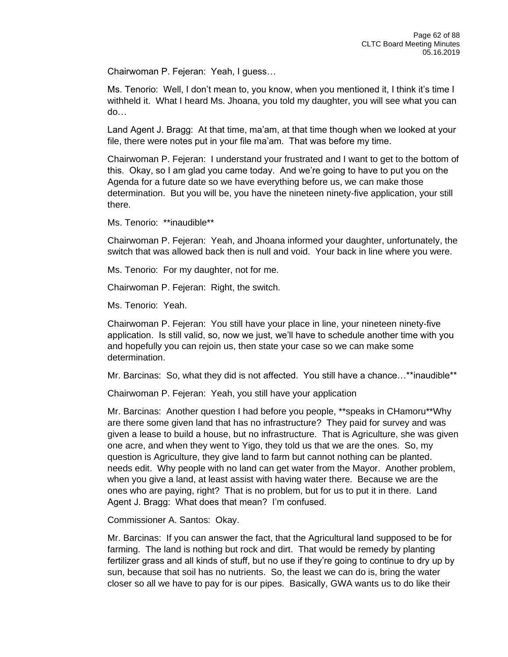Chairwoman P. Fejeran: Yeah, I guess…

Ms. Tenorio: Well, I don't mean to, you know, when you mentioned it, I think it's time I withheld it. What I heard Ms. Jhoana, you told my daughter, you will see what you can do…

Land Agent J. Bragg: At that time, ma'am, at that time though when we looked at your file, there were notes put in your file ma'am. That was before my time.

Chairwoman P. Fejeran: I understand your frustrated and I want to get to the bottom of this. Okay, so I am glad you came today. And we're going to have to put you on the Agenda for a future date so we have everything before us, we can make those determination. But you will be, you have the nineteen ninety-five application, your still there.

Ms. Tenorio: \*\*inaudible\*\*

Chairwoman P. Fejeran: Yeah, and Jhoana informed your daughter, unfortunately, the switch that was allowed back then is null and void. Your back in line where you were.

Ms. Tenorio: For my daughter, not for me.

Chairwoman P. Fejeran: Right, the switch.

Ms. Tenorio: Yeah.

Chairwoman P. Fejeran: You still have your place in line, your nineteen ninety-five application. Is still valid, so, now we just, we'll have to schedule another time with you and hopefully you can rejoin us, then state your case so we can make some determination.

Mr. Barcinas: So, what they did is not affected. You still have a chance…\*\*inaudible\*\*

Chairwoman P. Fejeran: Yeah, you still have your application

Mr. Barcinas: Another question I had before you people, \*\*speaks in CHamoru\*\*Why are there some given land that has no infrastructure? They paid for survey and was given a lease to build a house, but no infrastructure. That is Agriculture, she was given one acre, and when they went to Yigo, they told us that we are the ones. So, my question is Agriculture, they give land to farm but cannot nothing can be planted. needs edit. Why people with no land can get water from the Mayor. Another problem, when you give a land, at least assist with having water there. Because we are the ones who are paying, right? That is no problem, but for us to put it in there. Land Agent J. Bragg: What does that mean? I'm confused.

Commissioner A. Santos: Okay.

Mr. Barcinas: If you can answer the fact, that the Agricultural land supposed to be for farming. The land is nothing but rock and dirt. That would be remedy by planting fertilizer grass and all kinds of stuff, but no use if they're going to continue to dry up by sun, because that soil has no nutrients. So, the least we can do is, bring the water closer so all we have to pay for is our pipes. Basically, GWA wants us to do like their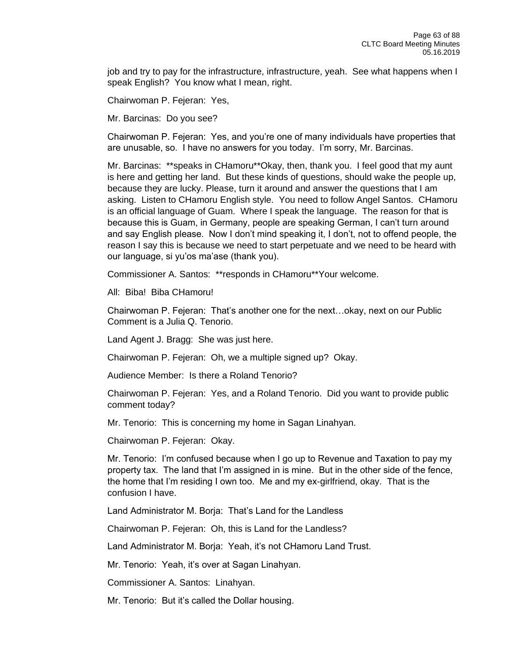job and try to pay for the infrastructure, infrastructure, yeah. See what happens when I speak English? You know what I mean, right.

Chairwoman P. Fejeran: Yes,

Mr. Barcinas: Do you see?

Chairwoman P. Fejeran: Yes, and you're one of many individuals have properties that are unusable, so. I have no answers for you today. I'm sorry, Mr. Barcinas.

Mr. Barcinas: \*\*speaks in CHamoru\*\*Okay, then, thank you. I feel good that my aunt is here and getting her land. But these kinds of questions, should wake the people up, because they are lucky. Please, turn it around and answer the questions that I am asking. Listen to CHamoru English style. You need to follow Angel Santos. CHamoru is an official language of Guam. Where I speak the language. The reason for that is because this is Guam, in Germany, people are speaking German, I can't turn around and say English please. Now I don't mind speaking it, I don't, not to offend people, the reason I say this is because we need to start perpetuate and we need to be heard with our language, si yu'os ma'ase (thank you).

Commissioner A. Santos: \*\*responds in CHamoru\*\*Your welcome.

All: Biba! Biba CHamoru!

Chairwoman P. Fejeran: That's another one for the next…okay, next on our Public Comment is a Julia Q. Tenorio.

Land Agent J. Bragg: She was just here.

Chairwoman P. Fejeran: Oh, we a multiple signed up? Okay.

Audience Member: Is there a Roland Tenorio?

Chairwoman P. Fejeran: Yes, and a Roland Tenorio. Did you want to provide public comment today?

Mr. Tenorio: This is concerning my home in Sagan Linahyan.

Chairwoman P. Fejeran: Okay.

Mr. Tenorio: I'm confused because when I go up to Revenue and Taxation to pay my property tax. The land that I'm assigned in is mine. But in the other side of the fence, the home that I'm residing I own too. Me and my ex-girlfriend, okay. That is the confusion I have.

Land Administrator M. Borja: That's Land for the Landless

Chairwoman P. Fejeran: Oh, this is Land for the Landless?

Land Administrator M. Borja: Yeah, it's not CHamoru Land Trust.

Mr. Tenorio: Yeah, it's over at Sagan Linahyan.

Commissioner A. Santos: Linahyan.

Mr. Tenorio: But it's called the Dollar housing.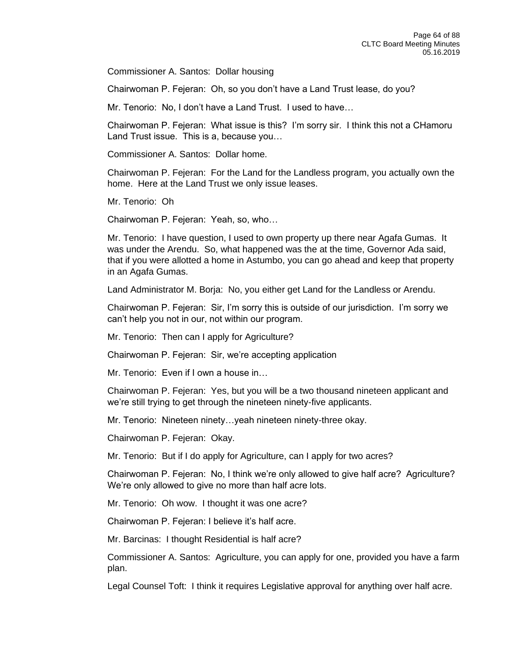Commissioner A. Santos: Dollar housing

Chairwoman P. Fejeran: Oh, so you don't have a Land Trust lease, do you?

Mr. Tenorio: No, I don't have a Land Trust. I used to have…

Chairwoman P. Fejeran: What issue is this? I'm sorry sir. I think this not a CHamoru Land Trust issue. This is a, because you…

Commissioner A. Santos: Dollar home.

Chairwoman P. Fejeran: For the Land for the Landless program, you actually own the home. Here at the Land Trust we only issue leases.

Mr. Tenorio: Oh

Chairwoman P. Fejeran: Yeah, so, who…

Mr. Tenorio: I have question, I used to own property up there near Agafa Gumas. It was under the Arendu. So, what happened was the at the time, Governor Ada said, that if you were allotted a home in Astumbo, you can go ahead and keep that property in an Agafa Gumas.

Land Administrator M. Borja: No, you either get Land for the Landless or Arendu.

Chairwoman P. Fejeran: Sir, I'm sorry this is outside of our jurisdiction. I'm sorry we can't help you not in our, not within our program.

Mr. Tenorio: Then can I apply for Agriculture?

Chairwoman P. Fejeran: Sir, we're accepting application

Mr. Tenorio: Even if I own a house in

Chairwoman P. Fejeran: Yes, but you will be a two thousand nineteen applicant and we're still trying to get through the nineteen ninety-five applicants.

Mr. Tenorio: Nineteen ninety…yeah nineteen ninety-three okay.

Chairwoman P. Fejeran: Okay.

Mr. Tenorio: But if I do apply for Agriculture, can I apply for two acres?

Chairwoman P. Fejeran: No, I think we're only allowed to give half acre? Agriculture? We're only allowed to give no more than half acre lots.

Mr. Tenorio: Oh wow. I thought it was one acre?

Chairwoman P. Fejeran: I believe it's half acre.

Mr. Barcinas: I thought Residential is half acre?

Commissioner A. Santos: Agriculture, you can apply for one, provided you have a farm plan.

Legal Counsel Toft: I think it requires Legislative approval for anything over half acre.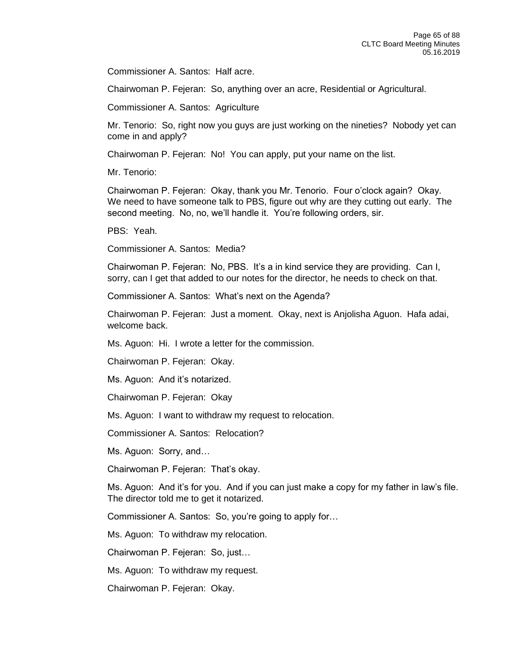Commissioner A. Santos: Half acre.

Chairwoman P. Fejeran: So, anything over an acre, Residential or Agricultural.

Commissioner A. Santos: Agriculture

Mr. Tenorio: So, right now you guys are just working on the nineties? Nobody yet can come in and apply?

Chairwoman P. Fejeran: No! You can apply, put your name on the list.

Mr. Tenorio:

Chairwoman P. Fejeran: Okay, thank you Mr. Tenorio. Four o'clock again? Okay. We need to have someone talk to PBS, figure out why are they cutting out early. The second meeting. No, no, we'll handle it. You're following orders, sir.

PBS: Yeah.

Commissioner A. Santos: Media?

Chairwoman P. Fejeran: No, PBS. It's a in kind service they are providing. Can I, sorry, can I get that added to our notes for the director, he needs to check on that.

Commissioner A. Santos: What's next on the Agenda?

Chairwoman P. Fejeran: Just a moment. Okay, next is Anjolisha Aguon. Hafa adai, welcome back.

Ms. Aguon: Hi. I wrote a letter for the commission.

Chairwoman P. Fejeran: Okay.

Ms. Aguon: And it's notarized.

Chairwoman P. Fejeran: Okay

Ms. Aguon: I want to withdraw my request to relocation.

Commissioner A. Santos: Relocation?

Ms. Aguon: Sorry, and…

Chairwoman P. Fejeran: That's okay.

Ms. Aguon: And it's for you. And if you can just make a copy for my father in law's file. The director told me to get it notarized.

Commissioner A. Santos: So, you're going to apply for…

Ms. Aguon: To withdraw my relocation.

Chairwoman P. Fejeran: So, just…

Ms. Aguon: To withdraw my request.

Chairwoman P. Fejeran: Okay.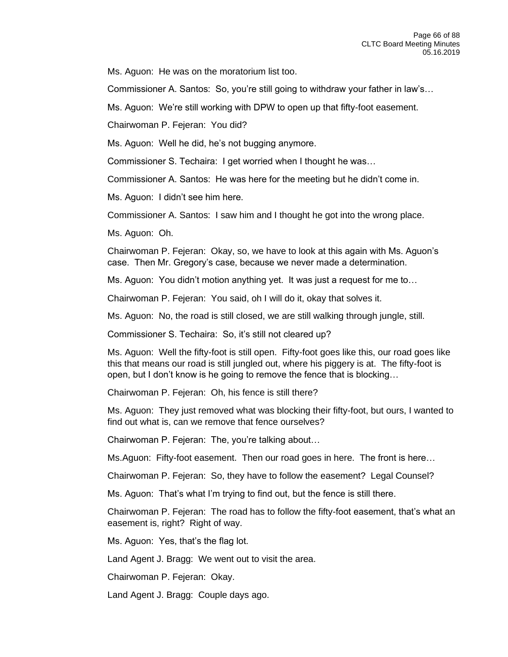Ms. Aguon: He was on the moratorium list too.

Commissioner A. Santos: So, you're still going to withdraw your father in law's…

Ms. Aguon: We're still working with DPW to open up that fifty-foot easement.

Chairwoman P. Fejeran: You did?

Ms. Aguon: Well he did, he's not bugging anymore.

Commissioner S. Techaira: I get worried when I thought he was…

Commissioner A. Santos: He was here for the meeting but he didn't come in.

Ms. Aguon: I didn't see him here.

Commissioner A. Santos: I saw him and I thought he got into the wrong place.

Ms. Aguon: Oh.

Chairwoman P. Fejeran: Okay, so, we have to look at this again with Ms. Aguon's case. Then Mr. Gregory's case, because we never made a determination.

Ms. Aguon: You didn't motion anything yet. It was just a request for me to…

Chairwoman P. Fejeran: You said, oh I will do it, okay that solves it.

Ms. Aguon: No, the road is still closed, we are still walking through jungle, still.

Commissioner S. Techaira: So, it's still not cleared up?

Ms. Aguon: Well the fifty-foot is still open. Fifty-foot goes like this, our road goes like this that means our road is still jungled out, where his piggery is at. The fifty-foot is open, but I don't know is he going to remove the fence that is blocking…

Chairwoman P. Fejeran: Oh, his fence is still there?

Ms. Aguon: They just removed what was blocking their fifty-foot, but ours, I wanted to find out what is, can we remove that fence ourselves?

Chairwoman P. Fejeran: The, you're talking about…

Ms.Aguon: Fifty-foot easement. Then our road goes in here. The front is here…

Chairwoman P. Fejeran: So, they have to follow the easement? Legal Counsel?

Ms. Aguon: That's what I'm trying to find out, but the fence is still there.

Chairwoman P. Fejeran: The road has to follow the fifty-foot easement, that's what an easement is, right? Right of way.

Ms. Aguon: Yes, that's the flag lot.

Land Agent J. Bragg: We went out to visit the area.

Chairwoman P. Fejeran: Okay.

Land Agent J. Bragg: Couple days ago.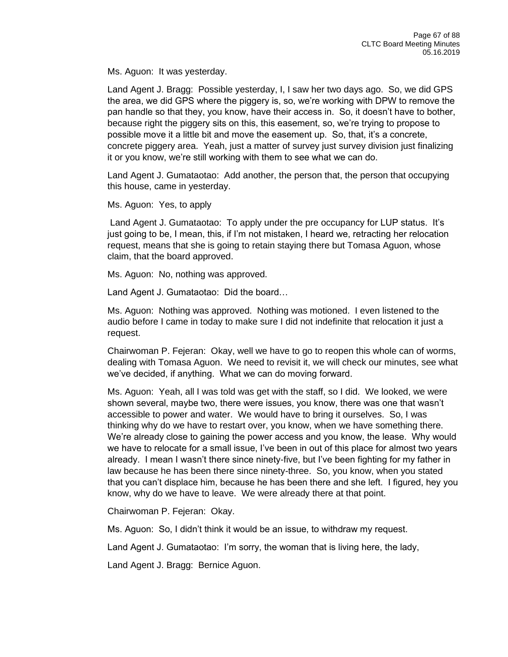Ms. Aguon: It was yesterday.

Land Agent J. Bragg: Possible yesterday, I, I saw her two days ago. So, we did GPS the area, we did GPS where the piggery is, so, we're working with DPW to remove the pan handle so that they, you know, have their access in. So, it doesn't have to bother, because right the piggery sits on this, this easement, so, we're trying to propose to possible move it a little bit and move the easement up. So, that, it's a concrete, concrete piggery area. Yeah, just a matter of survey just survey division just finalizing it or you know, we're still working with them to see what we can do.

Land Agent J. Gumataotao: Add another, the person that, the person that occupying this house, came in yesterday.

Ms. Aguon: Yes, to apply

Land Agent J. Gumataotao: To apply under the pre occupancy for LUP status. It's just going to be, I mean, this, if I'm not mistaken, I heard we, retracting her relocation request, means that she is going to retain staying there but Tomasa Aguon, whose claim, that the board approved.

Ms. Aguon: No, nothing was approved.

Land Agent J. Gumataotao: Did the board…

Ms. Aguon: Nothing was approved. Nothing was motioned. I even listened to the audio before I came in today to make sure I did not indefinite that relocation it just a request.

Chairwoman P. Fejeran: Okay, well we have to go to reopen this whole can of worms, dealing with Tomasa Aguon. We need to revisit it, we will check our minutes, see what we've decided, if anything. What we can do moving forward.

Ms. Aguon: Yeah, all I was told was get with the staff, so I did. We looked, we were shown several, maybe two, there were issues, you know, there was one that wasn't accessible to power and water. We would have to bring it ourselves. So, I was thinking why do we have to restart over, you know, when we have something there. We're already close to gaining the power access and you know, the lease. Why would we have to relocate for a small issue, I've been in out of this place for almost two years already. I mean I wasn't there since ninety-five, but I've been fighting for my father in law because he has been there since ninety-three. So, you know, when you stated that you can't displace him, because he has been there and she left. I figured, hey you know, why do we have to leave. We were already there at that point.

Chairwoman P. Fejeran: Okay.

Ms. Aguon: So, I didn't think it would be an issue, to withdraw my request.

Land Agent J. Gumataotao: I'm sorry, the woman that is living here, the lady,

Land Agent J. Bragg: Bernice Aguon.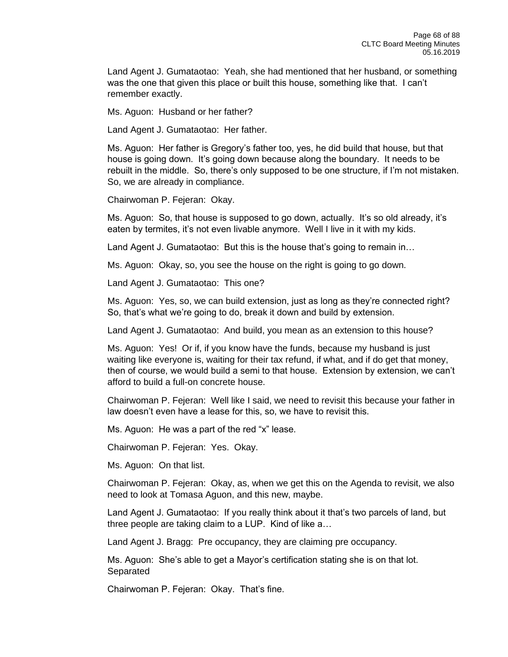Land Agent J. Gumataotao: Yeah, she had mentioned that her husband, or something was the one that given this place or built this house, something like that. I can't remember exactly.

Ms. Aguon: Husband or her father?

Land Agent J. Gumataotao: Her father.

Ms. Aguon: Her father is Gregory's father too, yes, he did build that house, but that house is going down. It's going down because along the boundary. It needs to be rebuilt in the middle. So, there's only supposed to be one structure, if I'm not mistaken. So, we are already in compliance.

Chairwoman P. Fejeran: Okay.

Ms. Aguon: So, that house is supposed to go down, actually. It's so old already, it's eaten by termites, it's not even livable anymore. Well I live in it with my kids.

Land Agent J. Gumataotao: But this is the house that's going to remain in…

Ms. Aguon: Okay, so, you see the house on the right is going to go down.

Land Agent J. Gumataotao: This one?

Ms. Aguon: Yes, so, we can build extension, just as long as they're connected right? So, that's what we're going to do, break it down and build by extension.

Land Agent J. Gumataotao: And build, you mean as an extension to this house?

Ms. Aguon: Yes! Or if, if you know have the funds, because my husband is just waiting like everyone is, waiting for their tax refund, if what, and if do get that money, then of course, we would build a semi to that house. Extension by extension, we can't afford to build a full-on concrete house.

Chairwoman P. Fejeran: Well like I said, we need to revisit this because your father in law doesn't even have a lease for this, so, we have to revisit this.

Ms. Aguon: He was a part of the red "x" lease.

Chairwoman P. Fejeran: Yes. Okay.

Ms. Aguon: On that list.

Chairwoman P. Fejeran: Okay, as, when we get this on the Agenda to revisit, we also need to look at Tomasa Aguon, and this new, maybe.

Land Agent J. Gumataotao: If you really think about it that's two parcels of land, but three people are taking claim to a LUP. Kind of like a…

Land Agent J. Bragg: Pre occupancy, they are claiming pre occupancy.

Ms. Aguon: She's able to get a Mayor's certification stating she is on that lot. Separated

Chairwoman P. Fejeran: Okay. That's fine.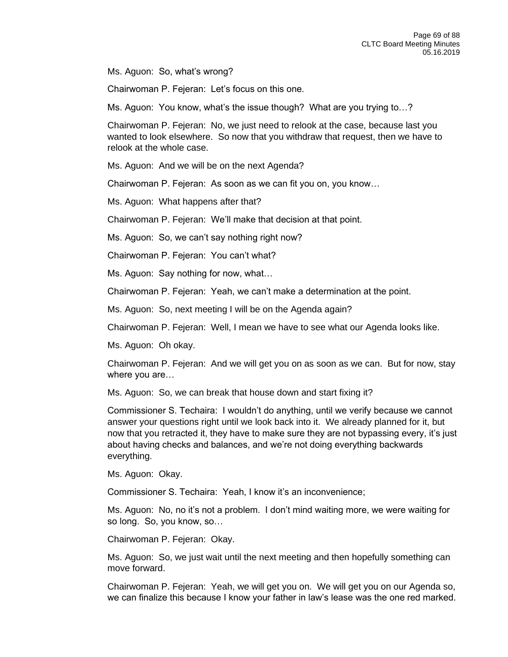Ms. Aguon: So, what's wrong?

Chairwoman P. Fejeran: Let's focus on this one.

Ms. Aguon: You know, what's the issue though? What are you trying to…?

Chairwoman P. Fejeran: No, we just need to relook at the case, because last you wanted to look elsewhere. So now that you withdraw that request, then we have to relook at the whole case.

Ms. Aguon: And we will be on the next Agenda?

Chairwoman P. Fejeran: As soon as we can fit you on, you know…

Ms. Aguon: What happens after that?

Chairwoman P. Fejeran: We'll make that decision at that point.

Ms. Aguon: So, we can't say nothing right now?

Chairwoman P. Fejeran: You can't what?

Ms. Aguon: Say nothing for now, what…

Chairwoman P. Fejeran: Yeah, we can't make a determination at the point.

Ms. Aguon: So, next meeting I will be on the Agenda again?

Chairwoman P. Fejeran: Well, I mean we have to see what our Agenda looks like.

Ms. Aguon: Oh okay.

Chairwoman P. Fejeran: And we will get you on as soon as we can. But for now, stay where you are…

Ms. Aguon: So, we can break that house down and start fixing it?

Commissioner S. Techaira: I wouldn't do anything, until we verify because we cannot answer your questions right until we look back into it. We already planned for it, but now that you retracted it, they have to make sure they are not bypassing every, it's just about having checks and balances, and we're not doing everything backwards everything.

Ms. Aguon: Okay.

Commissioner S. Techaira: Yeah, I know it's an inconvenience;

Ms. Aguon: No, no it's not a problem. I don't mind waiting more, we were waiting for so long. So, you know, so…

Chairwoman P. Fejeran: Okay.

Ms. Aguon: So, we just wait until the next meeting and then hopefully something can move forward.

Chairwoman P. Fejeran: Yeah, we will get you on. We will get you on our Agenda so, we can finalize this because I know your father in law's lease was the one red marked.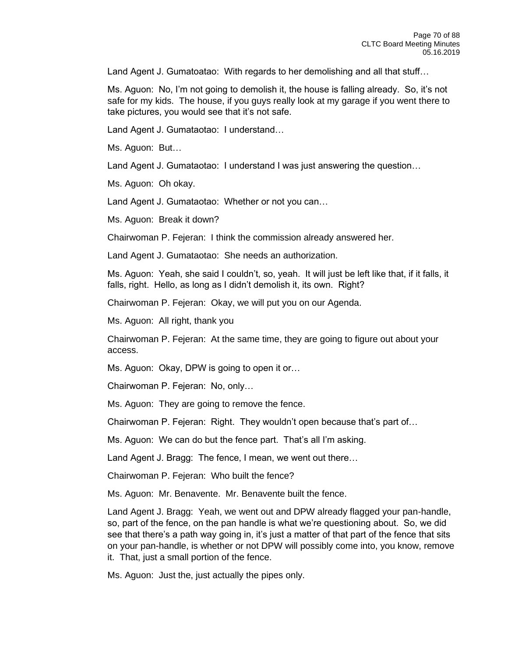Land Agent J. Gumatoatao: With regards to her demolishing and all that stuff…

Ms. Aguon: No, I'm not going to demolish it, the house is falling already. So, it's not safe for my kids. The house, if you guys really look at my garage if you went there to take pictures, you would see that it's not safe.

Land Agent J. Gumataotao: I understand…

Ms. Aguon: But…

Land Agent J. Gumataotao: I understand I was just answering the question…

Ms. Aguon: Oh okay.

Land Agent J. Gumataotao: Whether or not you can…

Ms. Aguon: Break it down?

Chairwoman P. Fejeran: I think the commission already answered her.

Land Agent J. Gumataotao: She needs an authorization.

Ms. Aguon: Yeah, she said I couldn't, so, yeah. It will just be left like that, if it falls, it falls, right. Hello, as long as I didn't demolish it, its own. Right?

Chairwoman P. Fejeran: Okay, we will put you on our Agenda.

Ms. Aguon: All right, thank you

Chairwoman P. Fejeran: At the same time, they are going to figure out about your access.

Ms. Aguon: Okay, DPW is going to open it or…

Chairwoman P. Fejeran: No, only…

Ms. Aguon: They are going to remove the fence.

Chairwoman P. Fejeran: Right. They wouldn't open because that's part of…

Ms. Aguon: We can do but the fence part. That's all I'm asking.

Land Agent J. Bragg: The fence, I mean, we went out there…

Chairwoman P. Fejeran: Who built the fence?

Ms. Aguon: Mr. Benavente. Mr. Benavente built the fence.

Land Agent J. Bragg: Yeah, we went out and DPW already flagged your pan-handle, so, part of the fence, on the pan handle is what we're questioning about. So, we did see that there's a path way going in, it's just a matter of that part of the fence that sits on your pan-handle, is whether or not DPW will possibly come into, you know, remove it. That, just a small portion of the fence.

Ms. Aguon: Just the, just actually the pipes only.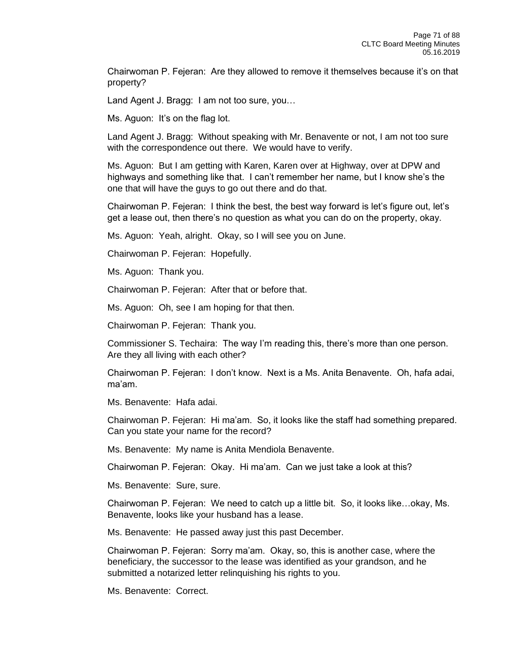Chairwoman P. Fejeran: Are they allowed to remove it themselves because it's on that property?

Land Agent J. Bragg: I am not too sure, you…

Ms. Aguon: It's on the flag lot.

Land Agent J. Bragg: Without speaking with Mr. Benavente or not, I am not too sure with the correspondence out there. We would have to verify.

Ms. Aguon: But I am getting with Karen, Karen over at Highway, over at DPW and highways and something like that. I can't remember her name, but I know she's the one that will have the guys to go out there and do that.

Chairwoman P. Fejeran: I think the best, the best way forward is let's figure out, let's get a lease out, then there's no question as what you can do on the property, okay.

Ms. Aguon: Yeah, alright. Okay, so I will see you on June.

Chairwoman P. Fejeran: Hopefully.

Ms. Aguon: Thank you.

Chairwoman P. Fejeran: After that or before that.

Ms. Aguon: Oh, see I am hoping for that then.

Chairwoman P. Fejeran: Thank you.

Commissioner S. Techaira: The way I'm reading this, there's more than one person. Are they all living with each other?

Chairwoman P. Fejeran: I don't know. Next is a Ms. Anita Benavente. Oh, hafa adai, ma'am.

Ms. Benavente: Hafa adai.

Chairwoman P. Fejeran: Hi ma'am. So, it looks like the staff had something prepared. Can you state your name for the record?

Ms. Benavente: My name is Anita Mendiola Benavente.

Chairwoman P. Fejeran: Okay. Hi ma'am. Can we just take a look at this?

Ms. Benavente: Sure, sure.

Chairwoman P. Fejeran: We need to catch up a little bit. So, it looks like…okay, Ms. Benavente, looks like your husband has a lease.

Ms. Benavente: He passed away just this past December.

Chairwoman P. Fejeran: Sorry ma'am. Okay, so, this is another case, where the beneficiary, the successor to the lease was identified as your grandson, and he submitted a notarized letter relinquishing his rights to you.

Ms. Benavente: Correct.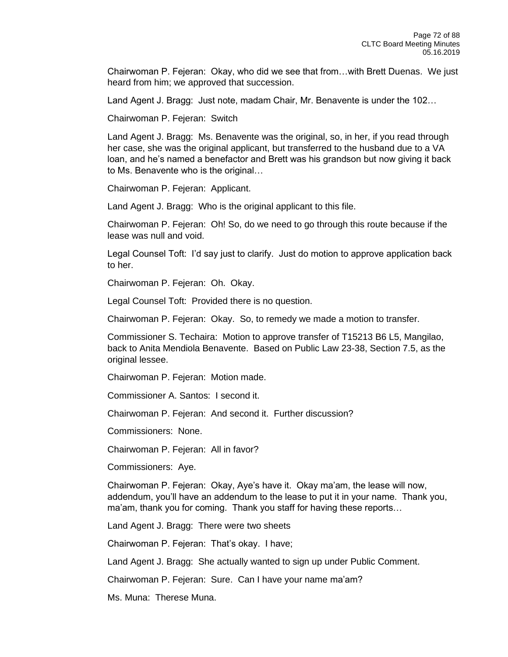Chairwoman P. Fejeran: Okay, who did we see that from…with Brett Duenas. We just heard from him; we approved that succession.

Land Agent J. Bragg: Just note, madam Chair, Mr. Benavente is under the 102…

Chairwoman P. Fejeran: Switch

Land Agent J. Bragg: Ms. Benavente was the original, so, in her, if you read through her case, she was the original applicant, but transferred to the husband due to a VA loan, and he's named a benefactor and Brett was his grandson but now giving it back to Ms. Benavente who is the original…

Chairwoman P. Fejeran: Applicant.

Land Agent J. Bragg: Who is the original applicant to this file.

Chairwoman P. Fejeran: Oh! So, do we need to go through this route because if the lease was null and void.

Legal Counsel Toft: I'd say just to clarify. Just do motion to approve application back to her.

Chairwoman P. Fejeran: Oh. Okay.

Legal Counsel Toft: Provided there is no question.

Chairwoman P. Fejeran: Okay. So, to remedy we made a motion to transfer.

Commissioner S. Techaira: Motion to approve transfer of T15213 B6 L5, Mangilao, back to Anita Mendiola Benavente. Based on Public Law 23-38, Section 7.5, as the original lessee.

Chairwoman P. Fejeran: Motion made.

Commissioner A. Santos: I second it.

Chairwoman P. Fejeran: And second it. Further discussion?

Commissioners: None.

Chairwoman P. Fejeran: All in favor?

Commissioners: Aye.

Chairwoman P. Fejeran: Okay, Aye's have it. Okay ma'am, the lease will now, addendum, you'll have an addendum to the lease to put it in your name. Thank you, ma'am, thank you for coming. Thank you staff for having these reports…

Land Agent J. Bragg: There were two sheets

Chairwoman P. Fejeran: That's okay. I have;

Land Agent J. Bragg: She actually wanted to sign up under Public Comment.

Chairwoman P. Fejeran: Sure. Can I have your name ma'am?

Ms. Muna: Therese Muna.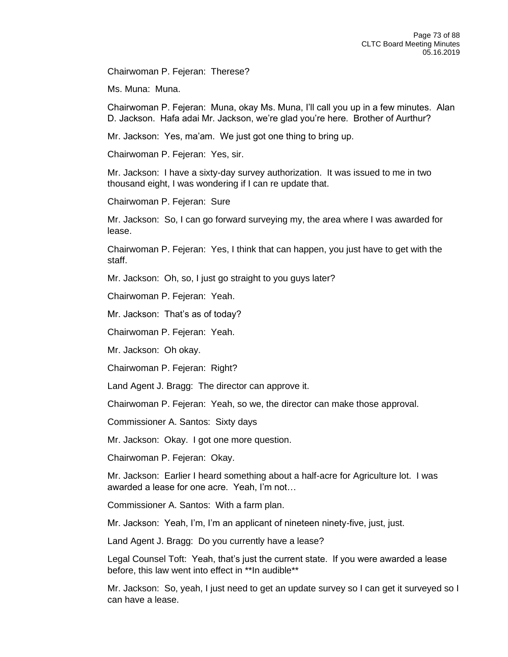Chairwoman P. Fejeran: Therese?

Ms. Muna: Muna.

Chairwoman P. Fejeran: Muna, okay Ms. Muna, I'll call you up in a few minutes. Alan D. Jackson. Hafa adai Mr. Jackson, we're glad you're here. Brother of Aurthur?

Mr. Jackson: Yes, ma'am. We just got one thing to bring up.

Chairwoman P. Fejeran: Yes, sir.

Mr. Jackson: I have a sixty-day survey authorization. It was issued to me in two thousand eight, I was wondering if I can re update that.

Chairwoman P. Fejeran: Sure

Mr. Jackson: So, I can go forward surveying my, the area where I was awarded for lease.

Chairwoman P. Fejeran: Yes, I think that can happen, you just have to get with the staff.

Mr. Jackson: Oh, so, I just go straight to you guys later?

Chairwoman P. Fejeran: Yeah.

Mr. Jackson: That's as of today?

Chairwoman P. Fejeran: Yeah.

Mr. Jackson: Oh okay.

Chairwoman P. Fejeran: Right?

Land Agent J. Bragg: The director can approve it.

Chairwoman P. Fejeran: Yeah, so we, the director can make those approval.

Commissioner A. Santos: Sixty days

Mr. Jackson: Okay. I got one more question.

Chairwoman P. Fejeran: Okay.

Mr. Jackson: Earlier I heard something about a half-acre for Agriculture lot. I was awarded a lease for one acre. Yeah, I'm not…

Commissioner A. Santos: With a farm plan.

Mr. Jackson: Yeah, I'm, I'm an applicant of nineteen ninety-five, just, just.

Land Agent J. Bragg: Do you currently have a lease?

Legal Counsel Toft: Yeah, that's just the current state. If you were awarded a lease before, this law went into effect in \*\*In audible\*\*

Mr. Jackson: So, yeah, I just need to get an update survey so I can get it surveyed so I can have a lease.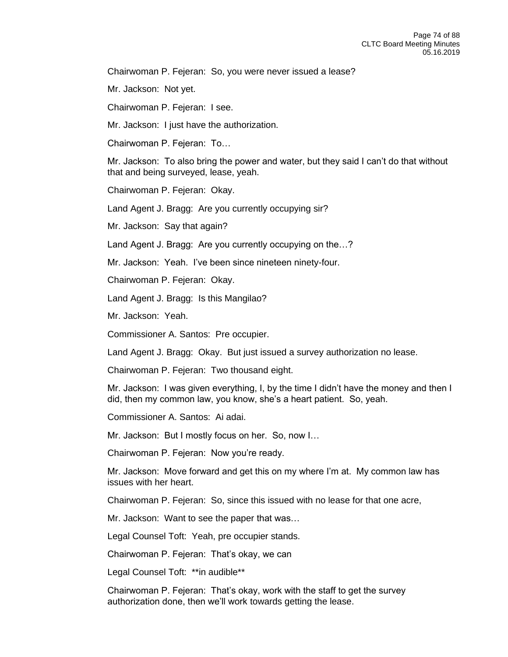Chairwoman P. Fejeran: So, you were never issued a lease?

Mr. Jackson: Not yet.

Chairwoman P. Fejeran: I see.

Mr. Jackson: I just have the authorization.

Chairwoman P. Fejeran: To…

Mr. Jackson: To also bring the power and water, but they said I can't do that without that and being surveyed, lease, yeah.

Chairwoman P. Fejeran: Okay.

Land Agent J. Bragg: Are you currently occupying sir?

Mr. Jackson: Say that again?

Land Agent J. Bragg: Are you currently occupying on the…?

Mr. Jackson: Yeah. I've been since nineteen ninety-four.

Chairwoman P. Fejeran: Okay.

Land Agent J. Bragg: Is this Mangilao?

Mr. Jackson: Yeah.

Commissioner A. Santos: Pre occupier.

Land Agent J. Bragg: Okay. But just issued a survey authorization no lease.

Chairwoman P. Fejeran: Two thousand eight.

Mr. Jackson: I was given everything, I, by the time I didn't have the money and then I did, then my common law, you know, she's a heart patient. So, yeah.

Commissioner A. Santos: Ai adai.

Mr. Jackson: But I mostly focus on her. So, now I…

Chairwoman P. Fejeran: Now you're ready.

Mr. Jackson: Move forward and get this on my where I'm at. My common law has issues with her heart.

Chairwoman P. Fejeran: So, since this issued with no lease for that one acre,

Mr. Jackson: Want to see the paper that was…

Legal Counsel Toft: Yeah, pre occupier stands.

Chairwoman P. Fejeran: That's okay, we can

Legal Counsel Toft: \*\* in audible\*\*

Chairwoman P. Fejeran: That's okay, work with the staff to get the survey authorization done, then we'll work towards getting the lease.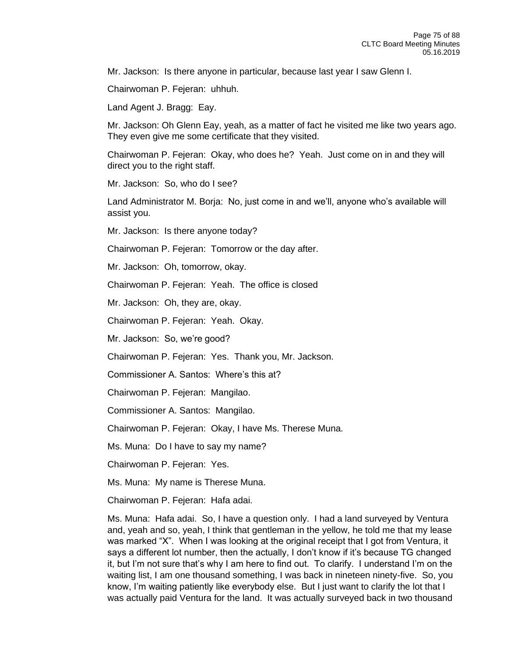Mr. Jackson: Is there anyone in particular, because last year I saw Glenn I.

Chairwoman P. Fejeran: uhhuh.

Land Agent J. Bragg: Eay.

Mr. Jackson: Oh Glenn Eay, yeah, as a matter of fact he visited me like two years ago. They even give me some certificate that they visited.

Chairwoman P. Fejeran: Okay, who does he? Yeah. Just come on in and they will direct you to the right staff.

Mr. Jackson: So, who do I see?

Land Administrator M. Borja: No, just come in and we'll, anyone who's available will assist you.

Mr. Jackson: Is there anyone today?

Chairwoman P. Fejeran: Tomorrow or the day after.

Mr. Jackson: Oh, tomorrow, okay.

Chairwoman P. Fejeran: Yeah. The office is closed

Mr. Jackson: Oh, they are, okay.

Chairwoman P. Fejeran: Yeah. Okay.

Mr. Jackson: So, we're good?

Chairwoman P. Fejeran: Yes. Thank you, Mr. Jackson.

Commissioner A. Santos: Where's this at?

Chairwoman P. Fejeran: Mangilao.

Commissioner A. Santos: Mangilao.

Chairwoman P. Fejeran: Okay, I have Ms. Therese Muna.

Ms. Muna: Do I have to say my name?

Chairwoman P. Fejeran: Yes.

Ms. Muna: My name is Therese Muna.

Chairwoman P. Fejeran: Hafa adai.

Ms. Muna: Hafa adai. So, I have a question only. I had a land surveyed by Ventura and, yeah and so, yeah, I think that gentleman in the yellow, he told me that my lease was marked "X". When I was looking at the original receipt that I got from Ventura, it says a different lot number, then the actually, I don't know if it's because TG changed it, but I'm not sure that's why I am here to find out. To clarify. I understand I'm on the waiting list, I am one thousand something, I was back in nineteen ninety-five. So, you know, I'm waiting patiently like everybody else. But I just want to clarify the lot that I was actually paid Ventura for the land. It was actually surveyed back in two thousand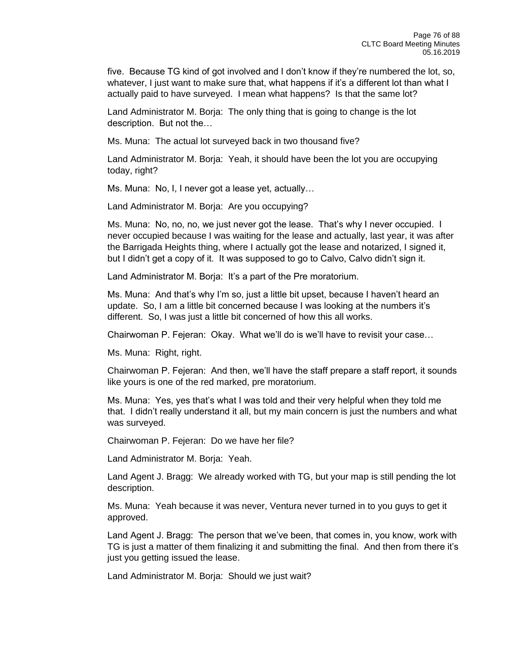five. Because TG kind of got involved and I don't know if they're numbered the lot, so, whatever, I just want to make sure that, what happens if it's a different lot than what I actually paid to have surveyed. I mean what happens? Is that the same lot?

Land Administrator M. Borja: The only thing that is going to change is the lot description. But not the…

Ms. Muna: The actual lot surveyed back in two thousand five?

Land Administrator M. Borja: Yeah, it should have been the lot you are occupying today, right?

Ms. Muna: No, I, I never got a lease yet, actually…

Land Administrator M. Borja: Are you occupying?

Ms. Muna: No, no, no, we just never got the lease. That's why I never occupied. I never occupied because I was waiting for the lease and actually, last year, it was after the Barrigada Heights thing, where I actually got the lease and notarized, I signed it, but I didn't get a copy of it. It was supposed to go to Calvo, Calvo didn't sign it.

Land Administrator M. Borja: It's a part of the Pre moratorium.

Ms. Muna: And that's why I'm so, just a little bit upset, because I haven't heard an update. So, I am a little bit concerned because I was looking at the numbers it's different. So, I was just a little bit concerned of how this all works.

Chairwoman P. Fejeran: Okay. What we'll do is we'll have to revisit your case…

Ms. Muna: Right, right.

Chairwoman P. Fejeran: And then, we'll have the staff prepare a staff report, it sounds like yours is one of the red marked, pre moratorium.

Ms. Muna: Yes, yes that's what I was told and their very helpful when they told me that. I didn't really understand it all, but my main concern is just the numbers and what was surveyed.

Chairwoman P. Fejeran: Do we have her file?

Land Administrator M. Borja: Yeah.

Land Agent J. Bragg: We already worked with TG, but your map is still pending the lot description.

Ms. Muna: Yeah because it was never, Ventura never turned in to you guys to get it approved.

Land Agent J. Bragg: The person that we've been, that comes in, you know, work with TG is just a matter of them finalizing it and submitting the final. And then from there it's just you getting issued the lease.

Land Administrator M. Borja: Should we just wait?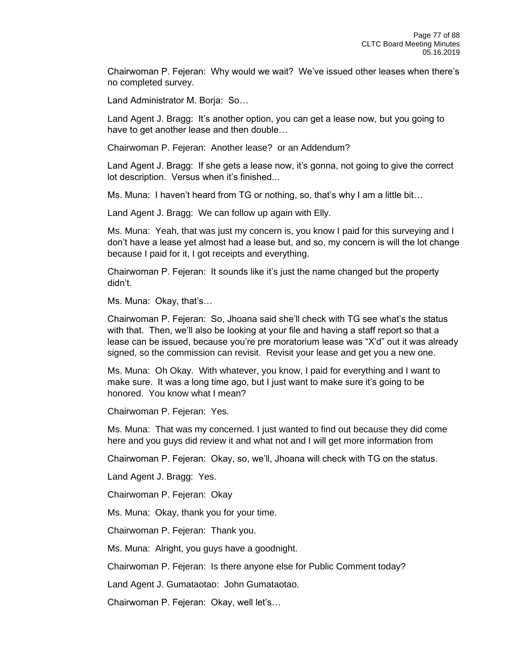Chairwoman P. Fejeran: Why would we wait? We've issued other leases when there's no completed survey.

Land Administrator M. Borja: So…

Land Agent J. Bragg: It's another option, you can get a lease now, but you going to have to get another lease and then double…

Chairwoman P. Fejeran: Another lease? or an Addendum?

Land Agent J. Bragg: If she gets a lease now, it's gonna, not going to give the correct lot description. Versus when it's finished...

Ms. Muna: I haven't heard from TG or nothing, so, that's why I am a little bit…

Land Agent J. Bragg: We can follow up again with Elly.

Ms. Muna: Yeah, that was just my concern is, you know I paid for this surveying and I don't have a lease yet almost had a lease but, and so, my concern is will the lot change because I paid for it, I got receipts and everything.

Chairwoman P. Fejeran: It sounds like it's just the name changed but the property didn't.

Ms. Muna: Okay, that's…

Chairwoman P. Fejeran: So, Jhoana said she'll check with TG see what's the status with that. Then, we'll also be looking at your file and having a staff report so that a lease can be issued, because you're pre moratorium lease was "X'd" out it was already signed, so the commission can revisit. Revisit your lease and get you a new one.

Ms. Muna: Oh Okay. With whatever, you know, I paid for everything and I want to make sure. It was a long time ago, but I just want to make sure it's going to be honored. You know what I mean?

Chairwoman P. Fejeran: Yes.

Ms. Muna: That was my concerned. I just wanted to find out because they did come here and you guys did review it and what not and I will get more information from

Chairwoman P. Fejeran: Okay, so, we'll, Jhoana will check with TG on the status.

Land Agent J. Bragg: Yes.

Chairwoman P. Fejeran: Okay

Ms. Muna: Okay, thank you for your time.

Chairwoman P. Fejeran: Thank you.

Ms. Muna: Alright, you guys have a goodnight.

Chairwoman P. Fejeran: Is there anyone else for Public Comment today?

Land Agent J. Gumataotao: John Gumataotao.

Chairwoman P. Fejeran: Okay, well let's…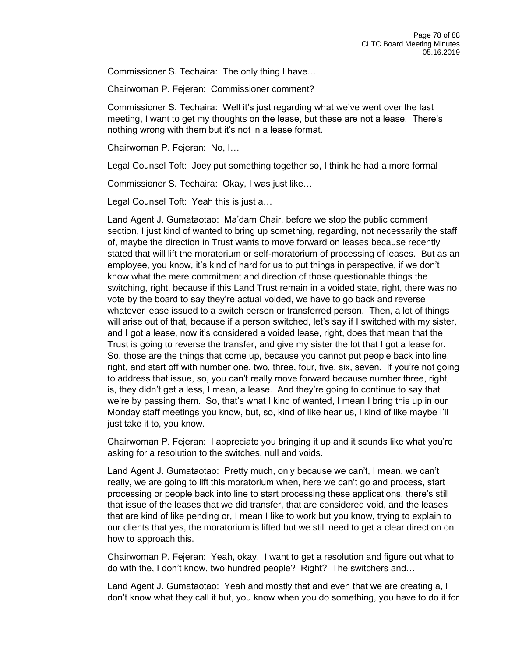Commissioner S. Techaira: The only thing I have…

Chairwoman P. Fejeran: Commissioner comment?

Commissioner S. Techaira: Well it's just regarding what we've went over the last meeting, I want to get my thoughts on the lease, but these are not a lease. There's nothing wrong with them but it's not in a lease format.

Chairwoman P. Fejeran: No, I…

Legal Counsel Toft: Joey put something together so, I think he had a more formal

Commissioner S. Techaira: Okay, I was just like…

Legal Counsel Toft: Yeah this is just a…

Land Agent J. Gumataotao: Ma'dam Chair, before we stop the public comment section, I just kind of wanted to bring up something, regarding, not necessarily the staff of, maybe the direction in Trust wants to move forward on leases because recently stated that will lift the moratorium or self-moratorium of processing of leases. But as an employee, you know, it's kind of hard for us to put things in perspective, if we don't know what the mere commitment and direction of those questionable things the switching, right, because if this Land Trust remain in a voided state, right, there was no vote by the board to say they're actual voided, we have to go back and reverse whatever lease issued to a switch person or transferred person. Then, a lot of things will arise out of that, because if a person switched, let's say if I switched with my sister, and I got a lease, now it's considered a voided lease, right, does that mean that the Trust is going to reverse the transfer, and give my sister the lot that I got a lease for. So, those are the things that come up, because you cannot put people back into line, right, and start off with number one, two, three, four, five, six, seven. If you're not going to address that issue, so, you can't really move forward because number three, right, is, they didn't get a less, I mean, a lease. And they're going to continue to say that we're by passing them. So, that's what I kind of wanted, I mean I bring this up in our Monday staff meetings you know, but, so, kind of like hear us, I kind of like maybe I'll just take it to, you know.

Chairwoman P. Fejeran: I appreciate you bringing it up and it sounds like what you're asking for a resolution to the switches, null and voids.

Land Agent J. Gumataotao: Pretty much, only because we can't, I mean, we can't really, we are going to lift this moratorium when, here we can't go and process, start processing or people back into line to start processing these applications, there's still that issue of the leases that we did transfer, that are considered void, and the leases that are kind of like pending or, I mean I like to work but you know, trying to explain to our clients that yes, the moratorium is lifted but we still need to get a clear direction on how to approach this.

Chairwoman P. Fejeran: Yeah, okay. I want to get a resolution and figure out what to do with the, I don't know, two hundred people? Right? The switchers and…

Land Agent J. Gumataotao: Yeah and mostly that and even that we are creating a, I don't know what they call it but, you know when you do something, you have to do it for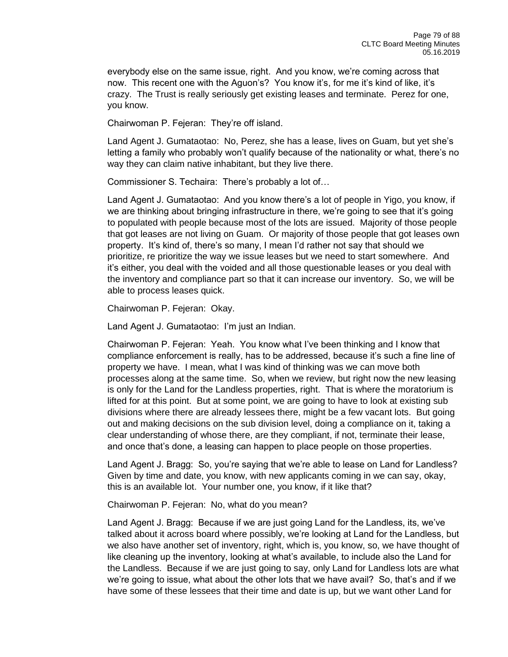everybody else on the same issue, right. And you know, we're coming across that now. This recent one with the Aguon's? You know it's, for me it's kind of like, it's crazy. The Trust is really seriously get existing leases and terminate. Perez for one, you know.

Chairwoman P. Fejeran: They're off island.

Land Agent J. Gumataotao: No, Perez, she has a lease, lives on Guam, but yet she's letting a family who probably won't qualify because of the nationality or what, there's no way they can claim native inhabitant, but they live there.

Commissioner S. Techaira: There's probably a lot of…

Land Agent J. Gumataotao: And you know there's a lot of people in Yigo, you know, if we are thinking about bringing infrastructure in there, we're going to see that it's going to populated with people because most of the lots are issued. Majority of those people that got leases are not living on Guam. Or majority of those people that got leases own property. It's kind of, there's so many, I mean I'd rather not say that should we prioritize, re prioritize the way we issue leases but we need to start somewhere. And it's either, you deal with the voided and all those questionable leases or you deal with the inventory and compliance part so that it can increase our inventory. So, we will be able to process leases quick.

Chairwoman P. Fejeran: Okay.

Land Agent J. Gumataotao: I'm just an Indian.

Chairwoman P. Fejeran: Yeah. You know what I've been thinking and I know that compliance enforcement is really, has to be addressed, because it's such a fine line of property we have. I mean, what I was kind of thinking was we can move both processes along at the same time. So, when we review, but right now the new leasing is only for the Land for the Landless properties, right. That is where the moratorium is lifted for at this point. But at some point, we are going to have to look at existing sub divisions where there are already lessees there, might be a few vacant lots. But going out and making decisions on the sub division level, doing a compliance on it, taking a clear understanding of whose there, are they compliant, if not, terminate their lease, and once that's done, a leasing can happen to place people on those properties.

Land Agent J. Bragg: So, you're saying that we're able to lease on Land for Landless? Given by time and date, you know, with new applicants coming in we can say, okay, this is an available lot. Your number one, you know, if it like that?

Chairwoman P. Fejeran: No, what do you mean?

Land Agent J. Bragg: Because if we are just going Land for the Landless, its, we've talked about it across board where possibly, we're looking at Land for the Landless, but we also have another set of inventory, right, which is, you know, so, we have thought of like cleaning up the inventory, looking at what's available, to include also the Land for the Landless. Because if we are just going to say, only Land for Landless lots are what we're going to issue, what about the other lots that we have avail? So, that's and if we have some of these lessees that their time and date is up, but we want other Land for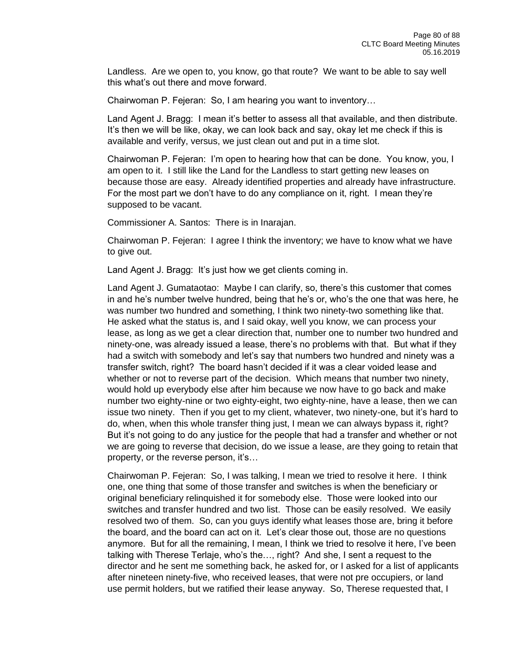Landless. Are we open to, you know, go that route? We want to be able to say well this what's out there and move forward.

Chairwoman P. Fejeran: So, I am hearing you want to inventory…

Land Agent J. Bragg: I mean it's better to assess all that available, and then distribute. It's then we will be like, okay, we can look back and say, okay let me check if this is available and verify, versus, we just clean out and put in a time slot.

Chairwoman P. Fejeran: I'm open to hearing how that can be done. You know, you, I am open to it. I still like the Land for the Landless to start getting new leases on because those are easy. Already identified properties and already have infrastructure. For the most part we don't have to do any compliance on it, right. I mean they're supposed to be vacant.

Commissioner A. Santos: There is in Inarajan.

Chairwoman P. Fejeran: I agree I think the inventory; we have to know what we have to give out.

Land Agent J. Bragg: It's just how we get clients coming in.

Land Agent J. Gumataotao: Maybe I can clarify, so, there's this customer that comes in and he's number twelve hundred, being that he's or, who's the one that was here, he was number two hundred and something, I think two ninety-two something like that. He asked what the status is, and I said okay, well you know, we can process your lease, as long as we get a clear direction that, number one to number two hundred and ninety-one, was already issued a lease, there's no problems with that. But what if they had a switch with somebody and let's say that numbers two hundred and ninety was a transfer switch, right? The board hasn't decided if it was a clear voided lease and whether or not to reverse part of the decision. Which means that number two ninety, would hold up everybody else after him because we now have to go back and make number two eighty-nine or two eighty-eight, two eighty-nine, have a lease, then we can issue two ninety. Then if you get to my client, whatever, two ninety-one, but it's hard to do, when, when this whole transfer thing just, I mean we can always bypass it, right? But it's not going to do any justice for the people that had a transfer and whether or not we are going to reverse that decision, do we issue a lease, are they going to retain that property, or the reverse person, it's…

Chairwoman P. Fejeran: So, I was talking, I mean we tried to resolve it here. I think one, one thing that some of those transfer and switches is when the beneficiary or original beneficiary relinquished it for somebody else. Those were looked into our switches and transfer hundred and two list. Those can be easily resolved. We easily resolved two of them. So, can you guys identify what leases those are, bring it before the board, and the board can act on it. Let's clear those out, those are no questions anymore. But for all the remaining, I mean, I think we tried to resolve it here, I've been talking with Therese Terlaje, who's the…, right? And she, I sent a request to the director and he sent me something back, he asked for, or I asked for a list of applicants after nineteen ninety-five, who received leases, that were not pre occupiers, or land use permit holders, but we ratified their lease anyway. So, Therese requested that, I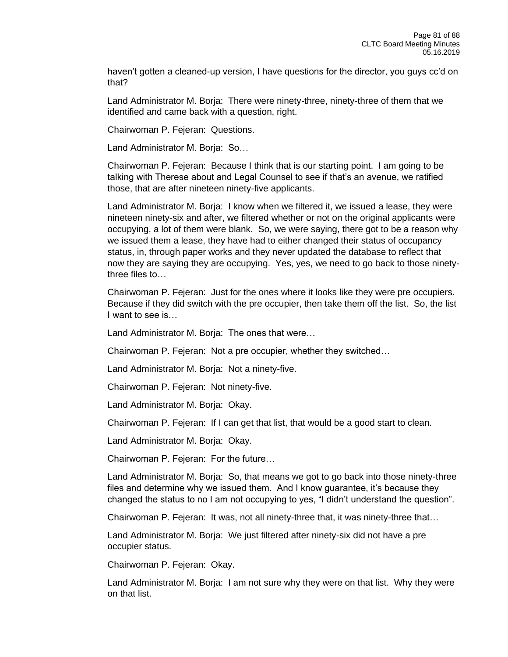haven't gotten a cleaned-up version, I have questions for the director, you guys cc'd on that?

Land Administrator M. Borja: There were ninety-three, ninety-three of them that we identified and came back with a question, right.

Chairwoman P. Fejeran: Questions.

Land Administrator M. Borja: So…

Chairwoman P. Fejeran: Because I think that is our starting point. I am going to be talking with Therese about and Legal Counsel to see if that's an avenue, we ratified those, that are after nineteen ninety-five applicants.

Land Administrator M. Borja: I know when we filtered it, we issued a lease, they were nineteen ninety-six and after, we filtered whether or not on the original applicants were occupying, a lot of them were blank. So, we were saying, there got to be a reason why we issued them a lease, they have had to either changed their status of occupancy status, in, through paper works and they never updated the database to reflect that now they are saying they are occupying. Yes, yes, we need to go back to those ninetythree files to…

Chairwoman P. Fejeran: Just for the ones where it looks like they were pre occupiers. Because if they did switch with the pre occupier, then take them off the list. So, the list I want to see is…

Land Administrator M. Borja: The ones that were…

Chairwoman P. Fejeran: Not a pre occupier, whether they switched…

Land Administrator M. Borja: Not a ninety-five.

Chairwoman P. Fejeran: Not ninety-five.

Land Administrator M. Borja: Okay.

Chairwoman P. Fejeran: If I can get that list, that would be a good start to clean.

Land Administrator M. Borja: Okay.

Chairwoman P. Fejeran: For the future…

Land Administrator M. Borja: So, that means we got to go back into those ninety-three files and determine why we issued them. And I know guarantee, it's because they changed the status to no I am not occupying to yes, "I didn't understand the question".

Chairwoman P. Fejeran: It was, not all ninety-three that, it was ninety-three that…

Land Administrator M. Borja: We just filtered after ninety-six did not have a pre occupier status.

Chairwoman P. Fejeran: Okay.

Land Administrator M. Borja: I am not sure why they were on that list. Why they were on that list.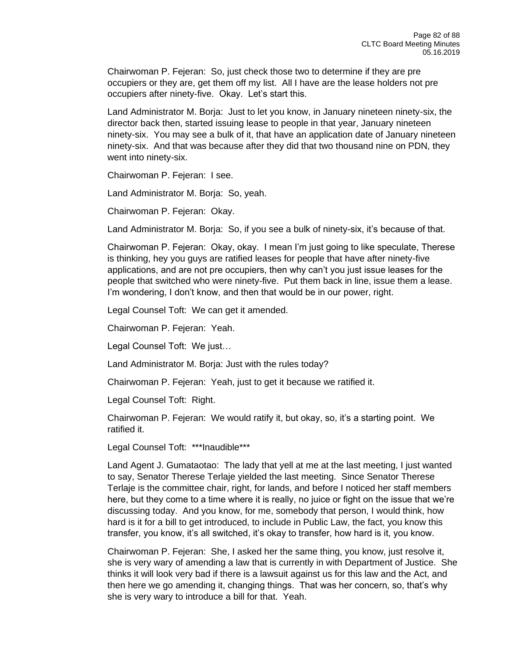Chairwoman P. Fejeran: So, just check those two to determine if they are pre occupiers or they are, get them off my list. All I have are the lease holders not pre occupiers after ninety-five. Okay. Let's start this.

Land Administrator M. Borja: Just to let you know, in January nineteen ninety-six, the director back then, started issuing lease to people in that year, January nineteen ninety-six. You may see a bulk of it, that have an application date of January nineteen ninety-six. And that was because after they did that two thousand nine on PDN, they went into ninety-six.

Chairwoman P. Fejeran: I see.

Land Administrator M. Borja: So, yeah.

Chairwoman P. Fejeran: Okay.

Land Administrator M. Borja: So, if you see a bulk of ninety-six, it's because of that.

Chairwoman P. Fejeran: Okay, okay. I mean I'm just going to like speculate, Therese is thinking, hey you guys are ratified leases for people that have after ninety-five applications, and are not pre occupiers, then why can't you just issue leases for the people that switched who were ninety-five. Put them back in line, issue them a lease. I'm wondering, I don't know, and then that would be in our power, right.

Legal Counsel Toft: We can get it amended.

Chairwoman P. Fejeran: Yeah.

Legal Counsel Toft: We just…

Land Administrator M. Borja: Just with the rules today?

Chairwoman P. Fejeran: Yeah, just to get it because we ratified it.

Legal Counsel Toft: Right.

Chairwoman P. Fejeran: We would ratify it, but okay, so, it's a starting point. We ratified it.

Legal Counsel Toft: \*\*\*Inaudible\*\*\*

Land Agent J. Gumataotao: The lady that yell at me at the last meeting, I just wanted to say, Senator Therese Terlaje yielded the last meeting. Since Senator Therese Terlaje is the committee chair, right, for lands, and before I noticed her staff members here, but they come to a time where it is really, no juice or fight on the issue that we're discussing today. And you know, for me, somebody that person, I would think, how hard is it for a bill to get introduced, to include in Public Law, the fact, you know this transfer, you know, it's all switched, it's okay to transfer, how hard is it, you know.

Chairwoman P. Fejeran: She, I asked her the same thing, you know, just resolve it, she is very wary of amending a law that is currently in with Department of Justice. She thinks it will look very bad if there is a lawsuit against us for this law and the Act, and then here we go amending it, changing things. That was her concern, so, that's why she is very wary to introduce a bill for that. Yeah.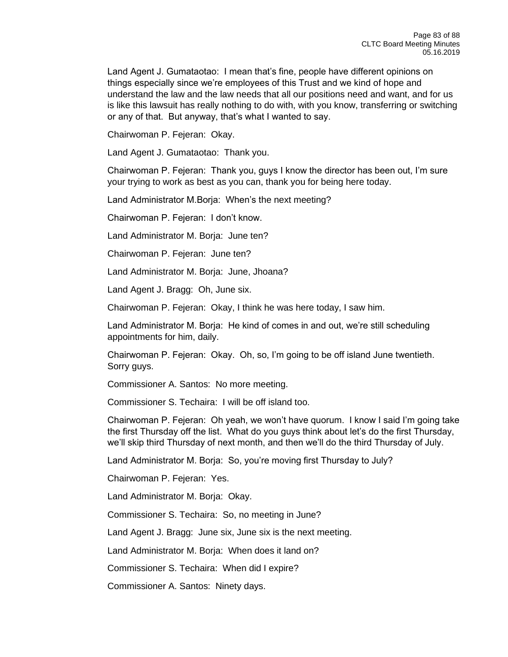Land Agent J. Gumataotao: I mean that's fine, people have different opinions on things especially since we're employees of this Trust and we kind of hope and understand the law and the law needs that all our positions need and want, and for us is like this lawsuit has really nothing to do with, with you know, transferring or switching or any of that. But anyway, that's what I wanted to say.

Chairwoman P. Fejeran: Okay.

Land Agent J. Gumataotao: Thank you.

Chairwoman P. Fejeran: Thank you, guys I know the director has been out, I'm sure your trying to work as best as you can, thank you for being here today.

Land Administrator M.Borja: When's the next meeting?

Chairwoman P. Fejeran: I don't know.

Land Administrator M. Borja: June ten?

Chairwoman P. Fejeran: June ten?

Land Administrator M. Borja: June, Jhoana?

Land Agent J. Bragg: Oh, June six.

Chairwoman P. Fejeran: Okay, I think he was here today, I saw him.

Land Administrator M. Borja: He kind of comes in and out, we're still scheduling appointments for him, daily.

Chairwoman P. Fejeran: Okay. Oh, so, I'm going to be off island June twentieth. Sorry guys.

Commissioner A. Santos: No more meeting.

Commissioner S. Techaira: I will be off island too.

Chairwoman P. Fejeran: Oh yeah, we won't have quorum. I know I said I'm going take the first Thursday off the list. What do you guys think about let's do the first Thursday, we'll skip third Thursday of next month, and then we'll do the third Thursday of July.

Land Administrator M. Borja: So, you're moving first Thursday to July?

Chairwoman P. Fejeran: Yes.

Land Administrator M. Borja: Okay.

Commissioner S. Techaira: So, no meeting in June?

Land Agent J. Bragg: June six, June six is the next meeting.

Land Administrator M. Borja: When does it land on?

Commissioner S. Techaira: When did I expire?

Commissioner A. Santos: Ninety days.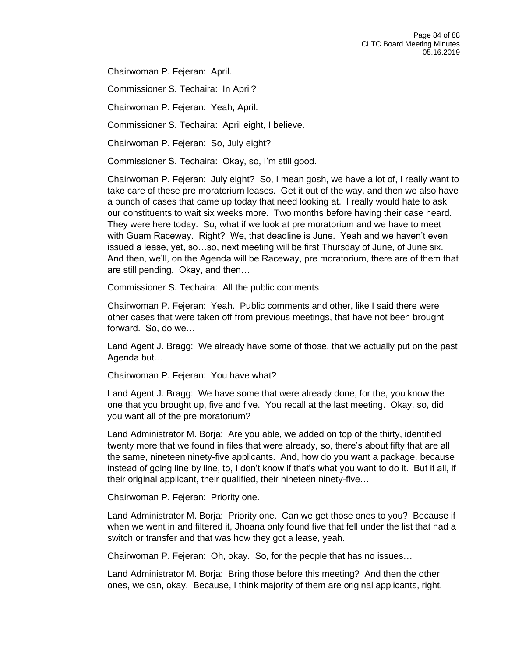Chairwoman P. Fejeran: April.

Commissioner S. Techaira: In April?

Chairwoman P. Fejeran: Yeah, April.

Commissioner S. Techaira: April eight, I believe.

Chairwoman P. Fejeran: So, July eight?

Commissioner S. Techaira: Okay, so, I'm still good.

Chairwoman P. Fejeran: July eight? So, I mean gosh, we have a lot of, I really want to take care of these pre moratorium leases. Get it out of the way, and then we also have a bunch of cases that came up today that need looking at. I really would hate to ask our constituents to wait six weeks more. Two months before having their case heard. They were here today. So, what if we look at pre moratorium and we have to meet with Guam Raceway. Right? We, that deadline is June. Yeah and we haven't even issued a lease, yet, so…so, next meeting will be first Thursday of June, of June six. And then, we'll, on the Agenda will be Raceway, pre moratorium, there are of them that are still pending. Okay, and then…

Commissioner S. Techaira: All the public comments

Chairwoman P. Fejeran: Yeah. Public comments and other, like I said there were other cases that were taken off from previous meetings, that have not been brought forward. So, do we…

Land Agent J. Bragg: We already have some of those, that we actually put on the past Agenda but…

Chairwoman P. Fejeran: You have what?

Land Agent J. Bragg: We have some that were already done, for the, you know the one that you brought up, five and five. You recall at the last meeting. Okay, so, did you want all of the pre moratorium?

Land Administrator M. Borja: Are you able, we added on top of the thirty, identified twenty more that we found in files that were already, so, there's about fifty that are all the same, nineteen ninety-five applicants. And, how do you want a package, because instead of going line by line, to, I don't know if that's what you want to do it. But it all, if their original applicant, their qualified, their nineteen ninety-five…

Chairwoman P. Fejeran: Priority one.

Land Administrator M. Borja: Priority one. Can we get those ones to you? Because if when we went in and filtered it, Jhoana only found five that fell under the list that had a switch or transfer and that was how they got a lease, yeah.

Chairwoman P. Fejeran: Oh, okay. So, for the people that has no issues…

Land Administrator M. Borja: Bring those before this meeting? And then the other ones, we can, okay. Because, I think majority of them are original applicants, right.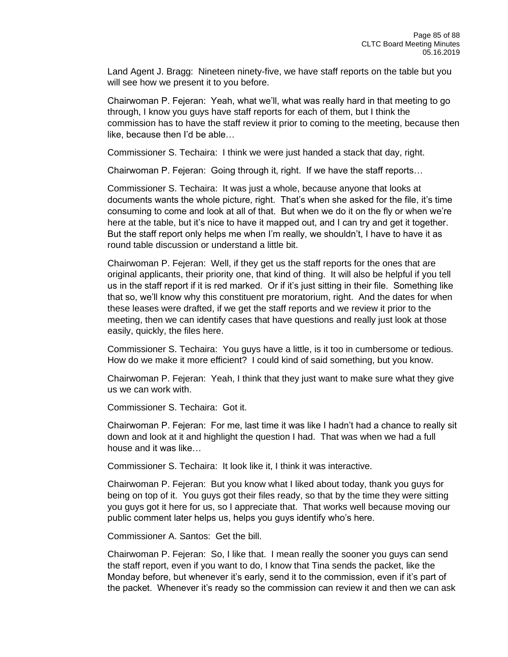Land Agent J. Bragg: Nineteen ninety-five, we have staff reports on the table but you will see how we present it to you before.

Chairwoman P. Fejeran: Yeah, what we'll, what was really hard in that meeting to go through, I know you guys have staff reports for each of them, but I think the commission has to have the staff review it prior to coming to the meeting, because then like, because then I'd be able…

Commissioner S. Techaira: I think we were just handed a stack that day, right.

Chairwoman P. Fejeran: Going through it, right. If we have the staff reports…

Commissioner S. Techaira: It was just a whole, because anyone that looks at documents wants the whole picture, right. That's when she asked for the file, it's time consuming to come and look at all of that. But when we do it on the fly or when we're here at the table, but it's nice to have it mapped out, and I can try and get it together. But the staff report only helps me when I'm really, we shouldn't, I have to have it as round table discussion or understand a little bit.

Chairwoman P. Fejeran: Well, if they get us the staff reports for the ones that are original applicants, their priority one, that kind of thing. It will also be helpful if you tell us in the staff report if it is red marked. Or if it's just sitting in their file. Something like that so, we'll know why this constituent pre moratorium, right. And the dates for when these leases were drafted, if we get the staff reports and we review it prior to the meeting, then we can identify cases that have questions and really just look at those easily, quickly, the files here.

Commissioner S. Techaira: You guys have a little, is it too in cumbersome or tedious. How do we make it more efficient? I could kind of said something, but you know.

Chairwoman P. Fejeran: Yeah, I think that they just want to make sure what they give us we can work with.

Commissioner S. Techaira: Got it.

Chairwoman P. Fejeran: For me, last time it was like I hadn't had a chance to really sit down and look at it and highlight the question I had. That was when we had a full house and it was like…

Commissioner S. Techaira: It look like it, I think it was interactive.

Chairwoman P. Fejeran: But you know what I liked about today, thank you guys for being on top of it. You guys got their files ready, so that by the time they were sitting you guys got it here for us, so I appreciate that. That works well because moving our public comment later helps us, helps you guys identify who's here.

Commissioner A. Santos: Get the bill.

Chairwoman P. Fejeran: So, I like that. I mean really the sooner you guys can send the staff report, even if you want to do, I know that Tina sends the packet, like the Monday before, but whenever it's early, send it to the commission, even if it's part of the packet. Whenever it's ready so the commission can review it and then we can ask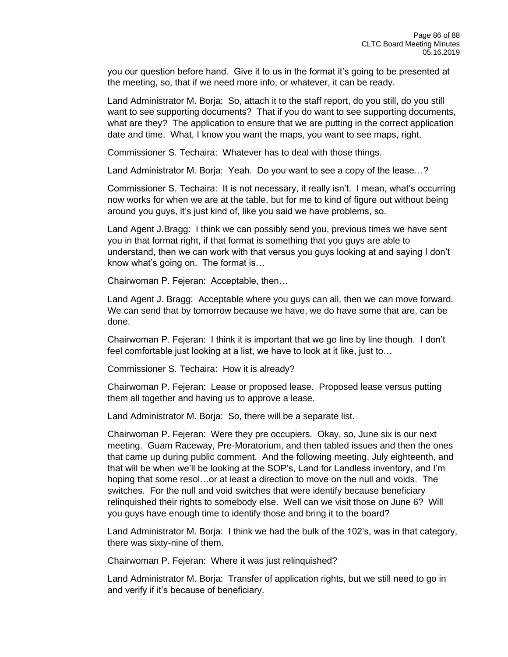you our question before hand. Give it to us in the format it's going to be presented at the meeting, so, that if we need more info, or whatever, it can be ready.

Land Administrator M. Borja: So, attach it to the staff report, do you still, do you still want to see supporting documents? That if you do want to see supporting documents, what are they? The application to ensure that we are putting in the correct application date and time. What, I know you want the maps, you want to see maps, right.

Commissioner S. Techaira: Whatever has to deal with those things.

Land Administrator M. Borja: Yeah. Do you want to see a copy of the lease…?

Commissioner S. Techaira: It is not necessary, it really isn't. I mean, what's occurring now works for when we are at the table, but for me to kind of figure out without being around you guys, it's just kind of, like you said we have problems, so.

Land Agent J.Bragg: I think we can possibly send you, previous times we have sent you in that format right, if that format is something that you guys are able to understand, then we can work with that versus you guys looking at and saying I don't know what's going on. The format is…

Chairwoman P. Fejeran: Acceptable, then…

Land Agent J. Bragg: Acceptable where you guys can all, then we can move forward. We can send that by tomorrow because we have, we do have some that are, can be done.

Chairwoman P. Fejeran: I think it is important that we go line by line though. I don't feel comfortable just looking at a list, we have to look at it like, just to…

Commissioner S. Techaira: How it is already?

Chairwoman P. Fejeran: Lease or proposed lease. Proposed lease versus putting them all together and having us to approve a lease.

Land Administrator M. Borja: So, there will be a separate list.

Chairwoman P. Fejeran: Were they pre occupiers. Okay, so, June six is our next meeting. Guam Raceway, Pre-Moratorium, and then tabled issues and then the ones that came up during public comment. And the following meeting, July eighteenth, and that will be when we'll be looking at the SOP's, Land for Landless inventory, and I'm hoping that some resol…or at least a direction to move on the null and voids. The switches. For the null and void switches that were identify because beneficiary relinquished their rights to somebody else. Well can we visit those on June 6? Will you guys have enough time to identify those and bring it to the board?

Land Administrator M. Borja: I think we had the bulk of the 102's, was in that category, there was sixty-nine of them.

Chairwoman P. Fejeran: Where it was just relinquished?

Land Administrator M. Borja: Transfer of application rights, but we still need to go in and verify if it's because of beneficiary.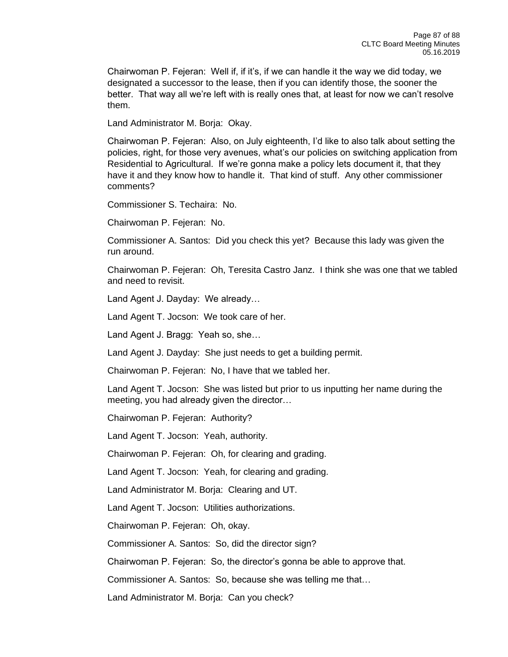Chairwoman P. Fejeran: Well if, if it's, if we can handle it the way we did today, we designated a successor to the lease, then if you can identify those, the sooner the better. That way all we're left with is really ones that, at least for now we can't resolve them.

Land Administrator M. Borja: Okay.

Chairwoman P. Fejeran: Also, on July eighteenth, I'd like to also talk about setting the policies, right, for those very avenues, what's our policies on switching application from Residential to Agricultural. If we're gonna make a policy lets document it, that they have it and they know how to handle it. That kind of stuff. Any other commissioner comments?

Commissioner S. Techaira: No.

Chairwoman P. Fejeran: No.

Commissioner A. Santos: Did you check this yet? Because this lady was given the run around.

Chairwoman P. Fejeran: Oh, Teresita Castro Janz. I think she was one that we tabled and need to revisit.

Land Agent J. Dayday: We already…

Land Agent T. Jocson: We took care of her.

Land Agent J. Bragg: Yeah so, she…

Land Agent J. Dayday: She just needs to get a building permit.

Chairwoman P. Fejeran: No, I have that we tabled her.

Land Agent T. Jocson: She was listed but prior to us inputting her name during the meeting, you had already given the director…

Chairwoman P. Fejeran: Authority?

Land Agent T. Jocson: Yeah, authority.

Chairwoman P. Fejeran: Oh, for clearing and grading.

Land Agent T. Jocson: Yeah, for clearing and grading.

Land Administrator M. Borja: Clearing and UT.

Land Agent T. Jocson: Utilities authorizations.

Chairwoman P. Fejeran: Oh, okay.

Commissioner A. Santos: So, did the director sign?

Chairwoman P. Fejeran: So, the director's gonna be able to approve that.

Commissioner A. Santos: So, because she was telling me that…

Land Administrator M. Borja: Can you check?